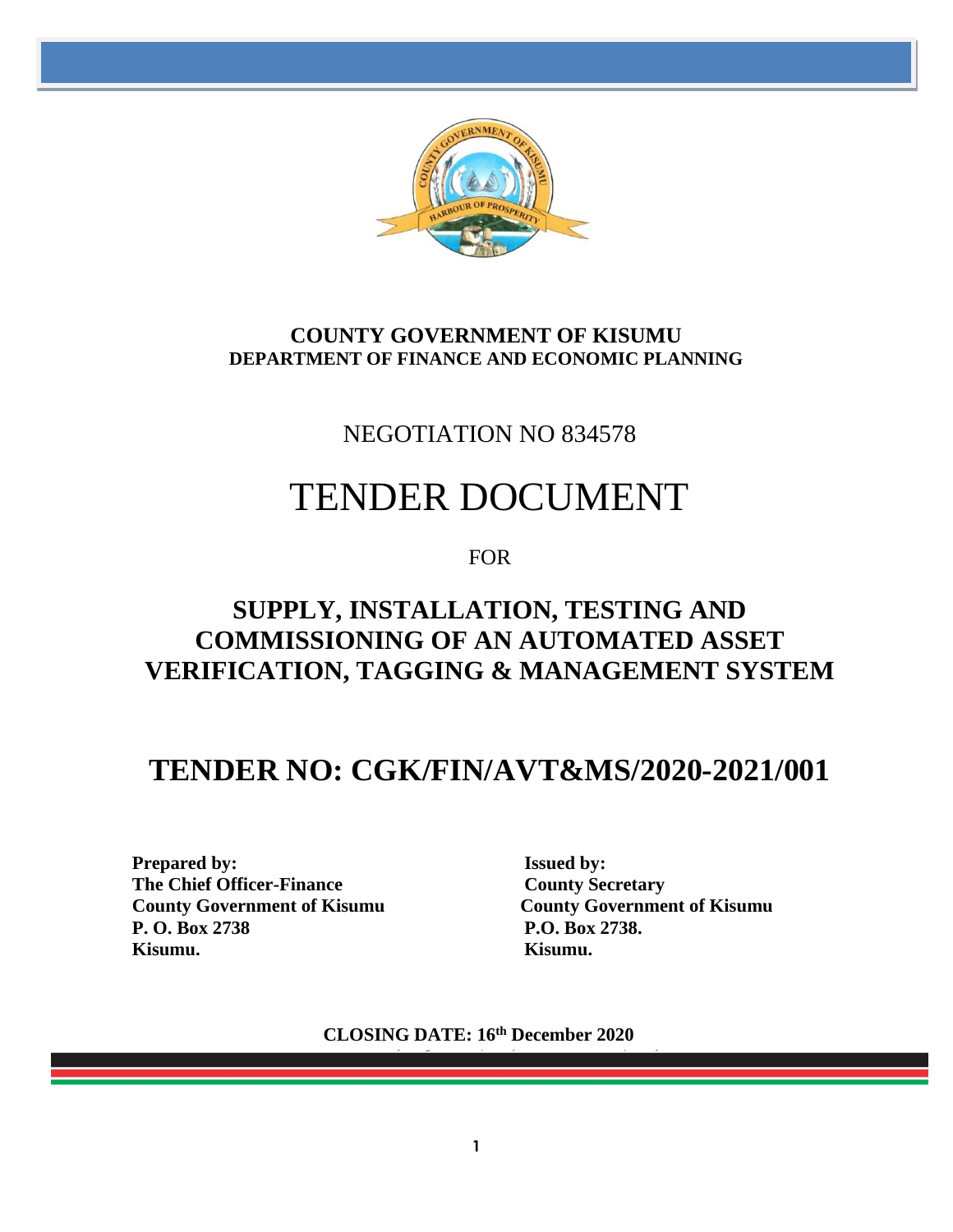

### **COUNTY GOVERNMENT OF KISUMU DEPARTMENT OF FINANCE AND ECONOMIC PLANNING**

# NEGOTIATION NO 834578

# TENDER DOCUMENT

FOR

# **SUPPLY, INSTALLATION, TESTING AND COMMISSIONING OF AN AUTOMATED ASSET VERIFICATION, TAGGING & MANAGEMENT SYSTEM**

# **TENDER NO: CGK/FIN/AVT&MS/2020-2021/001**

**Prepared by:** Issued by: **The Chief Officer-Finance County Secretary County Government of Kisumu County Government of Kisumu P. O. Box 2738 P.O. Box 2738. Kisumu. Kisumu.**

**CLOSING DATE: 16th December 2020**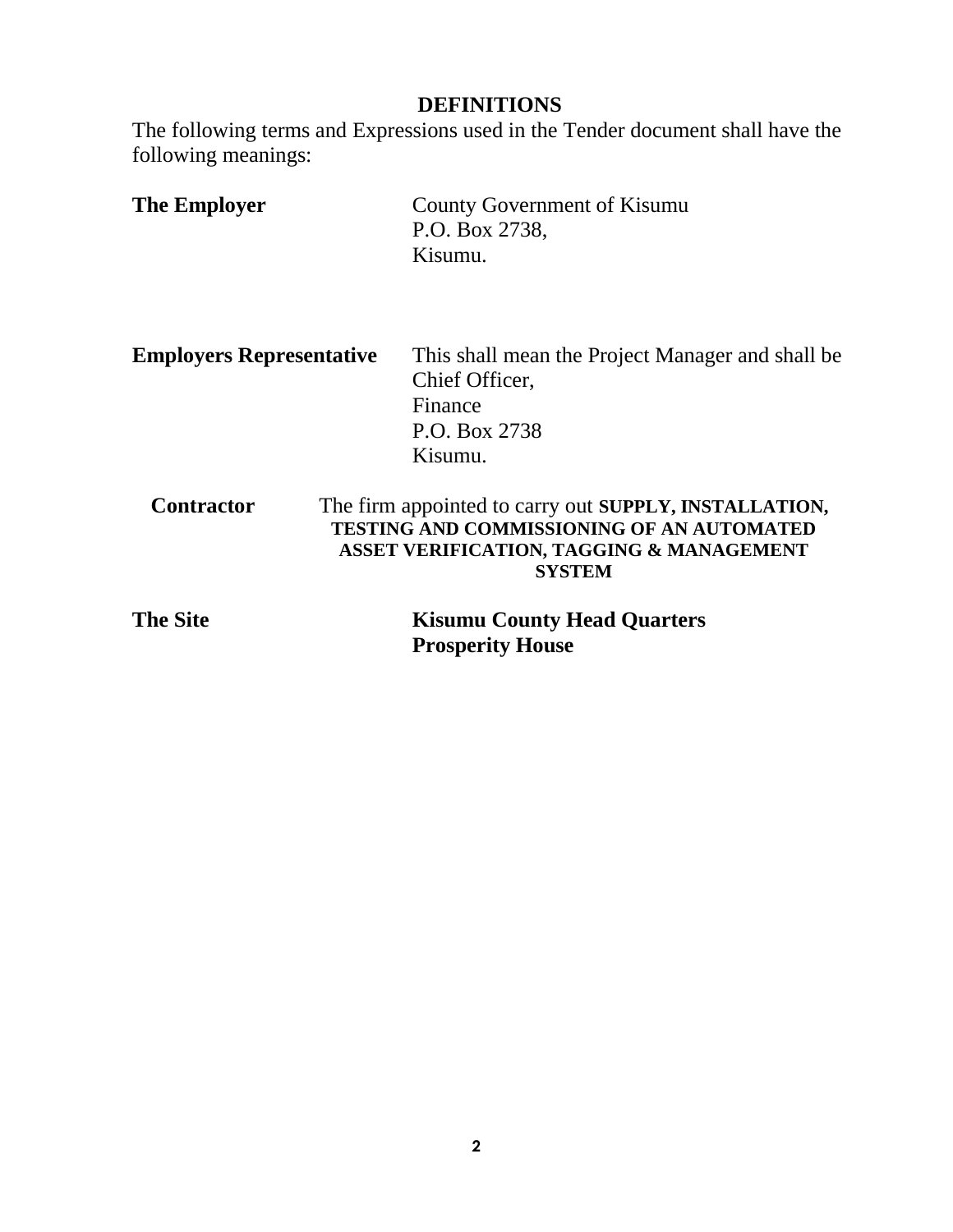### **DEFINITIONS**

The following terms and Expressions used in the Tender document shall have the following meanings:

| <b>The Employer</b> | County Government of Kisumu |
|---------------------|-----------------------------|
|                     | P.O. Box 2738,              |
|                     | Kisumu.                     |

| <b>Employers Representative</b> | This shall mean the Project Manager and shall be |
|---------------------------------|--------------------------------------------------|
|                                 | Chief Officer,                                   |
|                                 | Finance                                          |
|                                 | P.O. Box 2738                                    |
|                                 | Kisumu.                                          |

**Contractor** The firm appointed to carry out **SUPPLY, INSTALLATION, TESTING AND COMMISSIONING OF AN AUTOMATED ASSET VERIFICATION, TAGGING & MANAGEMENT SYSTEM**

| <b>The Site</b> | <b>Kisumu County Head Quarters</b> |
|-----------------|------------------------------------|
|                 | <b>Prosperity House</b>            |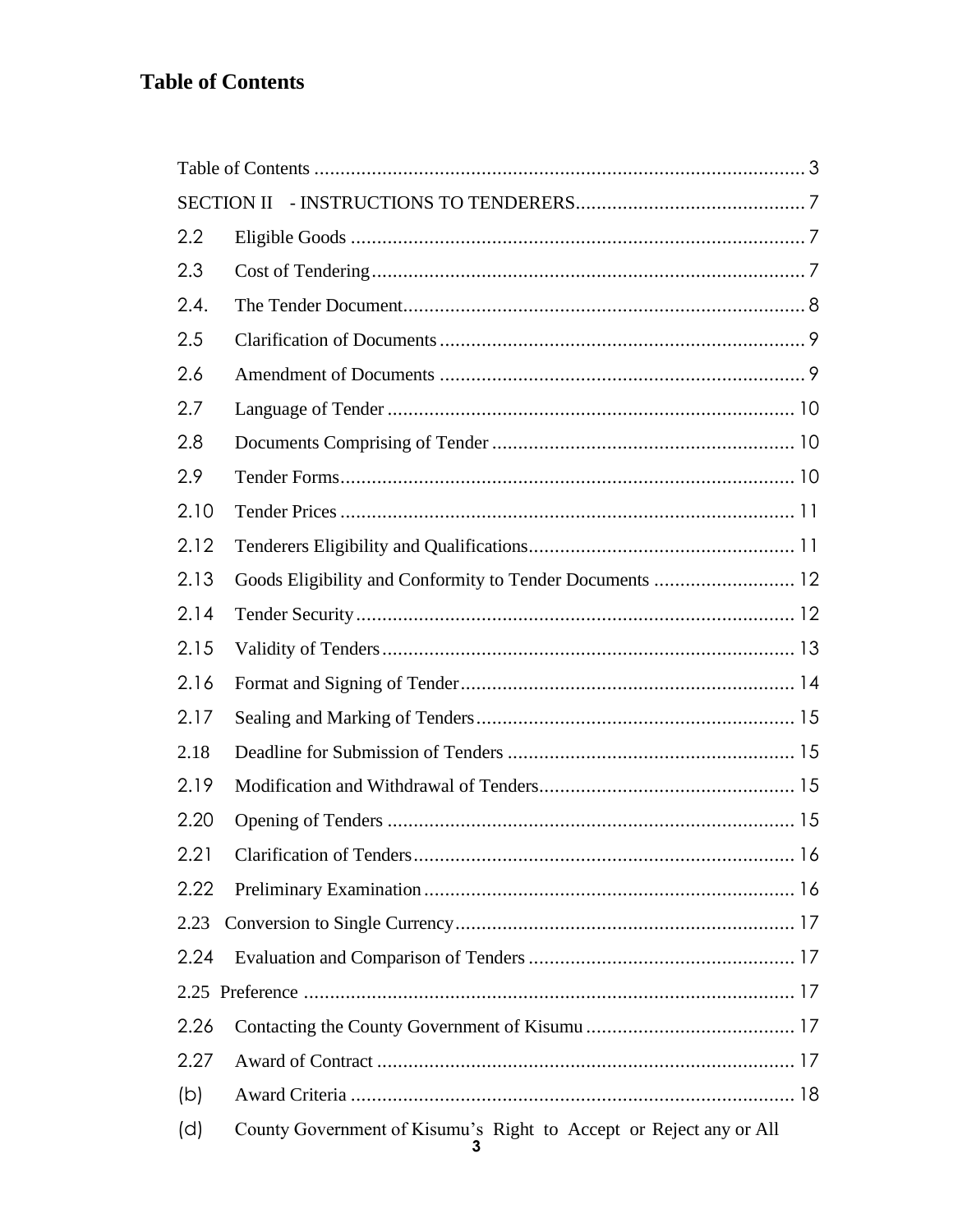# <span id="page-2-0"></span>**Table of Contents**

|      | <b>SECTION II</b>                                                  |
|------|--------------------------------------------------------------------|
| 2.2  |                                                                    |
| 2.3  |                                                                    |
| 2.4. |                                                                    |
| 2.5  |                                                                    |
| 2.6  |                                                                    |
| 2.7  |                                                                    |
| 2.8  |                                                                    |
| 2.9  |                                                                    |
| 2.10 |                                                                    |
| 2.12 |                                                                    |
| 2.13 | Goods Eligibility and Conformity to Tender Documents  12           |
| 2.14 |                                                                    |
| 2.15 |                                                                    |
| 2.16 |                                                                    |
| 2.17 |                                                                    |
| 2.18 |                                                                    |
| 2.19 |                                                                    |
| 2.20 |                                                                    |
| 2.21 |                                                                    |
| 2.22 |                                                                    |
| 2.23 |                                                                    |
| 2.24 |                                                                    |
| 2.25 |                                                                    |
| 2.26 |                                                                    |
| 2.27 |                                                                    |
| (b)  |                                                                    |
| (d)  | County Government of Kisumu's Right to Accept or Reject any or All |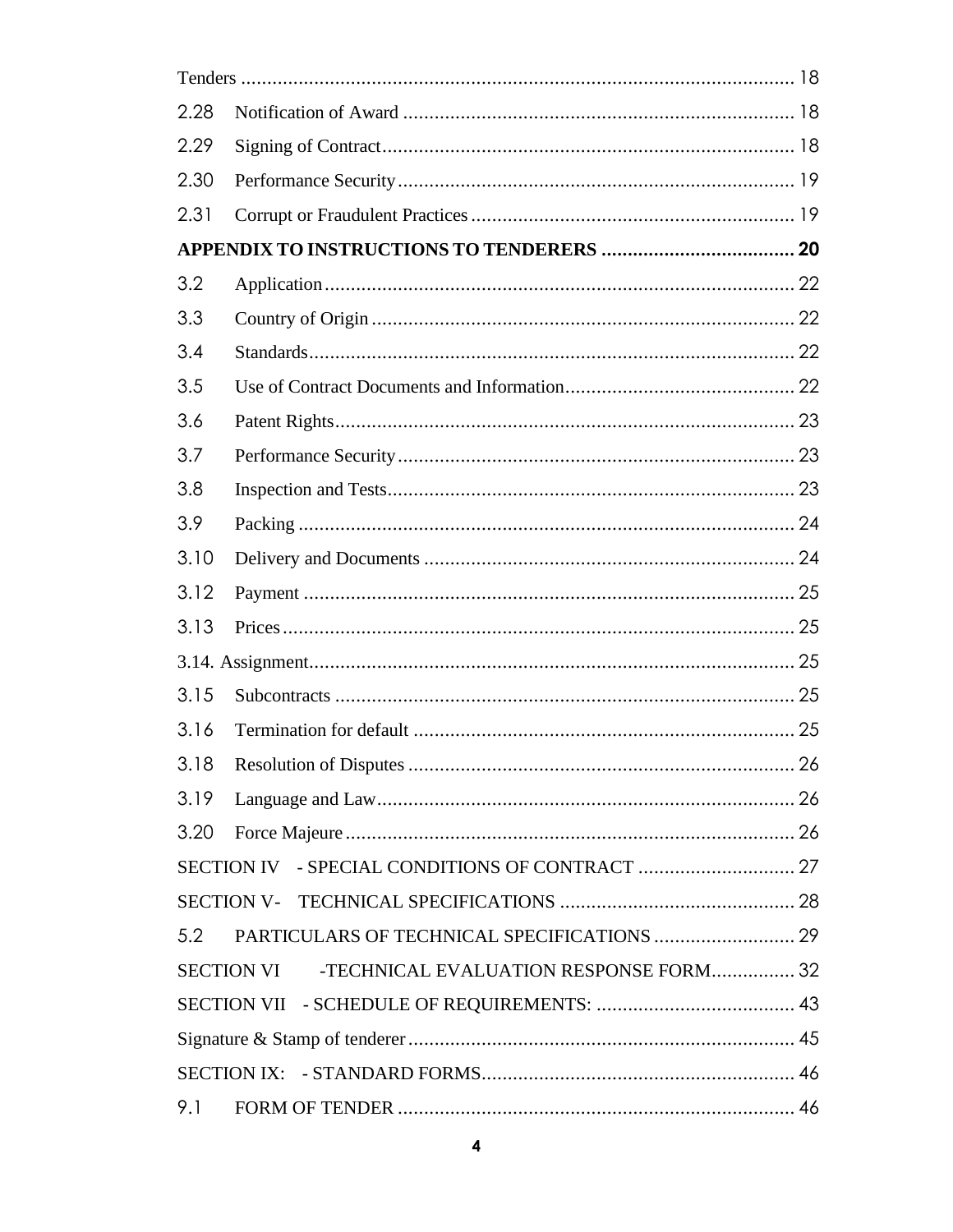| 2.28 |                                                             |  |
|------|-------------------------------------------------------------|--|
| 2.29 |                                                             |  |
| 2.30 |                                                             |  |
| 2.31 |                                                             |  |
|      |                                                             |  |
| 3.2  |                                                             |  |
| 3.3  |                                                             |  |
| 3.4  |                                                             |  |
| 3.5  |                                                             |  |
| 3.6  |                                                             |  |
| 3.7  |                                                             |  |
| 3.8  |                                                             |  |
| 3.9  |                                                             |  |
| 3.10 |                                                             |  |
| 3.12 |                                                             |  |
| 3.13 |                                                             |  |
|      |                                                             |  |
| 3.15 |                                                             |  |
| 3.16 |                                                             |  |
|      |                                                             |  |
| 3.19 |                                                             |  |
| 3.20 |                                                             |  |
|      |                                                             |  |
|      |                                                             |  |
| 5.2  | PARTICULARS OF TECHNICAL SPECIFICATIONS  29                 |  |
|      | <b>SECTION VI</b><br>-TECHNICAL EVALUATION RESPONSE FORM 32 |  |
|      |                                                             |  |
|      |                                                             |  |
|      |                                                             |  |
| 9.1  |                                                             |  |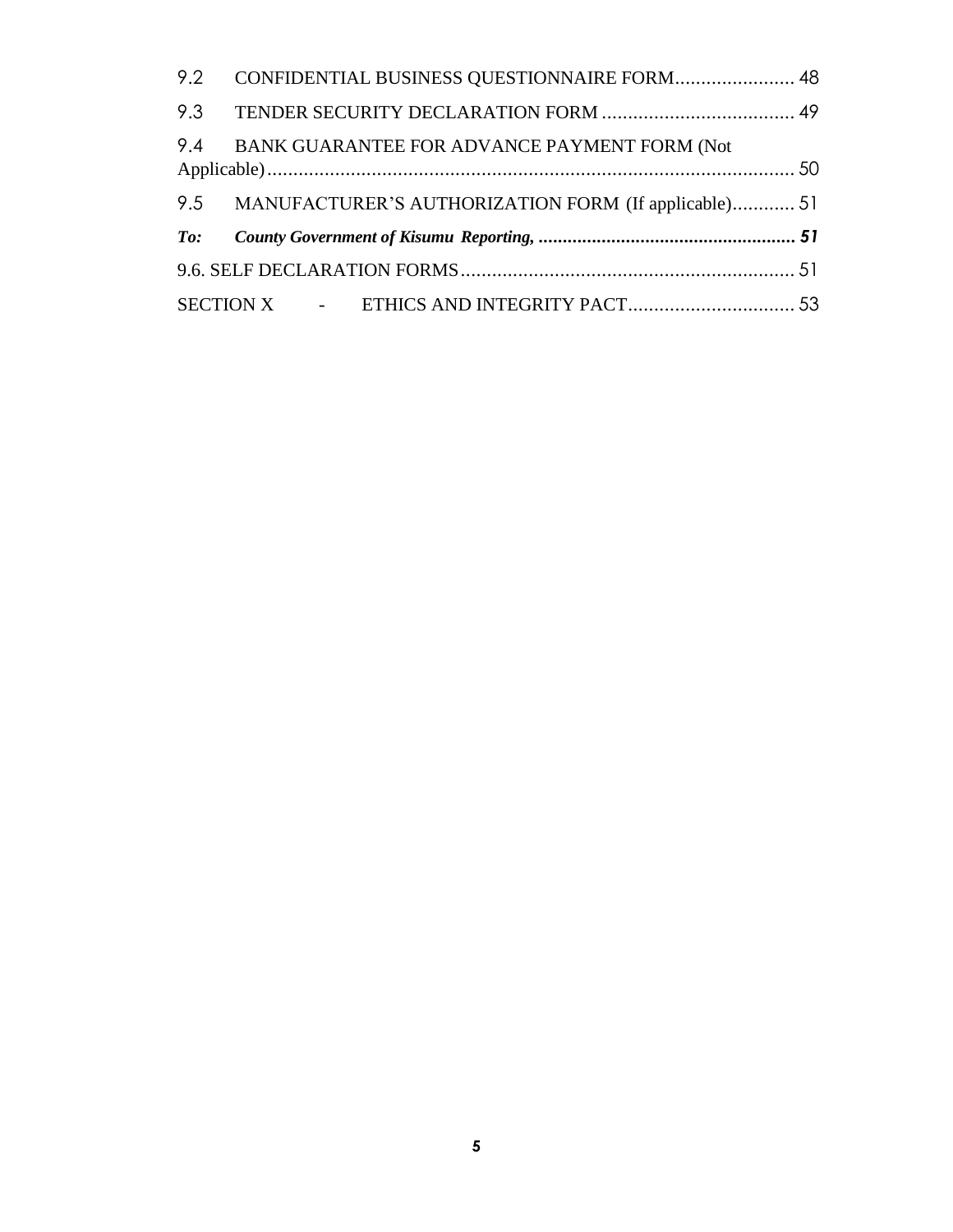| 9.2 | CONFIDENTIAL BUSINESS QUESTIONNAIRE FORM 48              |  |
|-----|----------------------------------------------------------|--|
|     |                                                          |  |
|     | 9.4 BANK GUARANTEE FOR ADVANCE PAYMENT FORM (Not         |  |
|     | 9.5 MANUFACTURER'S AUTHORIZATION FORM (If applicable) 51 |  |
|     |                                                          |  |
|     |                                                          |  |
|     |                                                          |  |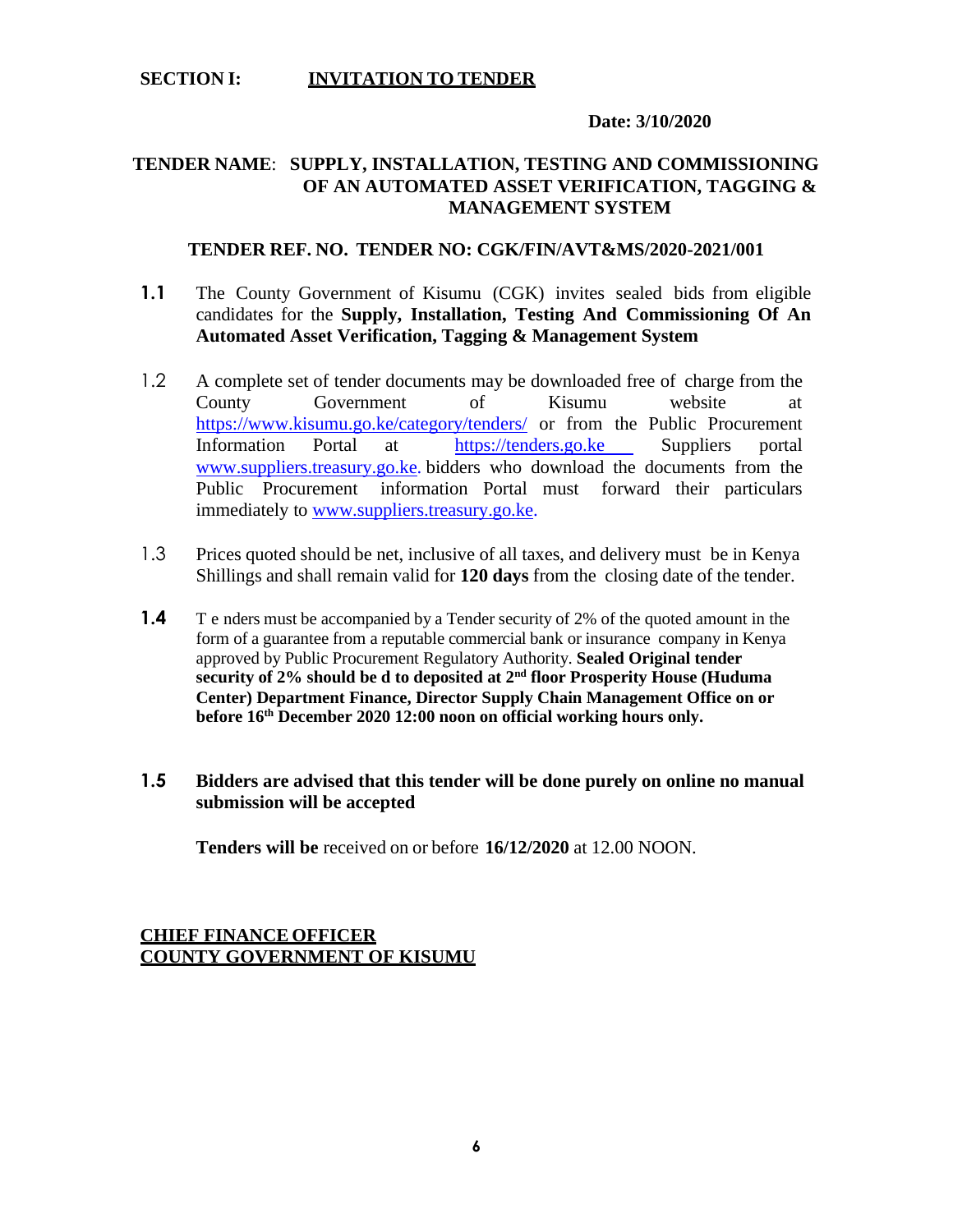#### **SECTION I: INVITATION TO TENDER**

#### **Date: 3/10/2020**

#### **TENDER NAME**: **SUPPLY, INSTALLATION, TESTING AND COMMISSIONING OF AN AUTOMATED ASSET VERIFICATION, TAGGING & MANAGEMENT SYSTEM**

#### **TENDER REF. NO. TENDER NO: CGK/FIN/AVT&MS/2020-2021/001**

- **1.1** The County Government of Kisumu (CGK) invites sealed bids from eligible candidates for the **Supply, Installation, Testing And Commissioning Of An Automated Asset Verification, Tagging & Management System**
- 1.2 A complete set of tender documents may be downloaded free of charge from the County Government of Kisumu website at <https://www.kisumu.go.ke/category/tenders/> or from the Public Procurement Information Portal at [https://tenders.go.ke](https://tenders.go.ke/) Suppliers portal [www.suppliers.treasury.go.ke.](http://www.suppliers.treasury.go.ke/) bidders who download the documents from the Public Procurement information Portal must forward their particulars immediately to [www.suppliers.treasury.go.ke.](http://www.suppliers.treasury.go.ke/)
- 1.3 Prices quoted should be net, inclusive of all taxes, and delivery must be in Kenya Shillings and shall remain valid for **120 days** from the closing date of the tender.
- **1.4** T e nders must be accompanied by a Tender security of 2% of the quoted amount in the form of a guarantee from a reputable commercial bank or insurance company in Kenya approved by Public Procurement Regulatory Authority. **Sealed Original tender security of 2% should be d to deposited at 2nd floor Prosperity House (Huduma Center) Department Finance, Director Supply Chain Management Office on or before 16th December 2020 12:00 noon on official working hours only.**
- **1.5 Bidders are advised that this tender will be done purely on online no manual submission will be accepted**

**Tenders will be** received on or before **16/12/2020** at 12.00 NOON.

#### **CHIEF FINANCE OFFICER COUNTY GOVERNMENT OF KISUMU**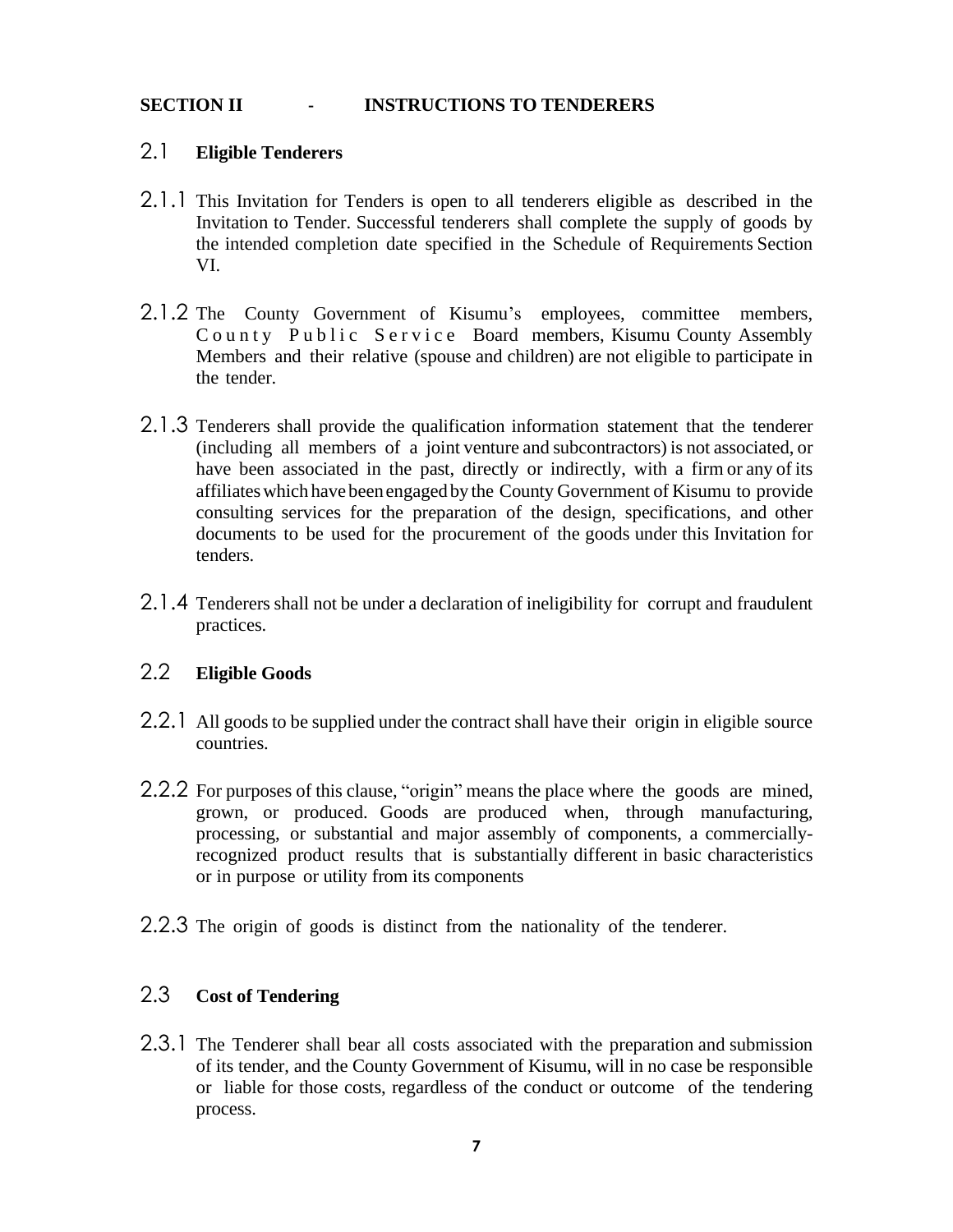#### <span id="page-6-0"></span>**SECTION II - INSTRUCTIONS TO TENDERERS**

#### 2.1 **Eligible Tenderers**

- 2.1.1 This Invitation for Tenders is open to all tenderers eligible as described in the Invitation to Tender. Successful tenderers shall complete the supply of goods by the intended completion date specified in the Schedule of Requirements Section VI.
- 2.1.2 The County Government of Kisumu's employees, committee members, County Public Service Board members, Kisumu County Assembly Members and their relative (spouse and children) are not eligible to participate in the tender.
- 2.1.3 Tenderers shall provide the qualification information statement that the tenderer (including all members of a joint venture and subcontractors) is not associated, or have been associated in the past, directly or indirectly, with a firm or any of its affiliateswhich have beenengaged by the County Government of Kisumu to provide consulting services for the preparation of the design, specifications, and other documents to be used for the procurement of the goods under this Invitation for tenders.
- 2.1.4 Tenderers shall not be under a declaration of ineligibility for corrupt and fraudulent practices.

### <span id="page-6-1"></span>2.2 **Eligible Goods**

- 2.2.1 All goods to be supplied under the contract shall have their origin in eligible source countries.
- 2.2.2 For purposes of this clause, "origin" means the place where the goods are mined, grown, or produced. Goods are produced when, through manufacturing, processing, or substantial and major assembly of components, a commerciallyrecognized product results that is substantially different in basic characteristics or in purpose or utility from its components
- 2.2.3 The origin of goods is distinct from the nationality of the tenderer.

### <span id="page-6-2"></span>2.3 **Cost of Tendering**

2.3.1 The Tenderer shall bear all costs associated with the preparation and submission of its tender, and the County Government of Kisumu, will in no case be responsible or liable for those costs, regardless of the conduct or outcome of the tendering process.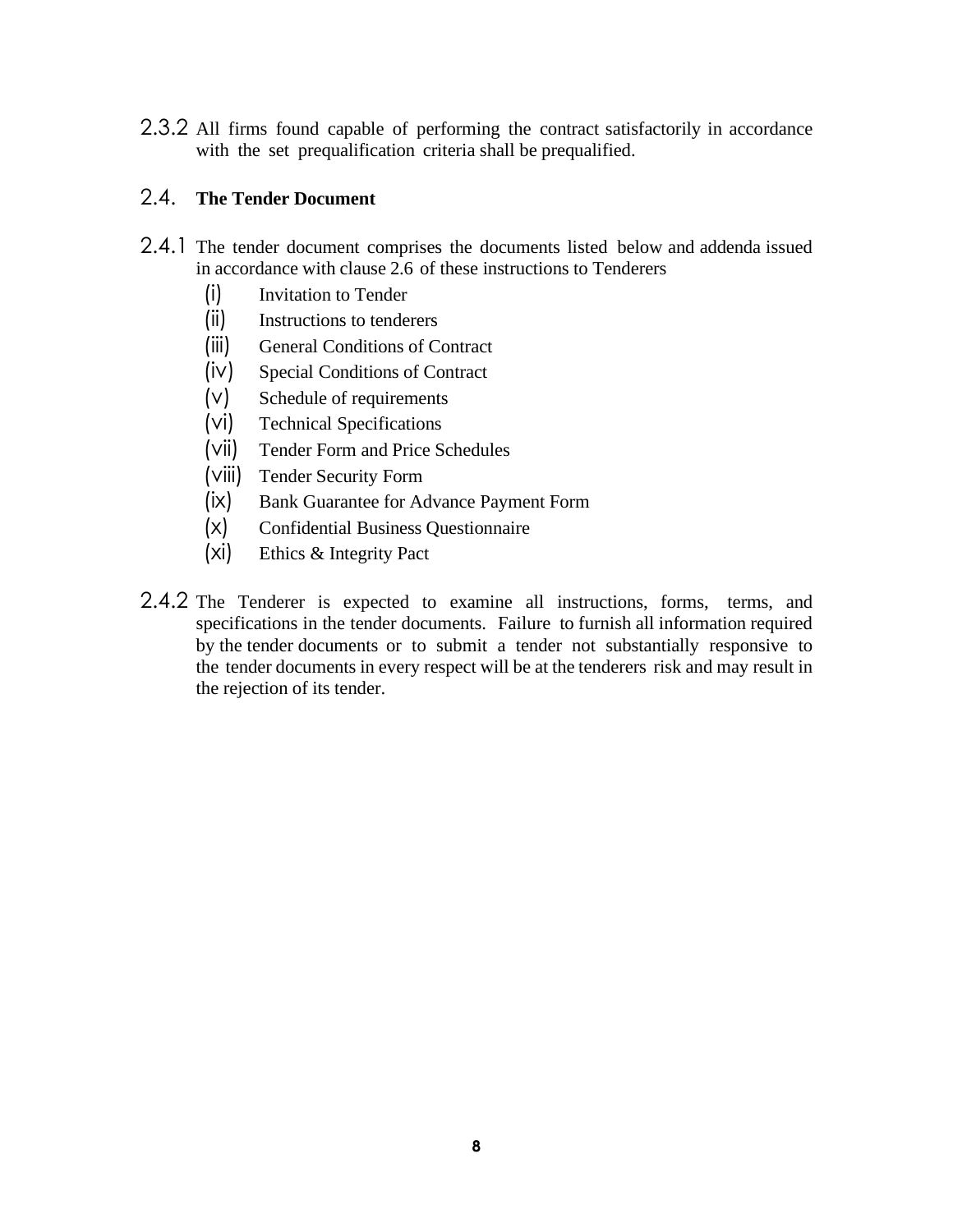2.3.2 All firms found capable of performing the contract satisfactorily in accordance with the set prequalification criteria shall be prequalified.

### <span id="page-7-0"></span>2.4. **The Tender Document**

- 2.4.1 The tender document comprises the documents listed below and addenda issued in accordance with clause 2.6 of these instructions to Tenderers
	- (i) Invitation to Tender
	- (ii) Instructions to tenderers
	- (iii) General Conditions of Contract
	- (iv) Special Conditions of Contract
	- (v) Schedule of requirements
	- (vi) Technical Specifications
	- (vii) Tender Form and Price Schedules
	- (viii) Tender Security Form
	- (ix) Bank Guarantee for Advance Payment Form
	- (x) Confidential Business Questionnaire
	- (xi) Ethics & Integrity Pact
- 2.4.2 The Tenderer is expected to examine all instructions, forms, terms, and specifications in the tender documents. Failure to furnish all information required by the tender documents or to submit a tender not substantially responsive to the tender documents in every respect will be at the tenderers risk and may result in the rejection of its tender.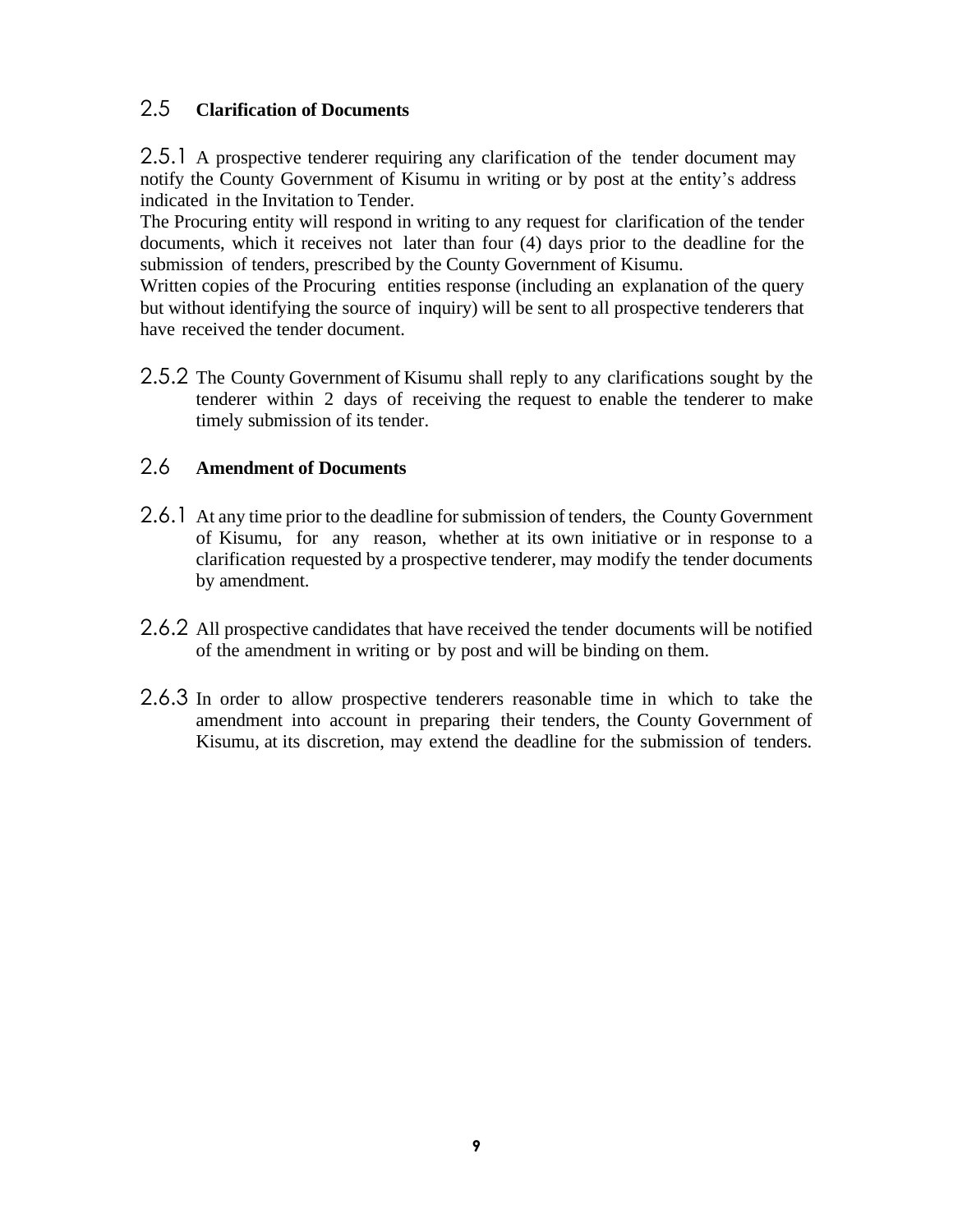### <span id="page-8-0"></span>2.5 **Clarification of Documents**

2.5.1 A prospective tenderer requiring any clarification of the tender document may notify the County Government of Kisumu in writing or by post at the entity's address indicated in the Invitation to Tender.

The Procuring entity will respond in writing to any request for clarification of the tender documents, which it receives not later than four (4) days prior to the deadline for the submission of tenders, prescribed by the County Government of Kisumu.

Written copies of the Procuring entities response (including an explanation of the query but without identifying the source of inquiry) will be sent to all prospective tenderers that have received the tender document.

2.5.2 The County Government of Kisumu shall reply to any clarifications sought by the tenderer within 2 days of receiving the request to enable the tenderer to make timely submission of its tender.

### <span id="page-8-1"></span>2.6 **Amendment of Documents**

- 2.6.1 At any time prior to the deadline for submission of tenders, the County Government of Kisumu, for any reason, whether at its own initiative or in response to a clarification requested by a prospective tenderer, may modify the tender documents by amendment.
- 2.6.2 All prospective candidates that have received the tender documents will be notified of the amendment in writing or by post and will be binding on them.
- 2.6.3 In order to allow prospective tenderers reasonable time in which to take the amendment into account in preparing their tenders, the County Government of Kisumu, at its discretion, may extend the deadline for the submission of tenders.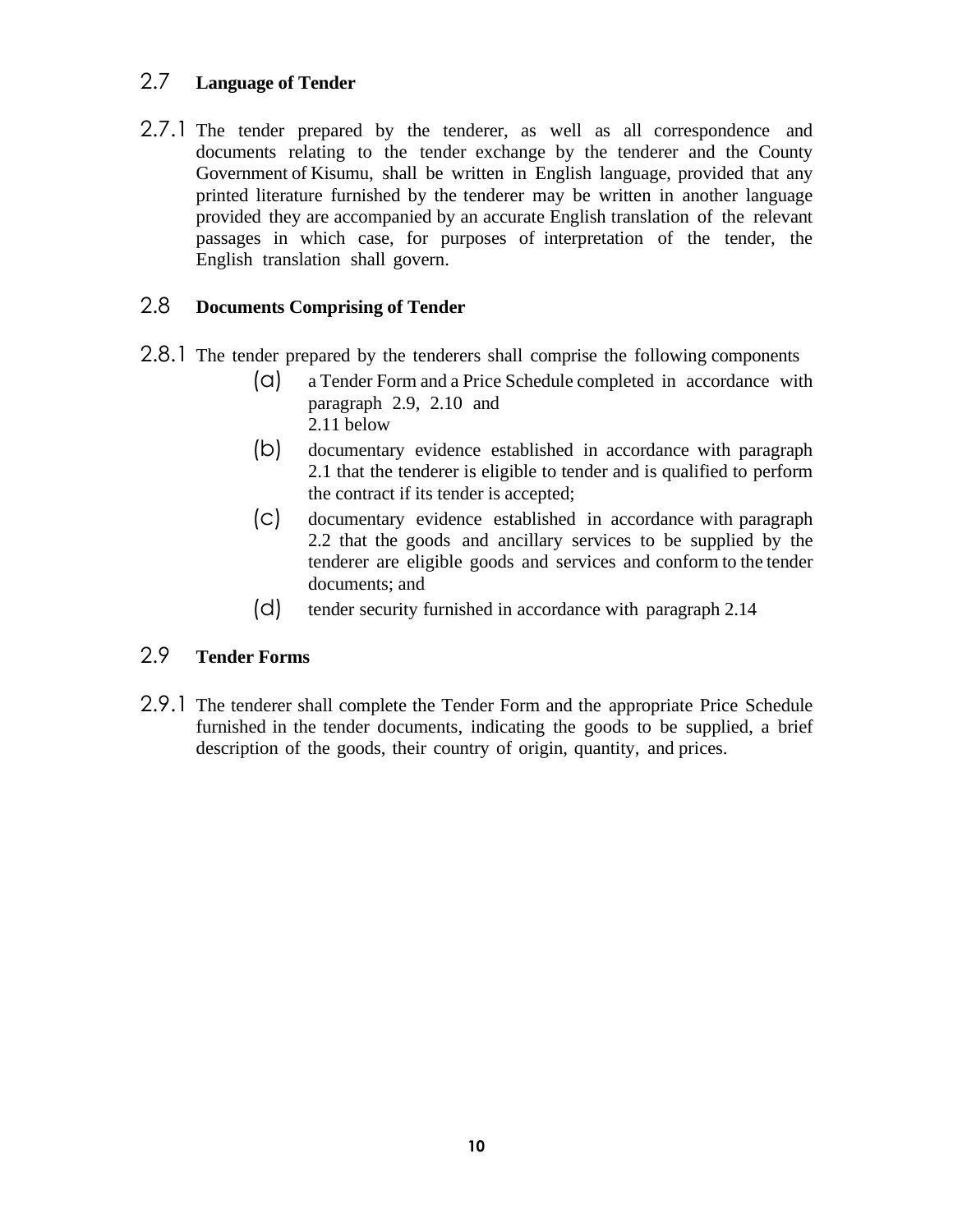### <span id="page-9-0"></span>2.7 **Language of Tender**

2.7.1 The tender prepared by the tenderer, as well as all correspondence and documents relating to the tender exchange by the tenderer and the County Government of Kisumu, shall be written in English language, provided that any printed literature furnished by the tenderer may be written in another language provided they are accompanied by an accurate English translation of the relevant passages in which case, for purposes of interpretation of the tender, the English translation shall govern.

### <span id="page-9-1"></span>2.8 **Documents Comprising of Tender**

- 2.8.1 The tender prepared by the tenderers shall comprise the following components
	- (a) a Tender Form and a Price Schedule completed in accordance with paragraph 2.9, 2.10 and 2.11 below
	- (b) documentary evidence established in accordance with paragraph 2.1 that the tenderer is eligible to tender and is qualified to perform the contract if its tender is accepted;
	- (c) documentary evidence established in accordance with paragraph 2.2 that the goods and ancillary services to be supplied by the tenderer are eligible goods and services and conform to the tender documents; and
	- (d) tender security furnished in accordance with paragraph 2.14

### <span id="page-9-2"></span>2.9 **Tender Forms**

2.9.1 The tenderer shall complete the Tender Form and the appropriate Price Schedule furnished in the tender documents, indicating the goods to be supplied, a brief description of the goods, their country of origin, quantity, and prices.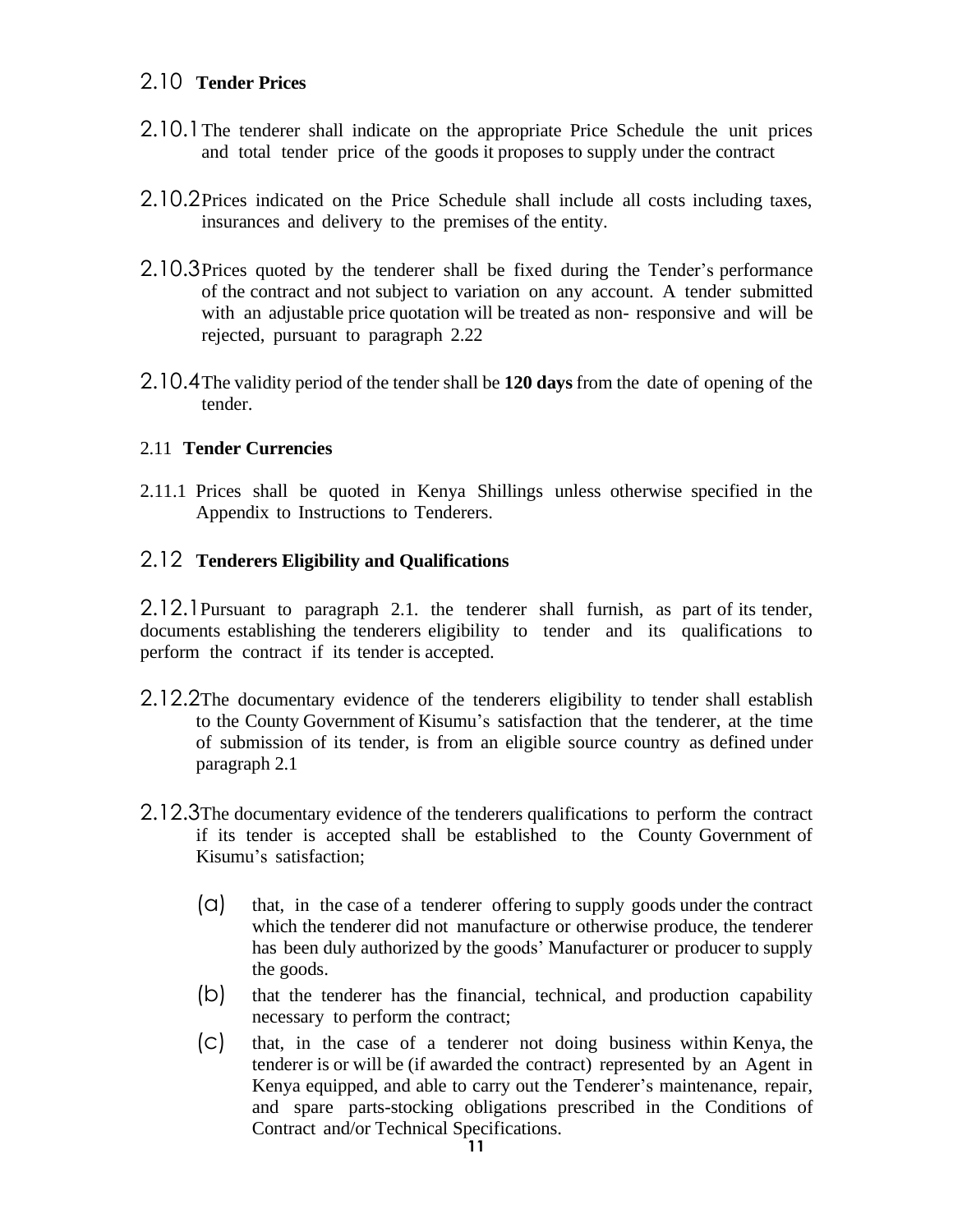### <span id="page-10-0"></span>2.10 **Tender Prices**

- 2.10.1The tenderer shall indicate on the appropriate Price Schedule the unit prices and total tender price of the goods it proposes to supply under the contract
- 2.10.2Prices indicated on the Price Schedule shall include all costs including taxes, insurances and delivery to the premises of the entity.
- 2.10.3Prices quoted by the tenderer shall be fixed during the Tender's performance of the contract and not subject to variation on any account. A tender submitted with an adjustable price quotation will be treated as non- responsive and will be rejected, pursuant to paragraph 2.22
- 2.10.4The validity period of the tender shall be **120 days** from the date of opening of the tender.

#### 2.11 **Tender Currencies**

2.11.1 Prices shall be quoted in Kenya Shillings unless otherwise specified in the Appendix to Instructions to Tenderers.

#### <span id="page-10-1"></span>2.12 **Tenderers Eligibility and Qualifications**

2.12.1Pursuant to paragraph 2.1. the tenderer shall furnish, as part of its tender, documents establishing the tenderers eligibility to tender and its qualifications to perform the contract if its tender is accepted.

- 2.12.2The documentary evidence of the tenderers eligibility to tender shall establish to the County Government of Kisumu's satisfaction that the tenderer, at the time of submission of its tender, is from an eligible source country as defined under paragraph 2.1
- 2.12.3The documentary evidence of the tenderers qualifications to perform the contract if its tender is accepted shall be established to the County Government of Kisumu's satisfaction;
	- (a) that, in the case of a tenderer offering to supply goods under the contract which the tenderer did not manufacture or otherwise produce, the tenderer has been duly authorized by the goods' Manufacturer or producer to supply the goods.
	- (b) that the tenderer has the financial, technical, and production capability necessary to perform the contract;
	- (c) that, in the case of a tenderer not doing business within Kenya, the tenderer is or will be (if awarded the contract) represented by an Agent in Kenya equipped, and able to carry out the Tenderer's maintenance, repair, and spare parts-stocking obligations prescribed in the Conditions of Contract and/or Technical Specifications.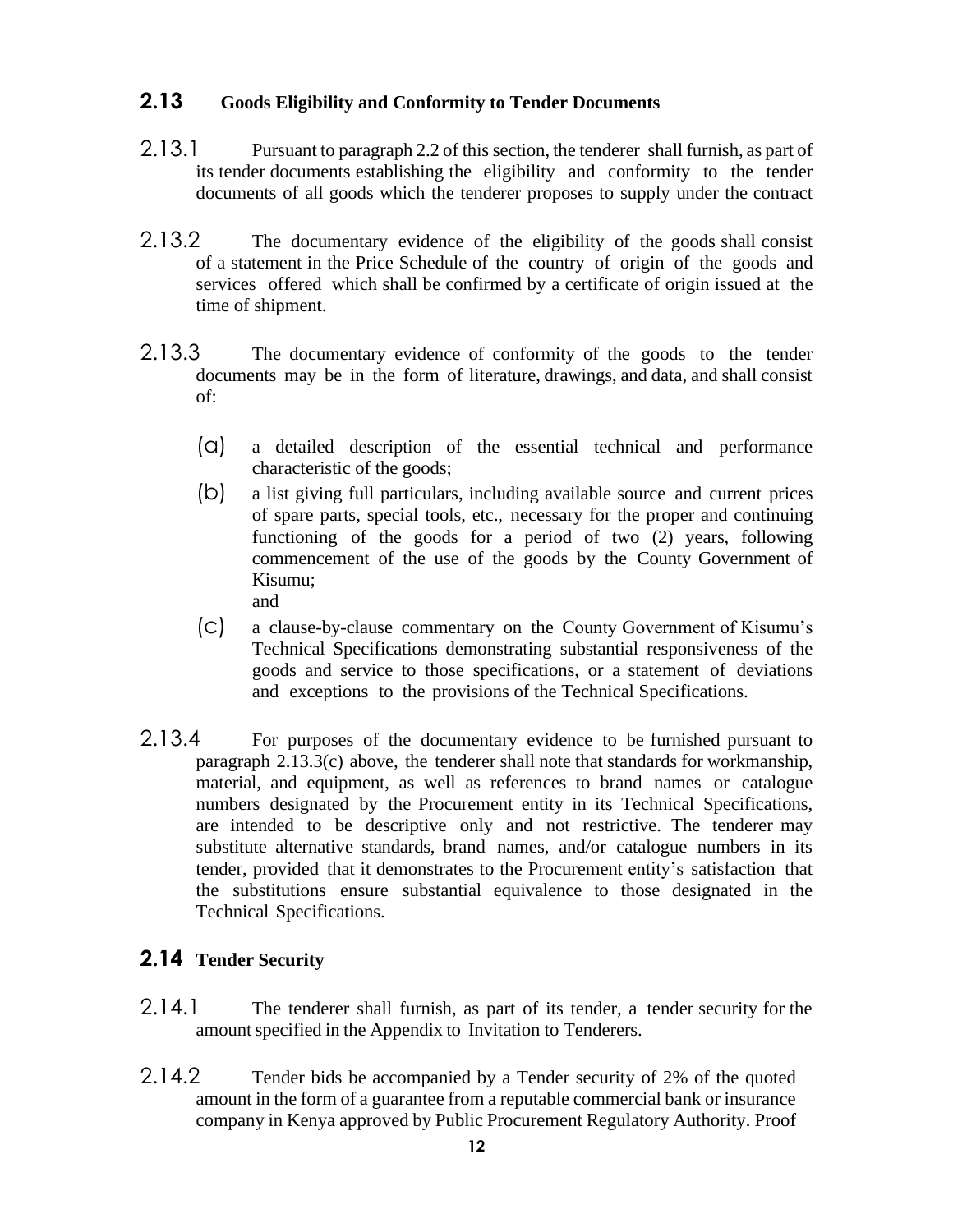### <span id="page-11-0"></span>**2.13 Goods Eligibility and Conformity to Tender Documents**

- 2.13.1 Pursuant to paragraph 2.2 of this section, the tenderer shall furnish, as part of its tender documents establishing the eligibility and conformity to the tender documents of all goods which the tenderer proposes to supply under the contract
- 2.13.2 The documentary evidence of the eligibility of the goods shall consist of a statement in the Price Schedule of the country of origin of the goods and services offered which shall be confirmed by a certificate of origin issued at the time of shipment.
- 2.13.3 The documentary evidence of conformity of the goods to the tender documents may be in the form of literature, drawings, and data, and shall consist of:
	- (a) a detailed description of the essential technical and performance characteristic of the goods;
	- (b) a list giving full particulars, including available source and current prices of spare parts, special tools, etc., necessary for the proper and continuing functioning of the goods for a period of two (2) years, following commencement of the use of the goods by the County Government of Kisumu; and
	- (c) a clause-by-clause commentary on the County Government of Kisumu's Technical Specifications demonstrating substantial responsiveness of the goods and service to those specifications, or a statement of deviations and exceptions to the provisions of the Technical Specifications.
- 2.13.4 For purposes of the documentary evidence to be furnished pursuant to paragraph 2.13.3(c) above, the tenderer shall note that standards for workmanship, material, and equipment, as well as references to brand names or catalogue numbers designated by the Procurement entity in its Technical Specifications, are intended to be descriptive only and not restrictive. The tenderer may substitute alternative standards, brand names, and/or catalogue numbers in its tender, provided that it demonstrates to the Procurement entity's satisfaction that the substitutions ensure substantial equivalence to those designated in the Technical Specifications.

### <span id="page-11-1"></span>**2.14 Tender Security**

- 2.14.1 The tenderer shall furnish, as part of its tender, a tender security for the amount specified in the Appendix to Invitation to Tenderers.
- 2.14.2 Tender bids be accompanied by a Tender security of 2% of the quoted amount in the form of a guarantee from a reputable commercial bank or insurance company in Kenya approved by Public Procurement Regulatory Authority. Proof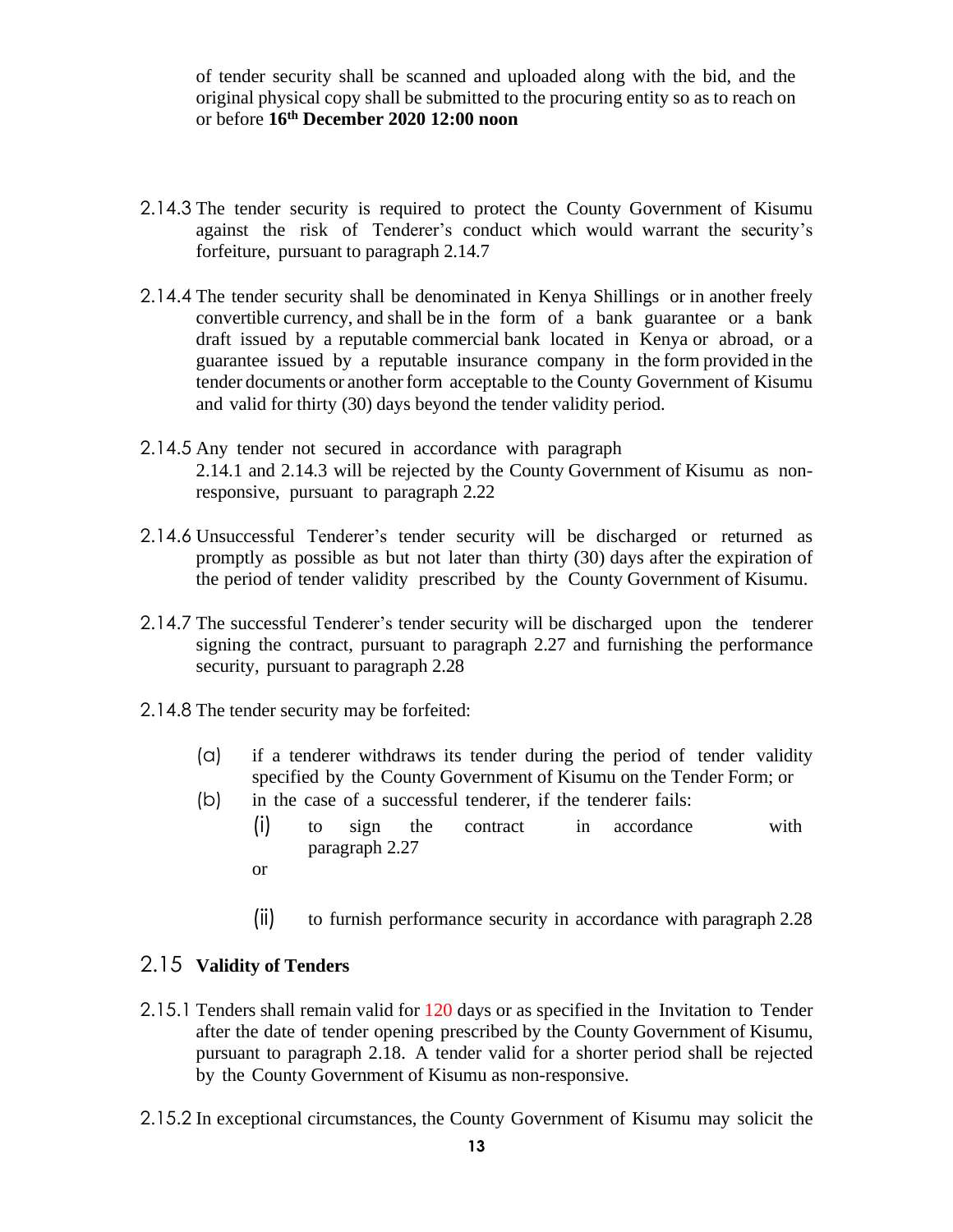of tender security shall be scanned and uploaded along with the bid, and the original physical copy shall be submitted to the procuring entity so as to reach on or before **16th December 2020 12:00 noon**

- 2.14.3 The tender security is required to protect the County Government of Kisumu against the risk of Tenderer's conduct which would warrant the security's forfeiture, pursuant to paragraph 2.14.7
- 2.14.4 The tender security shall be denominated in Kenya Shillings or in another freely convertible currency, and shall be in the form of a bank guarantee or a bank draft issued by a reputable commercial bank located in Kenya or abroad, or a guarantee issued by a reputable insurance company in the form provided in the tender documents or another form acceptable to the County Government of Kisumu and valid for thirty (30) days beyond the tender validity period.
- 2.14.5 Any tender not secured in accordance with paragraph 2.14.1 and 2.14.3 will be rejected by the County Government of Kisumu as nonresponsive, pursuant to paragraph 2.22
- 2.14.6 Unsuccessful Tenderer's tender security will be discharged or returned as promptly as possible as but not later than thirty (30) days after the expiration of the period of tender validity prescribed by the County Government of Kisumu.
- 2.14.7 The successful Tenderer's tender security will be discharged upon the tenderer signing the contract, pursuant to paragraph 2.27 and furnishing the performance security, pursuant to paragraph 2.28
- 2.14.8 The tender security may be forfeited:
	- (a) if a tenderer withdraws its tender during the period of tender validity specified by the County Government of Kisumu on the Tender Form; or
	- (b) in the case of a successful tenderer, if the tenderer fails:
		- (i) to sign the contract in accordance with paragraph 2.27
		- or
		- (ii) to furnish performance security in accordance with paragraph 2.28

### <span id="page-12-0"></span>2.15 **Validity of Tenders**

- 2.15.1 Tenders shall remain valid for 120 days or as specified in the Invitation to Tender after the date of tender opening prescribed by the County Government of Kisumu, pursuant to paragraph 2.18. A tender valid for a shorter period shall be rejected by the County Government of Kisumu as non-responsive.
- 2.15.2 In exceptional circumstances, the County Government of Kisumu may solicit the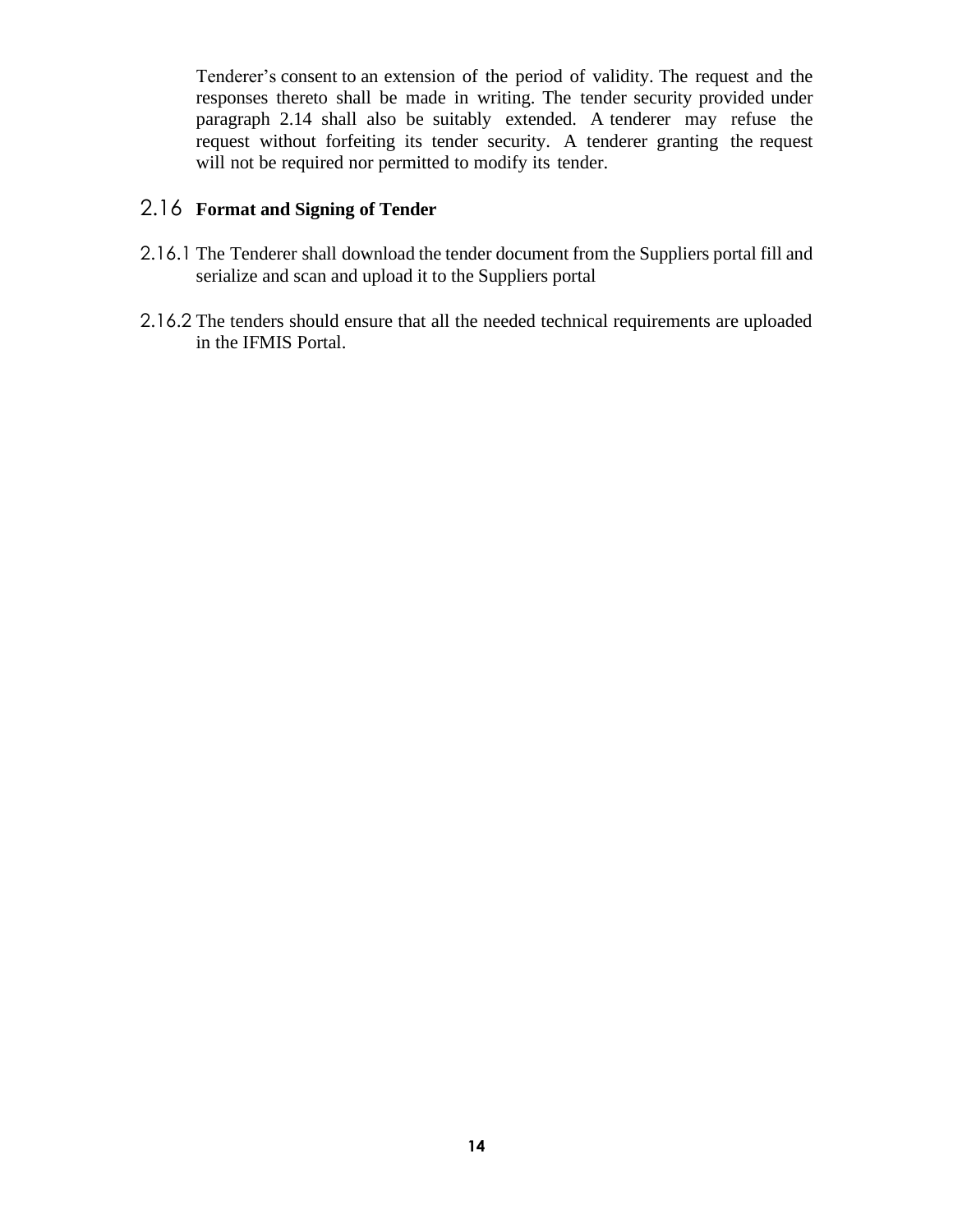Tenderer's consent to an extension of the period of validity. The request and the responses thereto shall be made in writing. The tender security provided under paragraph 2.14 shall also be suitably extended. A tenderer may refuse the request without forfeiting its tender security. A tenderer granting the request will not be required nor permitted to modify its tender.

### <span id="page-13-0"></span>2.16 **Format and Signing of Tender**

- 2.16.1 The Tenderer shall download the tender document from the Suppliers portal fill and serialize and scan and upload it to the Suppliers portal
- 2.16.2 The tenders should ensure that all the needed technical requirements are uploaded in the IFMIS Portal.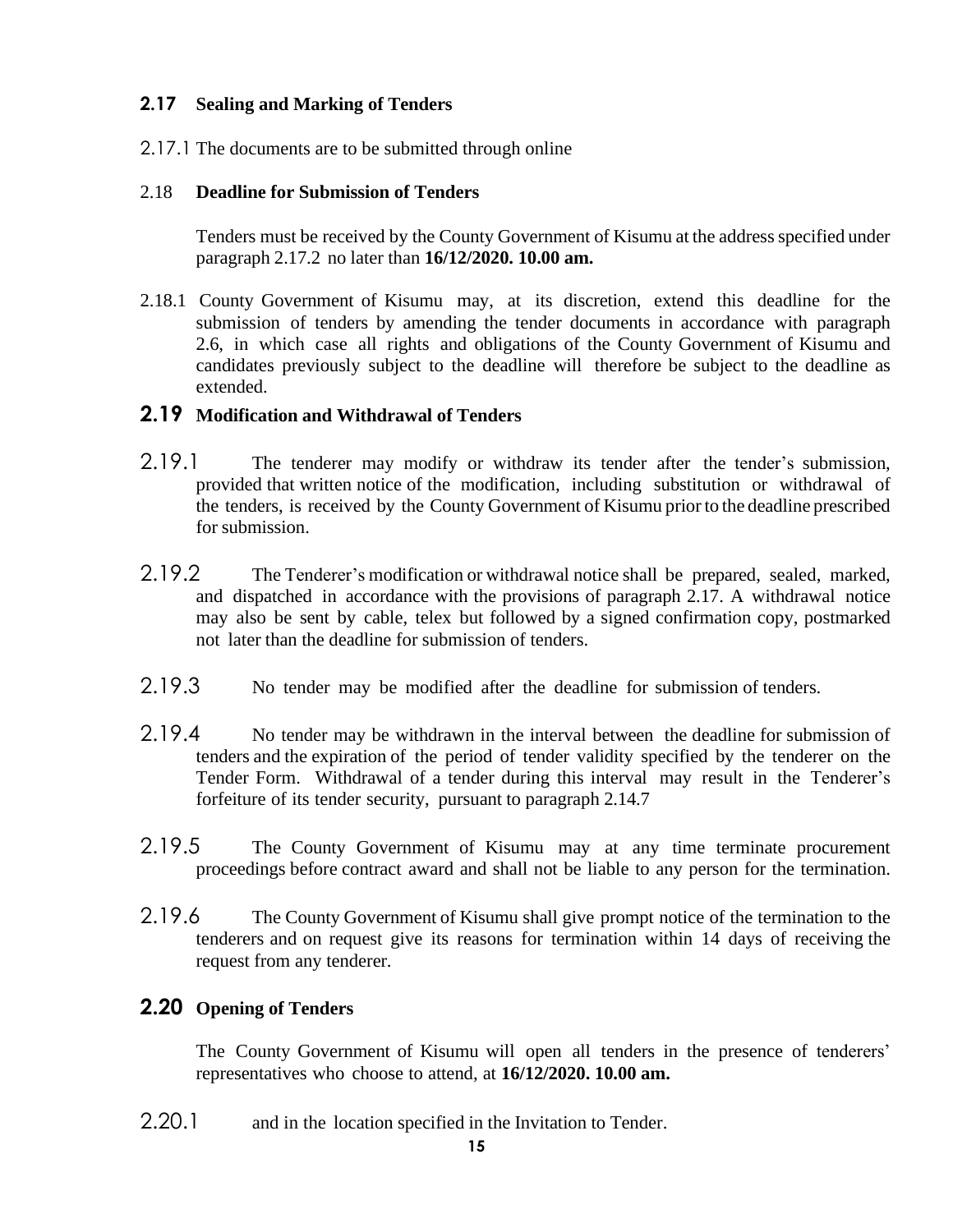#### <span id="page-14-0"></span>**2.17 Sealing and Marking of Tenders**

2.17.1 The documents are to be submitted through online

#### <span id="page-14-1"></span>2.18 **Deadline for Submission of Tenders**

Tenders must be received by the County Government of Kisumu at the address specified under paragraph 2.17.2 no later than **16/12/2020. 10.00 am.**

2.18.1 County Government of Kisumu may, at its discretion, extend this deadline for the submission of tenders by amending the tender documents in accordance with paragraph 2.6, in which case all rights and obligations of the County Government of Kisumu and candidates previously subject to the deadline will therefore be subject to the deadline as extended.

#### <span id="page-14-2"></span>**2.19 Modification and Withdrawal of Tenders**

- 2.19.1 The tenderer may modify or withdraw its tender after the tender's submission, provided that written notice of the modification, including substitution or withdrawal of the tenders, is received by the County Government of Kisumu prior to the deadline prescribed for submission.
- 2.19.2 The Tenderer's modification or withdrawal notice shall be prepared, sealed, marked, and dispatched in accordance with the provisions of paragraph 2.17. A withdrawal notice may also be sent by cable, telex but followed by a signed confirmation copy, postmarked not later than the deadline for submission of tenders.
- 2.19.3 No tender may be modified after the deadline for submission of tenders.
- 2.19.4 No tender may be withdrawn in the interval between the deadline for submission of tenders and the expiration of the period of tender validity specified by the tenderer on the Tender Form. Withdrawal of a tender during this interval may result in the Tenderer's forfeiture of its tender security, pursuant to paragraph 2.14.7
- 2.19.5 The County Government of Kisumu may at any time terminate procurement proceedings before contract award and shall not be liable to any person for the termination.
- 2.19.6 The County Government of Kisumu shall give prompt notice of the termination to the tenderers and on request give its reasons for termination within 14 days of receiving the request from any tenderer.

### <span id="page-14-3"></span>**2.20 Opening of Tenders**

The County Government of Kisumu will open all tenders in the presence of tenderers' representatives who choose to attend, at **16/12/2020. 10.00 am.**

2.20.1 and in the location specified in the Invitation to Tender.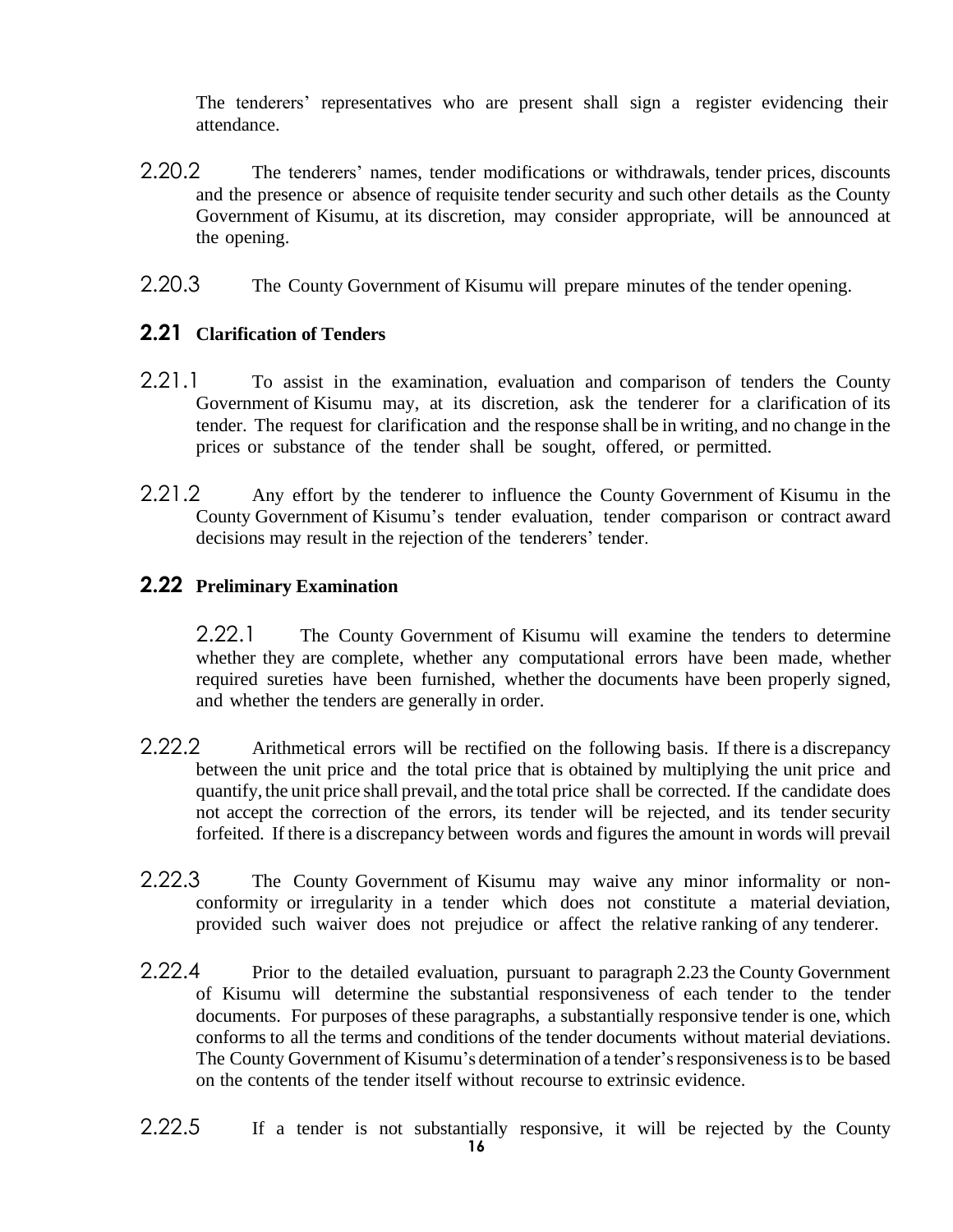The tenderers' representatives who are present shall sign a register evidencing their attendance.

- 2.20.2 The tenderers' names, tender modifications or withdrawals, tender prices, discounts and the presence or absence of requisite tender security and such other details as the County Government of Kisumu, at its discretion, may consider appropriate, will be announced at the opening.
- 2.20.3 The County Government of Kisumu will prepare minutes of the tender opening.

### <span id="page-15-0"></span>**2.21 Clarification of Tenders**

- 2.21.1 To assist in the examination, evaluation and comparison of tenders the County Government of Kisumu may, at its discretion, ask the tenderer for a clarification of its tender. The request for clarification and the response shall be in writing, and no change in the prices or substance of the tender shall be sought, offered, or permitted.
- 2.21.2 Any effort by the tenderer to influence the County Government of Kisumu in the County Government of Kisumu's tender evaluation, tender comparison or contract award decisions may result in the rejection of the tenderers' tender.

#### <span id="page-15-1"></span>**2.22 Preliminary Examination**

2.22.1 The County Government of Kisumu will examine the tenders to determine whether they are complete, whether any computational errors have been made, whether required sureties have been furnished, whether the documents have been properly signed, and whether the tenders are generally in order.

- 2.22.2 Arithmetical errors will be rectified on the following basis. If there is a discrepancy between the unit price and the total price that is obtained by multiplying the unit price and quantify, the unit price shall prevail, and the total price shall be corrected. If the candidate does not accept the correction of the errors, its tender will be rejected, and its tender security forfeited. If there is a discrepancy between words and figures the amount in words will prevail
- 2.22.3 The County Government of Kisumu may waive any minor informality or nonconformity or irregularity in a tender which does not constitute a material deviation, provided such waiver does not prejudice or affect the relative ranking of any tenderer.
- 2.22.4 Prior to the detailed evaluation, pursuant to paragraph 2.23 the County Government of Kisumu will determine the substantial responsiveness of each tender to the tender documents. For purposes of these paragraphs, a substantially responsive tender is one, which conforms to all the terms and conditions of the tender documents without material deviations. The County Government of Kisumu's determination of a tender'sresponsivenessisto be based on the contents of the tender itself without recourse to extrinsic evidence.
- 2.22.5 If a tender is not substantially responsive, it will be rejected by the County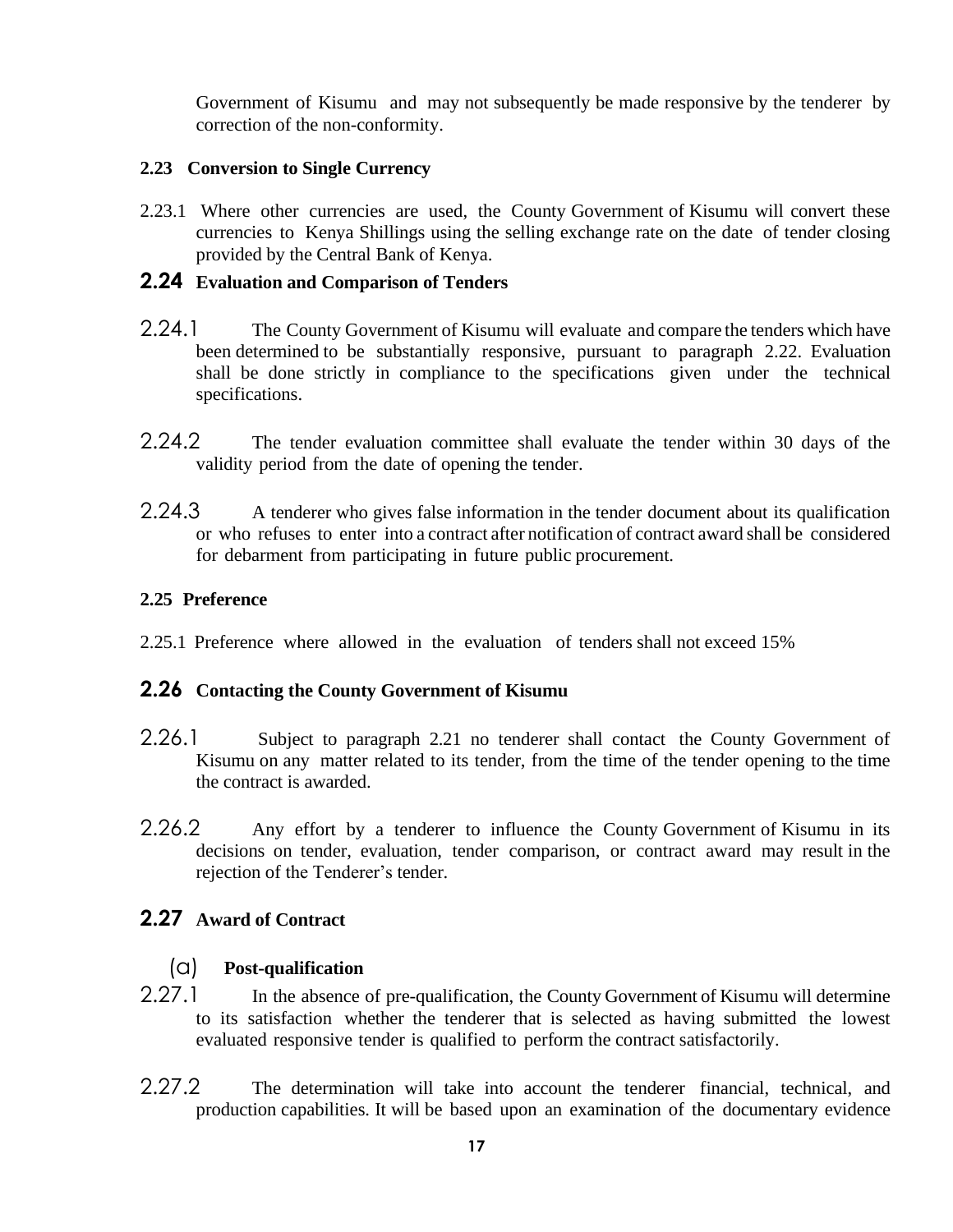Government of Kisumu and may not subsequently be made responsive by the tenderer by correction of the non-conformity.

#### <span id="page-16-0"></span>**2.23 Conversion to Single Currency**

2.23.1 Where other currencies are used, the County Government of Kisumu will convert these currencies to Kenya Shillings using the selling exchange rate on the date of tender closing provided by the Central Bank of Kenya.

#### <span id="page-16-1"></span>**2.24 Evaluation and Comparison of Tenders**

- 2.24.1 The County Government of Kisumu will evaluate and compare the tenders which have been determined to be substantially responsive, pursuant to paragraph 2.22. Evaluation shall be done strictly in compliance to the specifications given under the technical specifications.
- 2.24.2 The tender evaluation committee shall evaluate the tender within 30 days of the validity period from the date of opening the tender.
- 2.24.3 A tenderer who gives false information in the tender document about its qualification or who refuses to enter into a contract after notification of contract award shall be considered for debarment from participating in future public procurement.

#### <span id="page-16-2"></span>**2.25 Preference**

2.25.1 Preference where allowed in the evaluation of tenders shall not exceed 15%

#### <span id="page-16-3"></span>**2.26 Contacting the County Government of Kisumu**

- 2.26.1 Subject to paragraph 2.21 no tenderer shall contact the County Government of Kisumu on any matter related to its tender, from the time of the tender opening to the time the contract is awarded.
- 2.26.2 Any effort by a tenderer to influence the County Government of Kisumu in its decisions on tender, evaluation, tender comparison, or contract award may result in the rejection of the Tenderer's tender.

### <span id="page-16-4"></span>**2.27 Award of Contract**

#### (a) **Post-qualification**

- 2.27.1 In the absence of pre-qualification, the County Government of Kisumu will determine to its satisfaction whether the tenderer that is selected as having submitted the lowest evaluated responsive tender is qualified to perform the contract satisfactorily.
- 2.27.2 The determination will take into account the tenderer financial, technical, and production capabilities. It will be based upon an examination of the documentary evidence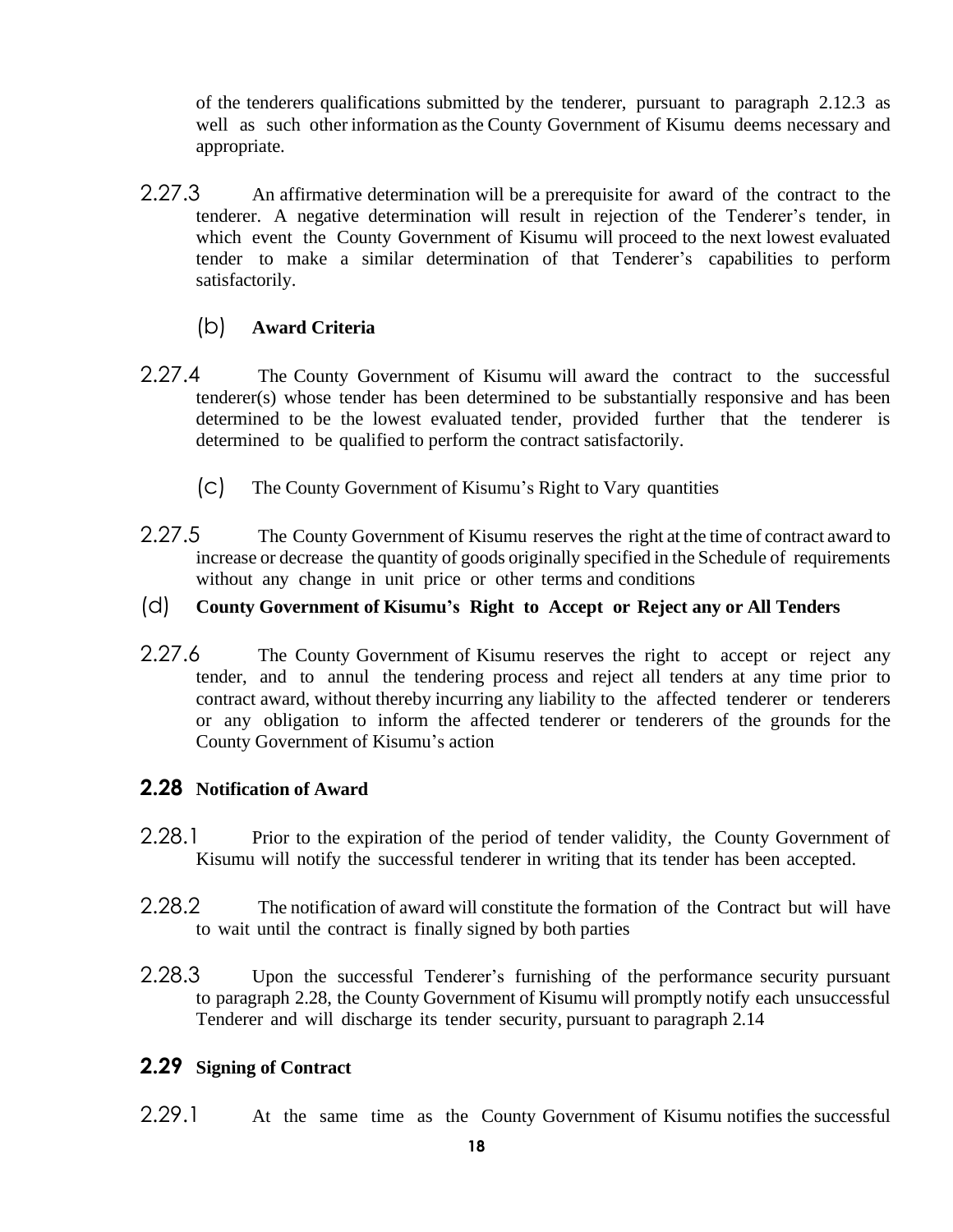of the tenderers qualifications submitted by the tenderer, pursuant to paragraph 2.12.3 as well as such other information as the County Government of Kisumu deems necessary and appropriate.

2.27.3 An affirmative determination will be a prerequisite for award of the contract to the tenderer. A negative determination will result in rejection of the Tenderer's tender, in which event the County Government of Kisumu will proceed to the next lowest evaluated tender to make a similar determination of that Tenderer's capabilities to perform satisfactorily.

### (b) **Award Criteria**

- <span id="page-17-0"></span>2.27.4 The County Government of Kisumu will award the contract to the successful tenderer(s) whose tender has been determined to be substantially responsive and has been determined to be the lowest evaluated tender, provided further that the tenderer is determined to be qualified to perform the contract satisfactorily.
	- (c) The County Government of Kisumu's Right to Vary quantities
- 2.27.5 The County Government of Kisumu reserves the right at the time of contract award to increase or decrease the quantity of goods originally specified in the Schedule of requirements without any change in unit price or other terms and conditions

#### <span id="page-17-1"></span>(d) **County Government of Kisumu's Right to Accept or Reject any or All Tenders**

2.27.6 The County Government of Kisumu reserves the right to accept or reject any tender, and to annul the tendering process and reject all tenders at any time prior to contract award, without thereby incurring any liability to the affected tenderer or tenderers or any obligation to inform the affected tenderer or tenderers of the grounds for the County Government of Kisumu's action

#### <span id="page-17-2"></span>**2.28 Notification of Award**

- 2.28.1 Prior to the expiration of the period of tender validity, the County Government of Kisumu will notify the successful tenderer in writing that its tender has been accepted.
- 2.28.2 The notification of award will constitute the formation of the Contract but will have to wait until the contract is finally signed by both parties
- 2.28.3 Upon the successful Tenderer's furnishing of the performance security pursuant to paragraph 2.28, the County Government of Kisumu will promptly notify each unsuccessful Tenderer and will discharge its tender security, pursuant to paragraph 2.14

#### <span id="page-17-3"></span>**2.29 Signing of Contract**

2.29.1 At the same time as the County Government of Kisumu notifies the successful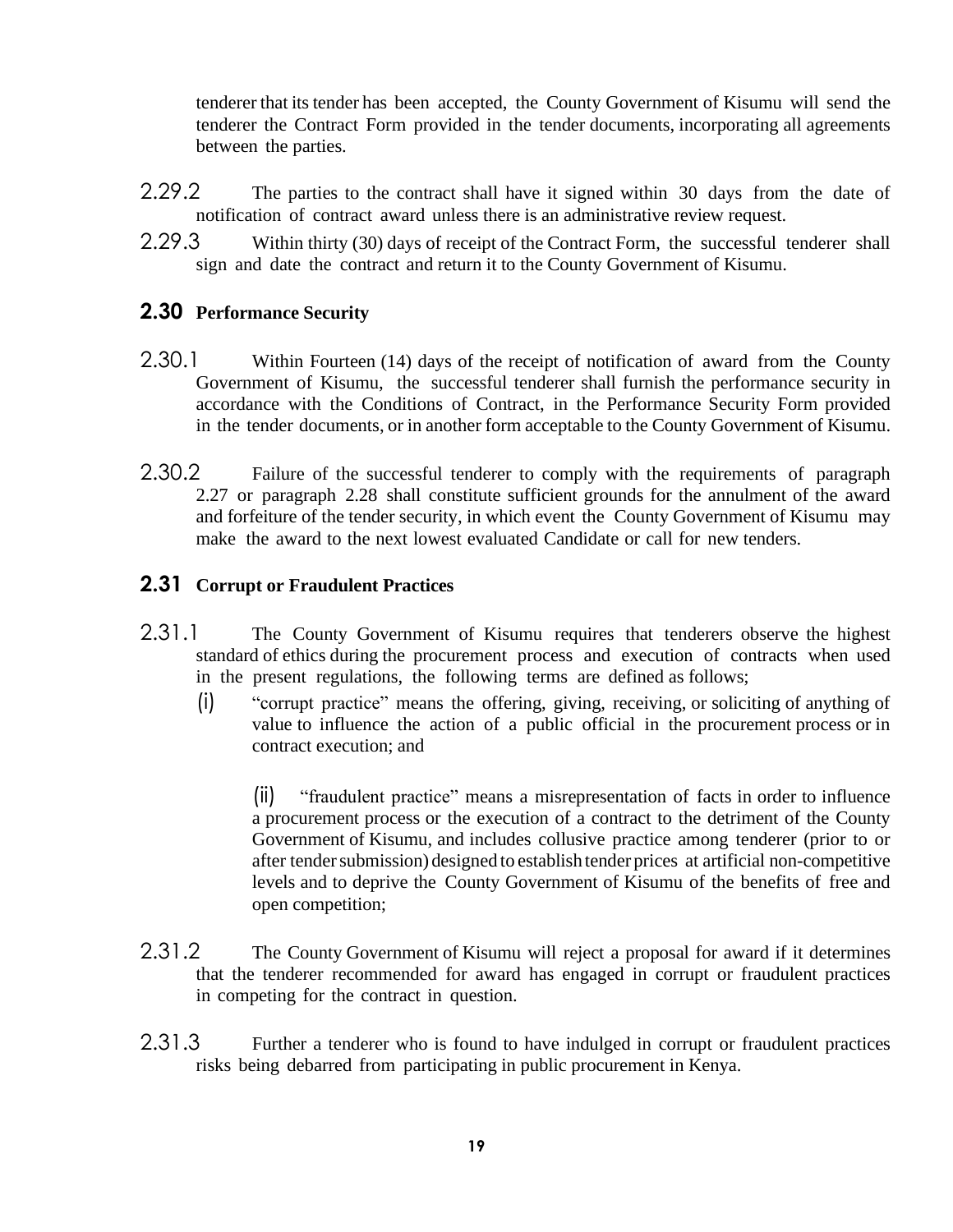tenderer that its tender has been accepted, the County Government of Kisumu will send the tenderer the Contract Form provided in the tender documents, incorporating all agreements between the parties.

- 2.29.2 The parties to the contract shall have it signed within 30 days from the date of notification of contract award unless there is an administrative review request.
- 2.29.3 Within thirty (30) days of receipt of the Contract Form, the successful tenderer shall sign and date the contract and return it to the County Government of Kisumu.

### <span id="page-18-0"></span>**2.30 Performance Security**

- 2.30.1 Within Fourteen (14) days of the receipt of notification of award from the County Government of Kisumu, the successful tenderer shall furnish the performance security in accordance with the Conditions of Contract, in the Performance Security Form provided in the tender documents, or in another form acceptable to the County Government of Kisumu.
- 2.30.2 Failure of the successful tenderer to comply with the requirements of paragraph 2.27 or paragraph 2.28 shall constitute sufficient grounds for the annulment of the award and forfeiture of the tender security, in which event the County Government of Kisumu may make the award to the next lowest evaluated Candidate or call for new tenders.

### <span id="page-18-1"></span>**2.31 Corrupt or Fraudulent Practices**

- 2.31.1 The County Government of Kisumu requires that tenderers observe the highest standard of ethics during the procurement process and execution of contracts when used in the present regulations, the following terms are defined as follows;
	- (i) "corrupt practice" means the offering, giving, receiving, or soliciting of anything of value to influence the action of a public official in the procurement process or in contract execution; and

(ii) "fraudulent practice" means a misrepresentation of facts in order to influence a procurement process or the execution of a contract to the detriment of the County Government of Kisumu, and includes collusive practice among tenderer (prior to or after tender submission) designed to establish tender prices at artificial non-competitive levels and to deprive the County Government of Kisumu of the benefits of free and open competition;

- 2.31.2 The County Government of Kisumu will reject a proposal for award if it determines that the tenderer recommended for award has engaged in corrupt or fraudulent practices in competing for the contract in question.
- 2.31.3 Further a tenderer who is found to have indulged in corrupt or fraudulent practices risks being debarred from participating in public procurement in Kenya.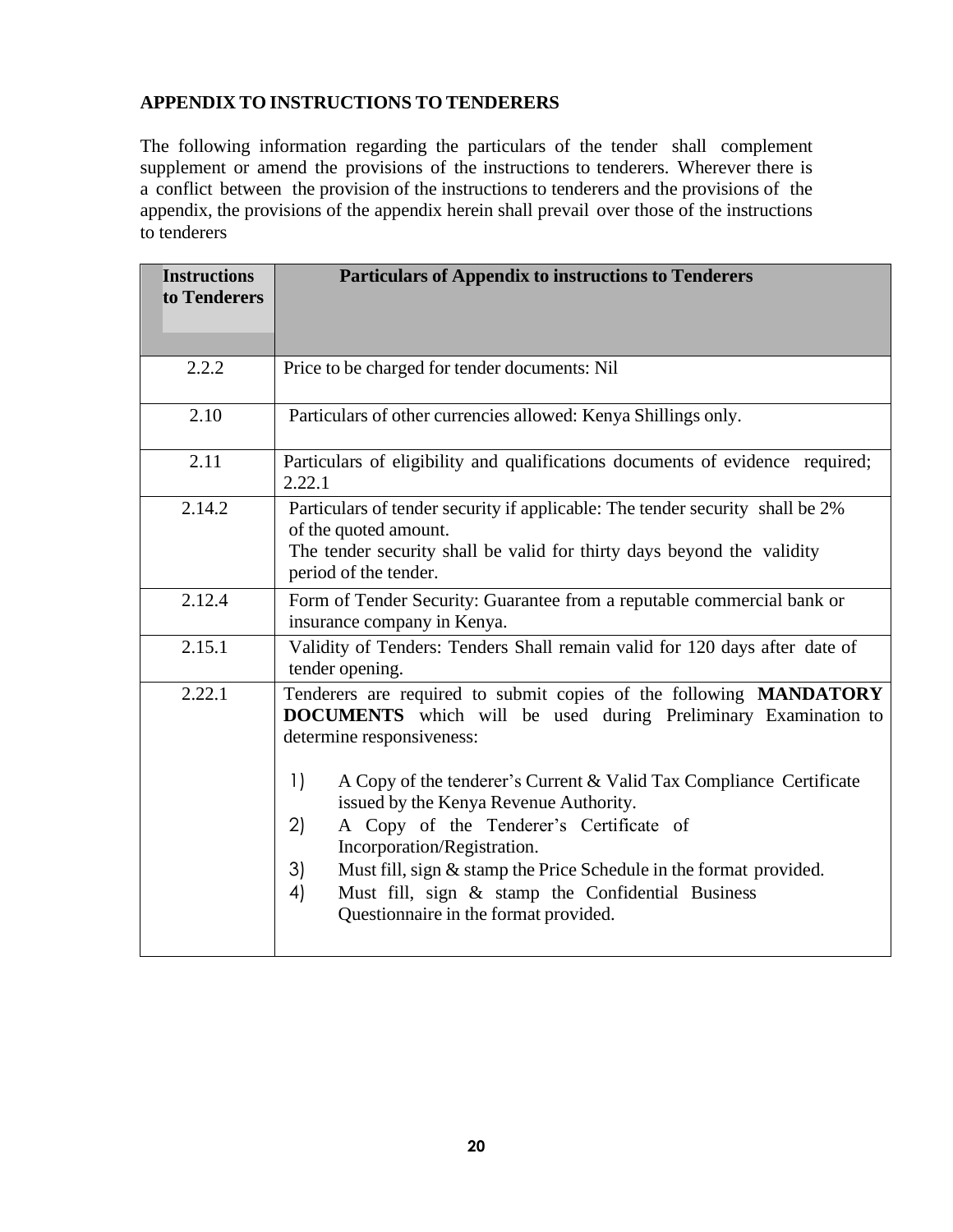### <span id="page-19-0"></span>**APPENDIX TO INSTRUCTIONS TO TENDERERS**

The following information regarding the particulars of the tender shall complement supplement or amend the provisions of the instructions to tenderers. Wherever there is a conflict between the provision of the instructions to tenderers and the provisions of the appendix, the provisions of the appendix herein shall prevail over those of the instructions to tenderers

| <b>Instructions</b><br>to Tenderers | <b>Particulars of Appendix to instructions to Tenderers</b>                                                                                                                                                                                                                                                                                                                                                                                                                                                                                                              |
|-------------------------------------|--------------------------------------------------------------------------------------------------------------------------------------------------------------------------------------------------------------------------------------------------------------------------------------------------------------------------------------------------------------------------------------------------------------------------------------------------------------------------------------------------------------------------------------------------------------------------|
| 2.2.2                               | Price to be charged for tender documents: Nil                                                                                                                                                                                                                                                                                                                                                                                                                                                                                                                            |
| 2.10                                | Particulars of other currencies allowed: Kenya Shillings only.                                                                                                                                                                                                                                                                                                                                                                                                                                                                                                           |
| 2.11                                | Particulars of eligibility and qualifications documents of evidence required;<br>2.22.1                                                                                                                                                                                                                                                                                                                                                                                                                                                                                  |
| 2.14.2                              | Particulars of tender security if applicable: The tender security shall be 2%<br>of the quoted amount.<br>The tender security shall be valid for thirty days beyond the validity<br>period of the tender.                                                                                                                                                                                                                                                                                                                                                                |
| 2.12.4                              | Form of Tender Security: Guarantee from a reputable commercial bank or<br>insurance company in Kenya.                                                                                                                                                                                                                                                                                                                                                                                                                                                                    |
| 2.15.1                              | Validity of Tenders: Tenders Shall remain valid for 120 days after date of<br>tender opening.                                                                                                                                                                                                                                                                                                                                                                                                                                                                            |
| 2.22.1                              | Tenderers are required to submit copies of the following MANDATORY<br>DOCUMENTS which will be used during Preliminary Examination to<br>determine responsiveness:<br>$\left  \ \right $<br>A Copy of the tenderer's Current & Valid Tax Compliance Certificate<br>issued by the Kenya Revenue Authority.<br>A Copy of the Tenderer's Certificate of<br>2)<br>Incorporation/Registration.<br>3)<br>Must fill, sign & stamp the Price Schedule in the format provided.<br>4)<br>Must fill, sign & stamp the Confidential Business<br>Questionnaire in the format provided. |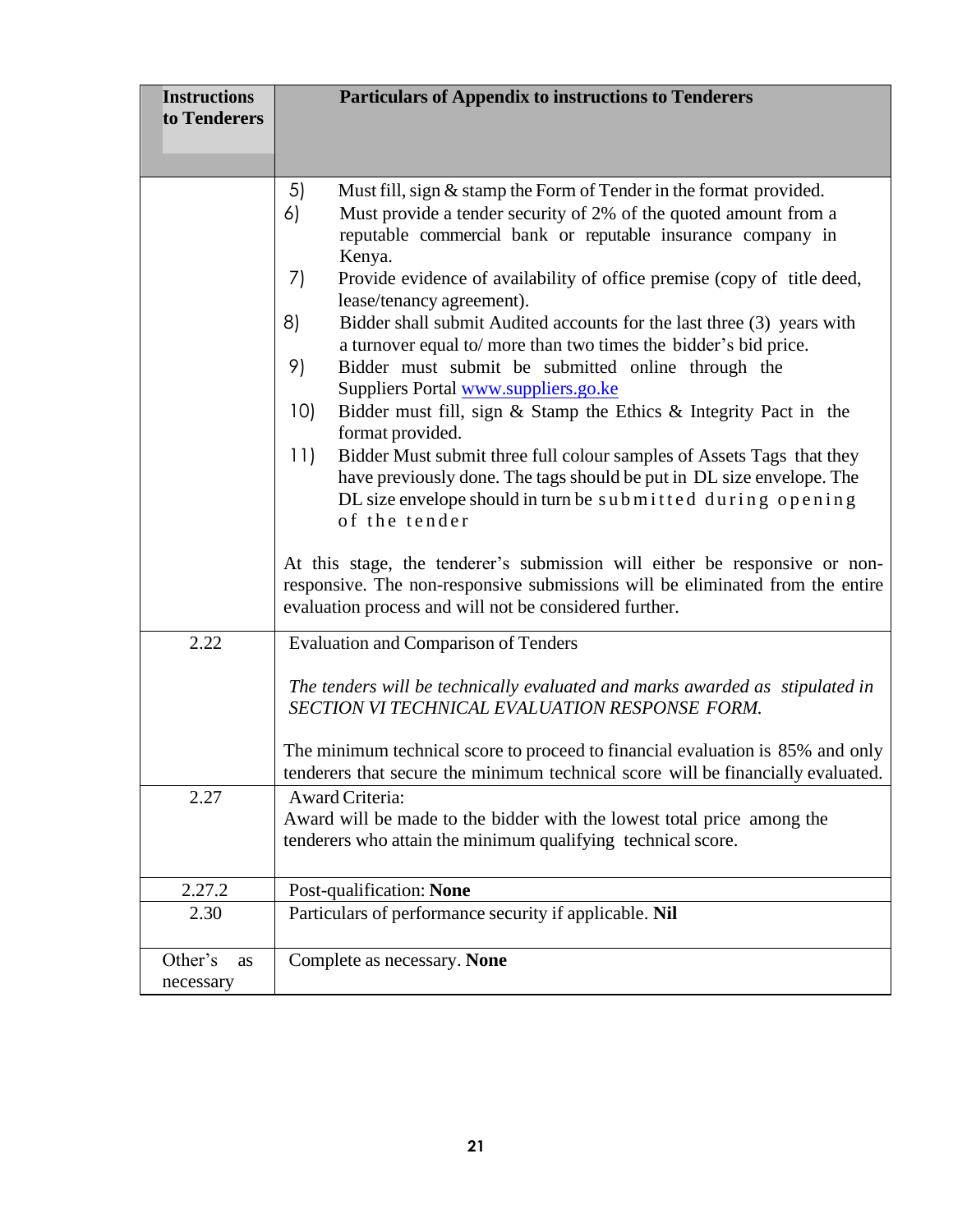| <b>Instructions</b><br>to Tenderers | <b>Particulars of Appendix to instructions to Tenderers</b>                                                                                                                                                                                                                                                                                                                                                                                                                                                                                                                                                                                                                                                                                                                                                                                                                                                                                    |  |
|-------------------------------------|------------------------------------------------------------------------------------------------------------------------------------------------------------------------------------------------------------------------------------------------------------------------------------------------------------------------------------------------------------------------------------------------------------------------------------------------------------------------------------------------------------------------------------------------------------------------------------------------------------------------------------------------------------------------------------------------------------------------------------------------------------------------------------------------------------------------------------------------------------------------------------------------------------------------------------------------|--|
|                                     |                                                                                                                                                                                                                                                                                                                                                                                                                                                                                                                                                                                                                                                                                                                                                                                                                                                                                                                                                |  |
|                                     | 5)<br>Must fill, sign & stamp the Form of Tender in the format provided.<br>Must provide a tender security of 2% of the quoted amount from a<br>6)<br>reputable commercial bank or reputable insurance company in<br>Kenya.<br>7)<br>Provide evidence of availability of office premise (copy of title deed,<br>lease/tenancy agreement).<br>8)<br>Bidder shall submit Audited accounts for the last three (3) years with<br>a turnover equal to/ more than two times the bidder's bid price.<br>9)<br>Bidder must submit be submitted online through the<br>Suppliers Portal www.suppliers.go.ke<br>10)<br>Bidder must fill, sign $&$ Stamp the Ethics $&$ Integrity Pact in the<br>format provided.<br>11)<br>Bidder Must submit three full colour samples of Assets Tags that they<br>have previously done. The tags should be put in DL size envelope. The<br>DL size envelope should in turn be submitted during opening<br>of the tender |  |
|                                     | At this stage, the tenderer's submission will either be responsive or non-<br>responsive. The non-responsive submissions will be eliminated from the entire<br>evaluation process and will not be considered further.                                                                                                                                                                                                                                                                                                                                                                                                                                                                                                                                                                                                                                                                                                                          |  |
| 2.22                                | <b>Evaluation and Comparison of Tenders</b>                                                                                                                                                                                                                                                                                                                                                                                                                                                                                                                                                                                                                                                                                                                                                                                                                                                                                                    |  |
|                                     | The tenders will be technically evaluated and marks awarded as stipulated in<br>SECTION VI TECHNICAL EVALUATION RESPONSE FORM.                                                                                                                                                                                                                                                                                                                                                                                                                                                                                                                                                                                                                                                                                                                                                                                                                 |  |
|                                     | The minimum technical score to proceed to financial evaluation is 85% and only<br>tenderers that secure the minimum technical score will be financially evaluated.                                                                                                                                                                                                                                                                                                                                                                                                                                                                                                                                                                                                                                                                                                                                                                             |  |
| 2.27                                | Award Criteria:<br>Award will be made to the bidder with the lowest total price among the<br>tenderers who attain the minimum qualifying technical score.                                                                                                                                                                                                                                                                                                                                                                                                                                                                                                                                                                                                                                                                                                                                                                                      |  |
| 2.27.2                              | Post-qualification: None                                                                                                                                                                                                                                                                                                                                                                                                                                                                                                                                                                                                                                                                                                                                                                                                                                                                                                                       |  |
| 2.30                                | Particulars of performance security if applicable. Nil                                                                                                                                                                                                                                                                                                                                                                                                                                                                                                                                                                                                                                                                                                                                                                                                                                                                                         |  |
| Other's<br>as<br>necessary          | Complete as necessary. None                                                                                                                                                                                                                                                                                                                                                                                                                                                                                                                                                                                                                                                                                                                                                                                                                                                                                                                    |  |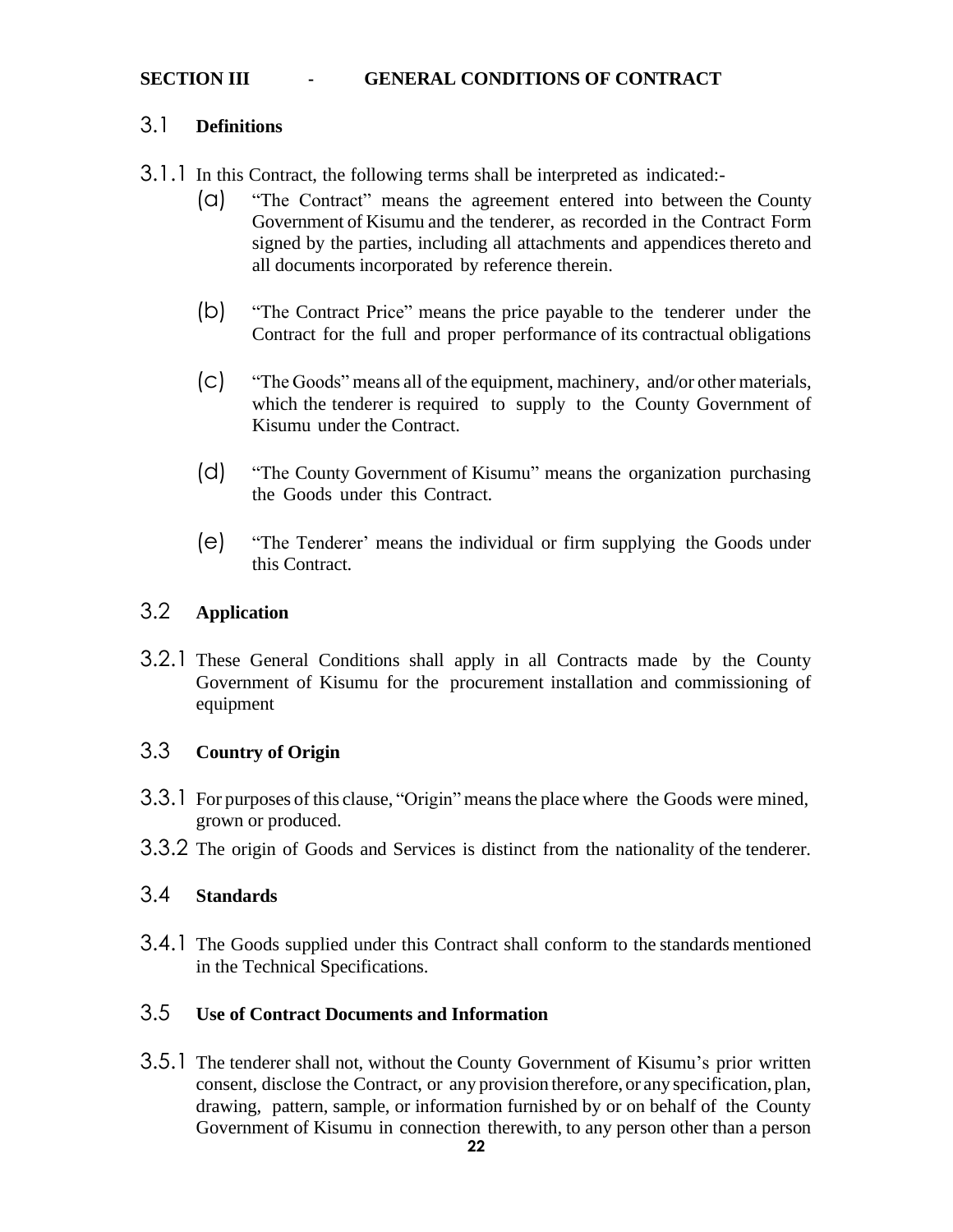#### **SECTION III - GENERAL CONDITIONS OF CONTRACT**

### 3.1 **Definitions**

3.1.1 In this Contract, the following terms shall be interpreted as indicated:-

- (a) "The Contract" means the agreement entered into between the County Government of Kisumu and the tenderer, as recorded in the Contract Form signed by the parties, including all attachments and appendices thereto and all documents incorporated by reference therein.
- (b) "The Contract Price" means the price payable to the tenderer under the Contract for the full and proper performance of its contractual obligations
- (c) "The Goods" means all of the equipment, machinery, and/or other materials, which the tenderer is required to supply to the County Government of Kisumu under the Contract.
- (d) "The County Government of Kisumu" means the organization purchasing the Goods under this Contract.
- (e) "The Tenderer' means the individual or firm supplying the Goods under this Contract.

### <span id="page-21-0"></span>3.2 **Application**

3.2.1 These General Conditions shall apply in all Contracts made by the County Government of Kisumu for the procurement installation and commissioning of equipment

### <span id="page-21-1"></span>3.3 **Country of Origin**

- 3.3.1 For purposes of this clause, "Origin" meansthe place where the Goods were mined, grown or produced.
- 3.3.2 The origin of Goods and Services is distinct from the nationality of the tenderer.

### <span id="page-21-2"></span>3.4 **Standards**

3.4.1 The Goods supplied under this Contract shall conform to the standards mentioned in the Technical Specifications.

### <span id="page-21-3"></span>3.5 **Use of Contract Documents and Information**

3.5.1 The tenderer shall not, without the County Government of Kisumu's prior written consent, disclose the Contract, or any provision therefore, or any specification, plan, drawing, pattern, sample, or information furnished by or on behalf of the County Government of Kisumu in connection therewith, to any person other than a person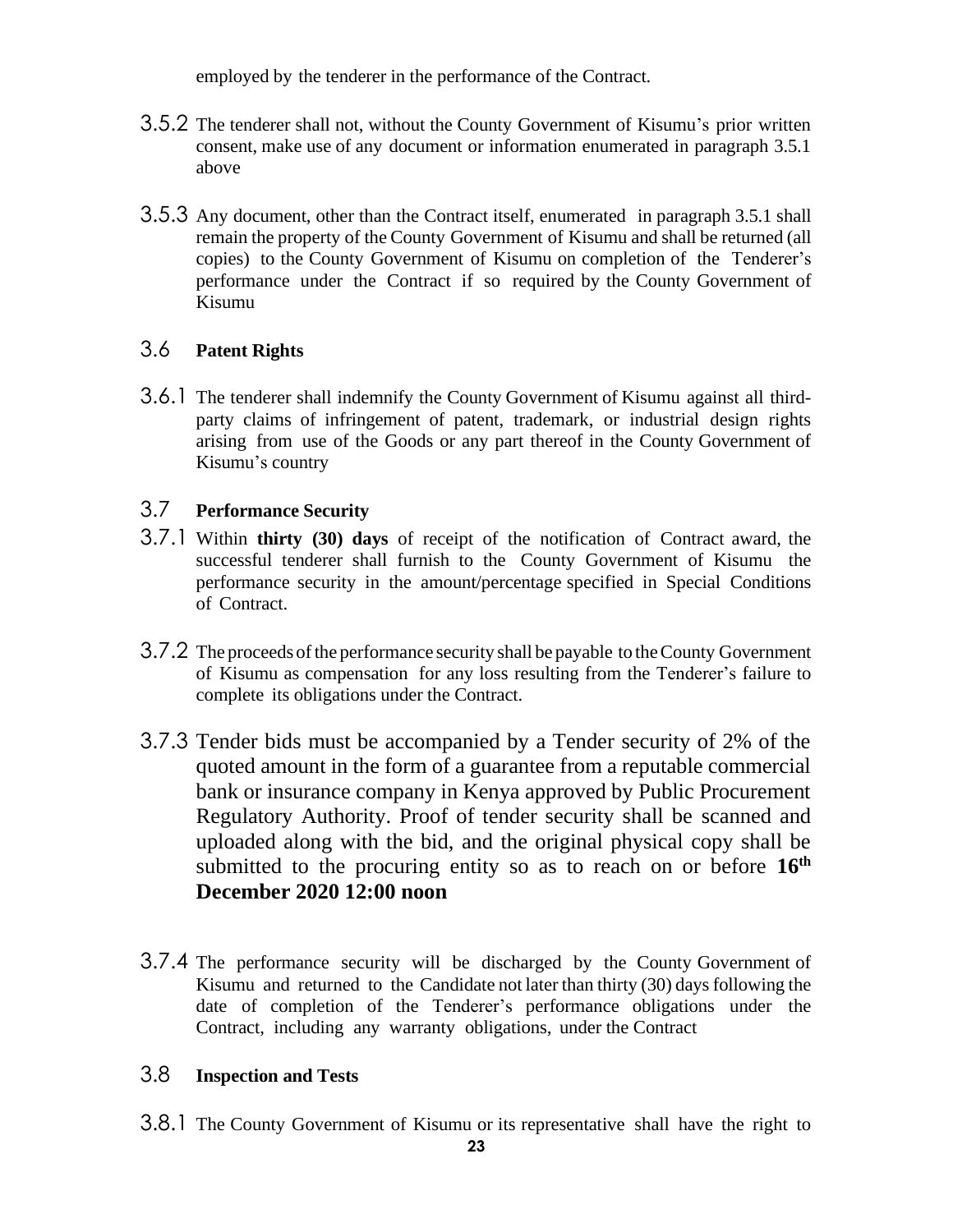employed by the tenderer in the performance of the Contract.

- 3.5.2 The tenderer shall not, without the County Government of Kisumu's prior written consent, make use of any document or information enumerated in paragraph 3.5.1 above
- 3.5.3 Any document, other than the Contract itself, enumerated in paragraph 3.5.1 shall remain the property of the County Government of Kisumu and shall be returned (all copies) to the County Government of Kisumu on completion of the Tenderer's performance under the Contract if so required by the County Government of Kisumu

### <span id="page-22-0"></span>3.6 **Patent Rights**

3.6.1 The tenderer shall indemnify the County Government of Kisumu against all thirdparty claims of infringement of patent, trademark, or industrial design rights arising from use of the Goods or any part thereof in the County Government of Kisumu's country

### <span id="page-22-1"></span>3.7 **Performance Security**

- 3.7.1 Within **thirty (30) days** of receipt of the notification of Contract award, the successful tenderer shall furnish to the County Government of Kisumu the performance security in the amount/percentage specified in Special Conditions of Contract.
- 3.7.2 The proceeds ofthe performance security shall be payable to theCounty Government of Kisumu as compensation for any loss resulting from the Tenderer's failure to complete its obligations under the Contract.
- 3.7.3 Tender bids must be accompanied by a Tender security of 2% of the quoted amount in the form of a guarantee from a reputable commercial bank or insurance company in Kenya approved by Public Procurement Regulatory Authority. Proof of tender security shall be scanned and uploaded along with the bid, and the original physical copy shall be submitted to the procuring entity so as to reach on or before **16th December 2020 12:00 noon**
- 3.7.4 The performance security will be discharged by the County Government of Kisumu and returned to the Candidate not later than thirty (30) daysfollowing the date of completion of the Tenderer's performance obligations under the Contract, including any warranty obligations, under the Contract

### <span id="page-22-2"></span>3.8 **Inspection and Tests**

3.8.1 The County Government of Kisumu or its representative shall have the right to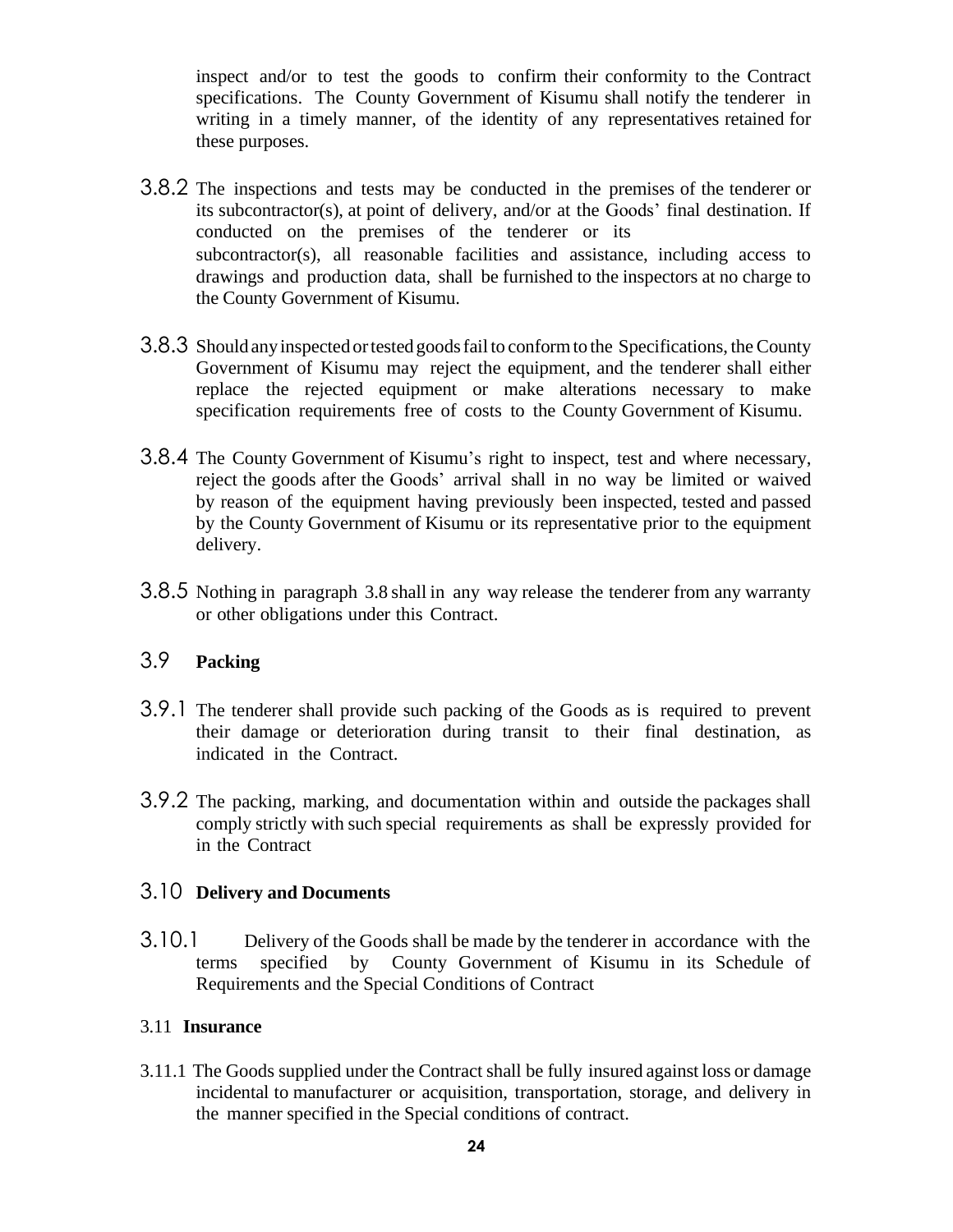inspect and/or to test the goods to confirm their conformity to the Contract specifications. The County Government of Kisumu shall notify the tenderer in writing in a timely manner, of the identity of any representatives retained for these purposes.

- 3.8.2 The inspections and tests may be conducted in the premises of the tenderer or its subcontractor(s), at point of delivery, and/or at the Goods' final destination. If conducted on the premises of the tenderer or its subcontractor(s), all reasonable facilities and assistance, including access to drawings and production data, shall be furnished to the inspectors at no charge to the County Government of Kisumu.
- 3.8.3 Should any inspected or tested goods fail to conform to the Specifications, the County Government of Kisumu may reject the equipment, and the tenderer shall either replace the rejected equipment or make alterations necessary to make specification requirements free of costs to the County Government of Kisumu.
- 3.8.4 The County Government of Kisumu's right to inspect, test and where necessary, reject the goods after the Goods' arrival shall in no way be limited or waived by reason of the equipment having previously been inspected, tested and passed by the County Government of Kisumu or its representative prior to the equipment delivery.
- 3.8.5 Nothing in paragraph 3.8 shall in any way release the tenderer from any warranty or other obligations under this Contract.

### <span id="page-23-0"></span>3.9 **Packing**

- 3.9.1 The tenderer shall provide such packing of the Goods as is required to prevent their damage or deterioration during transit to their final destination, as indicated in the Contract.
- 3.9.2 The packing, marking, and documentation within and outside the packages shall comply strictly with such special requirements as shall be expressly provided for in the Contract

#### <span id="page-23-1"></span>3.10 **Delivery and Documents**

3.10.1 Delivery of the Goods shall be made by the tenderer in accordance with the terms specified by County Government of Kisumu in its Schedule of Requirements and the Special Conditions of Contract

#### 3.11 **Insurance**

3.11.1 The Goods supplied under the Contract shall be fully insured against loss or damage incidental to manufacturer or acquisition, transportation, storage, and delivery in the manner specified in the Special conditions of contract.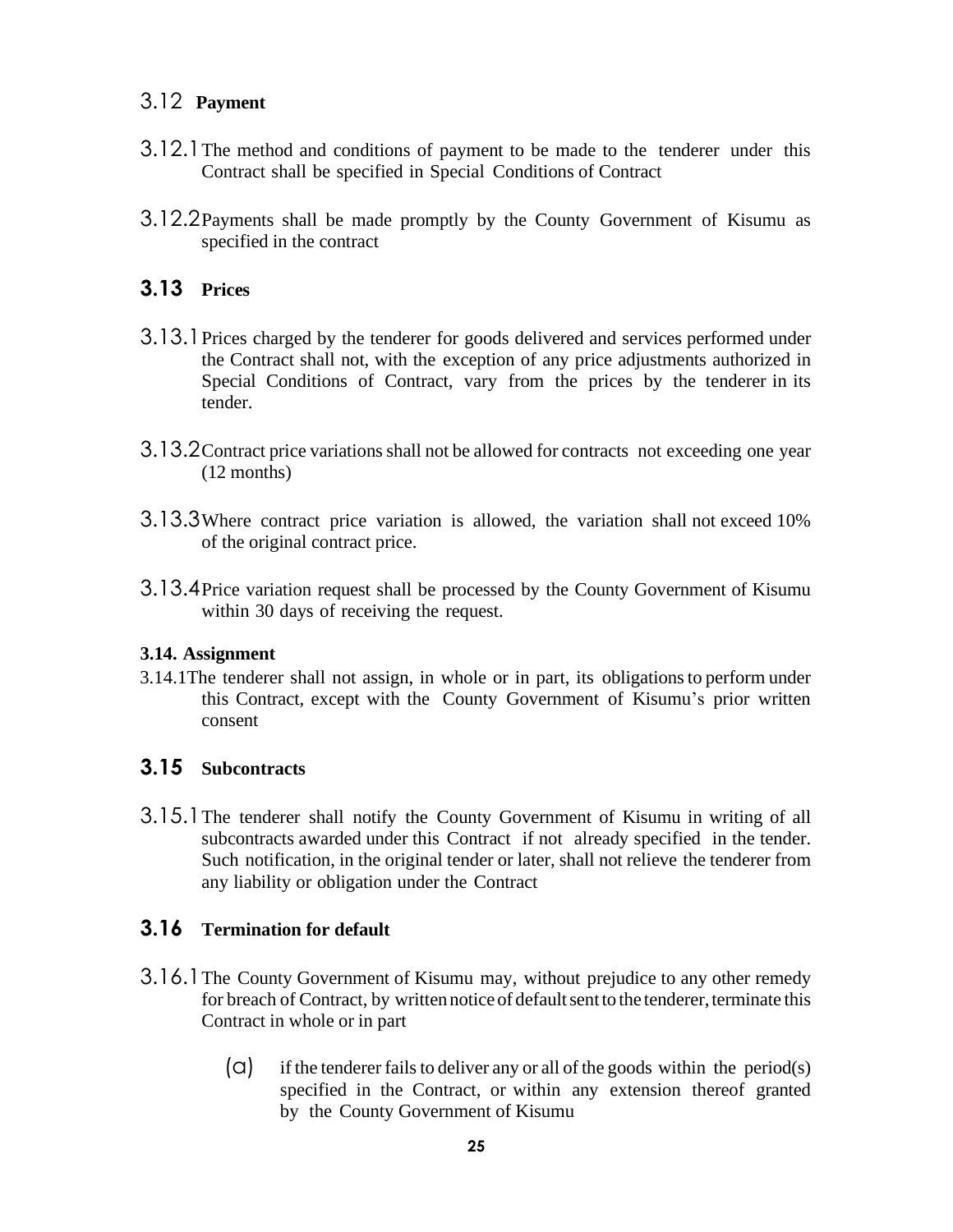### <span id="page-24-0"></span>3.12 **Payment**

- 3.12.1The method and conditions of payment to be made to the tenderer under this Contract shall be specified in Special Conditions of Contract
- 3.12.2Payments shall be made promptly by the County Government of Kisumu as specified in the contract

### <span id="page-24-1"></span>**3.13 Prices**

- 3.13.1Prices charged by the tenderer for goods delivered and services performed under the Contract shall not, with the exception of any price adjustments authorized in Special Conditions of Contract, vary from the prices by the tenderer in its tender.
- 3.13.2 Contract price variations shall not be allowed for contracts not exceeding one year (12 months)
- 3.13.3Where contract price variation is allowed, the variation shall not exceed 10% of the original contract price.
- 3.13.4Price variation request shall be processed by the County Government of Kisumu within 30 days of receiving the request.

#### <span id="page-24-2"></span>**3.14. Assignment**

3.14.1The tenderer shall not assign, in whole or in part, its obligationsto perform under this Contract, except with the County Government of Kisumu's prior written consent

### <span id="page-24-3"></span>**3.15 Subcontracts**

3.15.1The tenderer shall notify the County Government of Kisumu in writing of all subcontracts awarded under this Contract if not already specified in the tender. Such notification, in the original tender or later, shall not relieve the tenderer from any liability or obligation under the Contract

### <span id="page-24-4"></span>**3.16 Termination for default**

- 3.16.1The County Government of Kisumu may, without prejudice to any other remedy for breach of Contract, by written notice of default sent to the tenderer, terminate this Contract in whole or in part
	- $\Box$  if the tenderer fails to deliver any or all of the goods within the period(s) specified in the Contract, or within any extension thereof granted by the County Government of Kisumu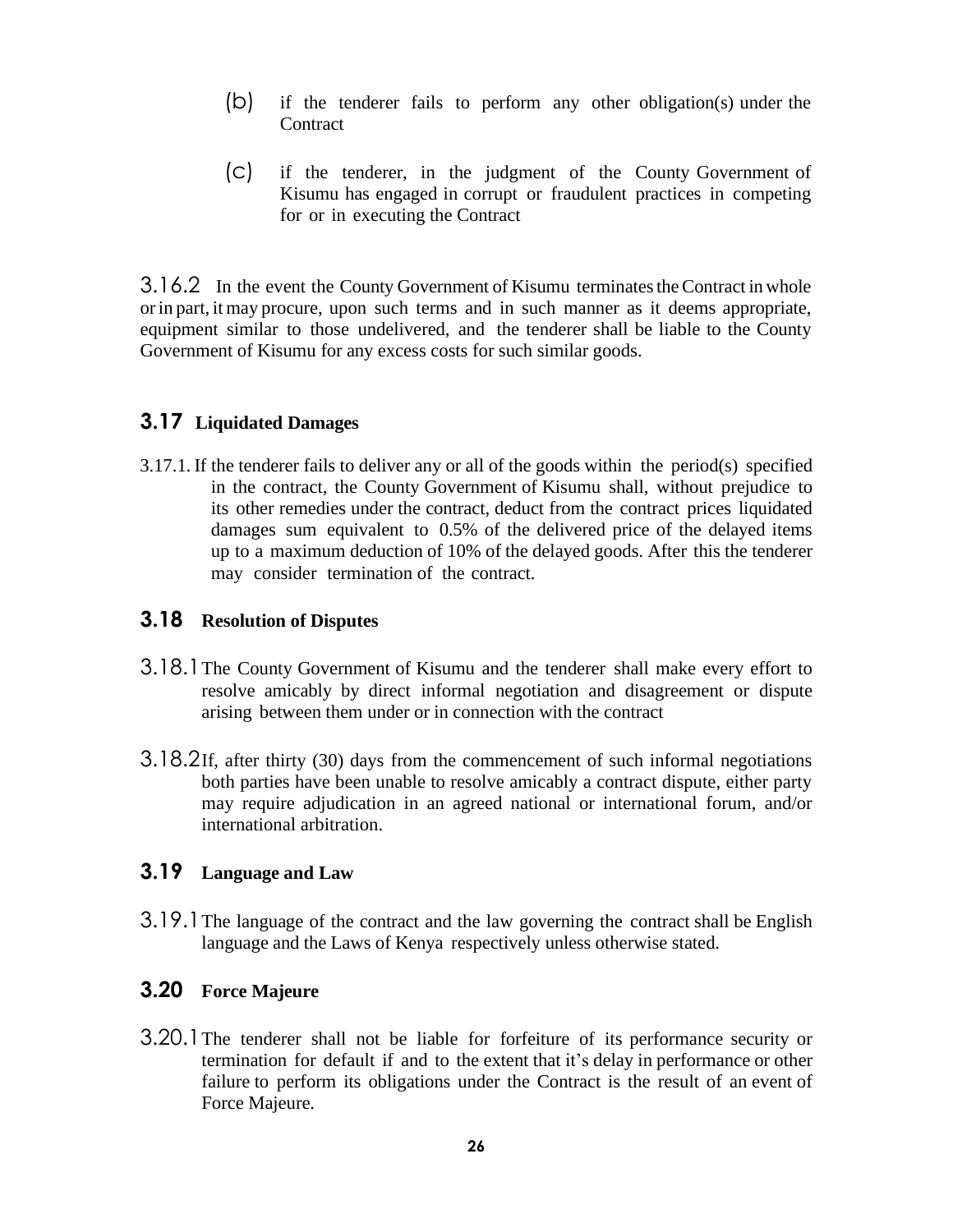- (b) if the tenderer fails to perform any other obligation(s) under the **Contract**
- (c) if the tenderer, in the judgment of the County Government of Kisumu has engaged in corrupt or fraudulent practices in competing for or in executing the Contract

3.16.2 In the event the County Government of Kisumu terminatestheContract in whole orin part, it may procure, upon such terms and in such manner as it deems appropriate, equipment similar to those undelivered, and the tenderer shall be liable to the County Government of Kisumu for any excess costs for such similar goods.

#### **3.17 Liquidated Damages**

3.17.1. If the tenderer fails to deliver any or all of the goods within the period(s) specified in the contract, the County Government of Kisumu shall, without prejudice to its other remedies under the contract, deduct from the contract prices liquidated damages sum equivalent to 0.5% of the delivered price of the delayed items up to a maximum deduction of 10% of the delayed goods. After this the tenderer may consider termination of the contract.

#### <span id="page-25-0"></span>**3.18 Resolution of Disputes**

- 3.18.1The County Government of Kisumu and the tenderer shall make every effort to resolve amicably by direct informal negotiation and disagreement or dispute arising between them under or in connection with the contract
- 3.18.2If, after thirty (30) days from the commencement of such informal negotiations both parties have been unable to resolve amicably a contract dispute, either party may require adjudication in an agreed national or international forum, and/or international arbitration.

#### <span id="page-25-1"></span>**3.19 Language and Law**

3.19.1The language of the contract and the law governing the contract shall be English language and the Laws of Kenya respectively unless otherwise stated.

### <span id="page-25-2"></span>**3.20 Force Majeure**

3.20.1The tenderer shall not be liable for forfeiture of its performance security or termination for default if and to the extent that it's delay in performance or other failure to perform its obligations under the Contract is the result of an event of Force Majeure.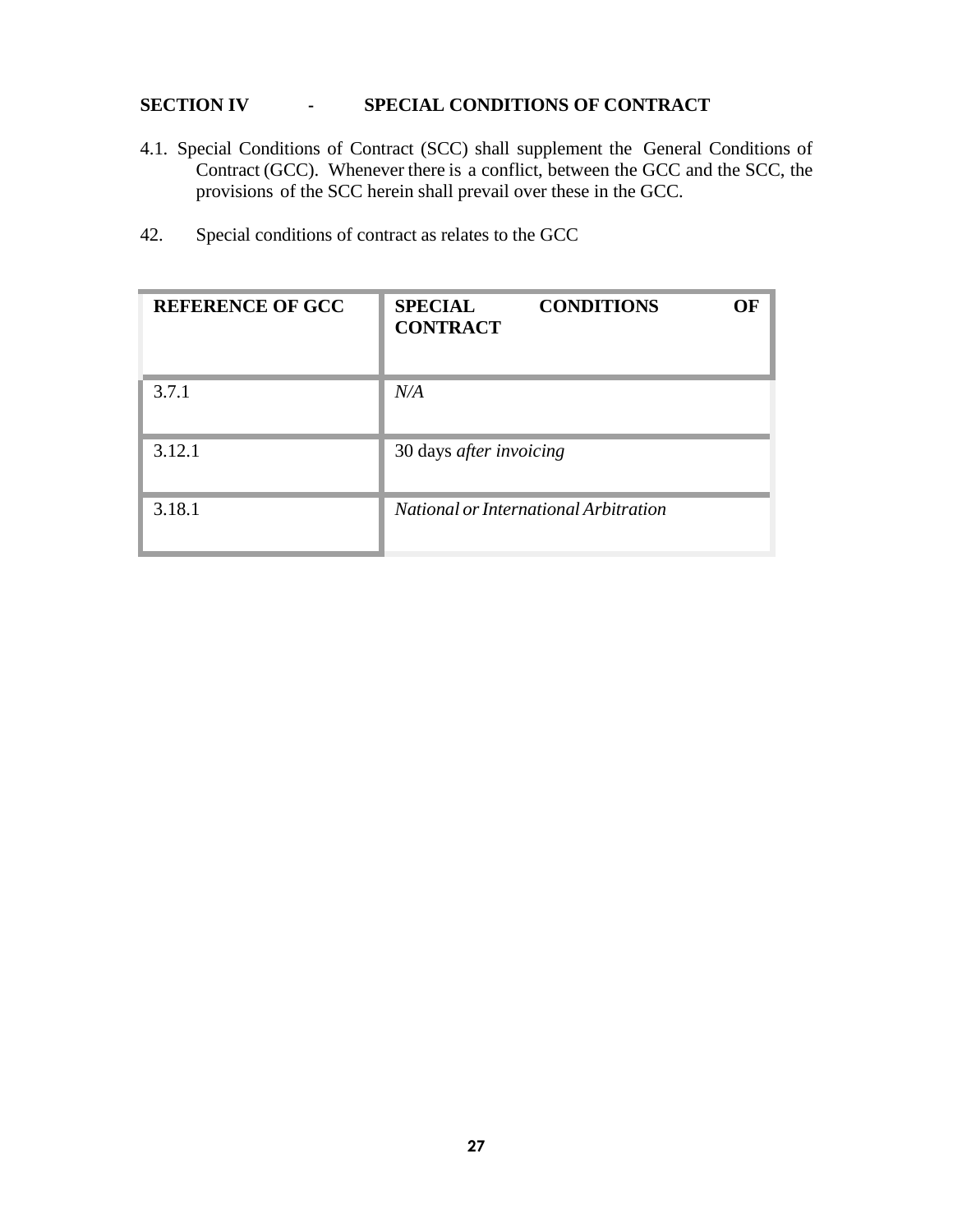#### <span id="page-26-0"></span>**SECTION IV - SPECIAL CONDITIONS OF CONTRACT**

- 4.1. Special Conditions of Contract (SCC) shall supplement the General Conditions of Contract (GCC). Whenever there is a conflict, between the GCC and the SCC, the provisions of the SCC herein shall prevail over these in the GCC.
- 42. Special conditions of contract as relates to the GCC

| <b>REFERENCE OF GCC</b> | <b>SPECIAL</b><br>OЕ<br><b>CONDITIONS</b><br><b>CONTRACT</b> |
|-------------------------|--------------------------------------------------------------|
| 3.7.1                   | N/A                                                          |
| 3.12.1                  | 30 days after invoicing                                      |
| 3.18.1                  | National or International Arbitration                        |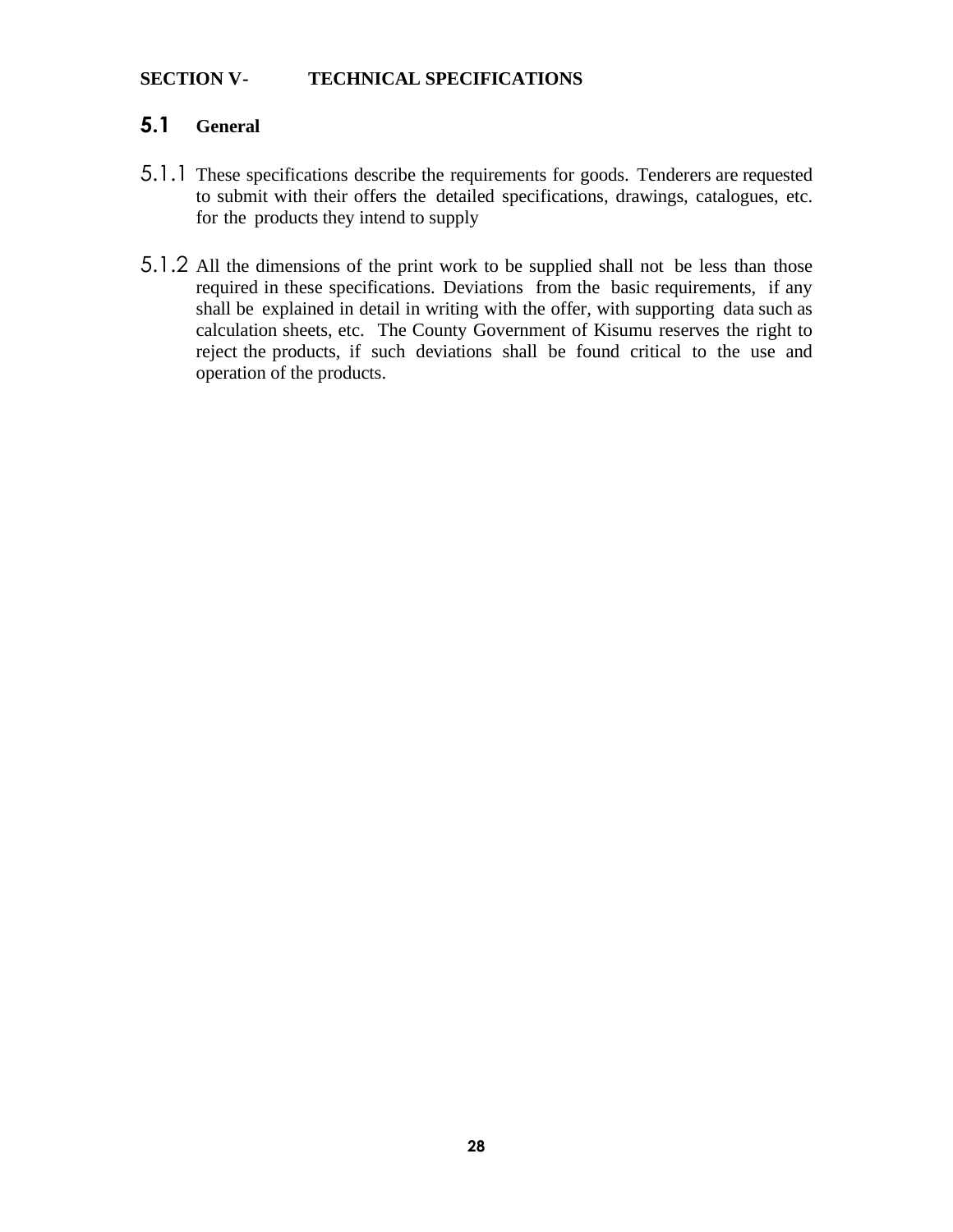#### <span id="page-27-0"></span>**SECTION V- TECHNICAL SPECIFICATIONS**

### **5.1 General**

- 5.1.1 These specifications describe the requirements for goods. Tenderers are requested to submit with their offers the detailed specifications, drawings, catalogues, etc. for the products they intend to supply
- 5.1.2 All the dimensions of the print work to be supplied shall not be less than those required in these specifications. Deviations from the basic requirements, if any shall be explained in detail in writing with the offer, with supporting data such as calculation sheets, etc. The County Government of Kisumu reserves the right to reject the products, if such deviations shall be found critical to the use and operation of the products.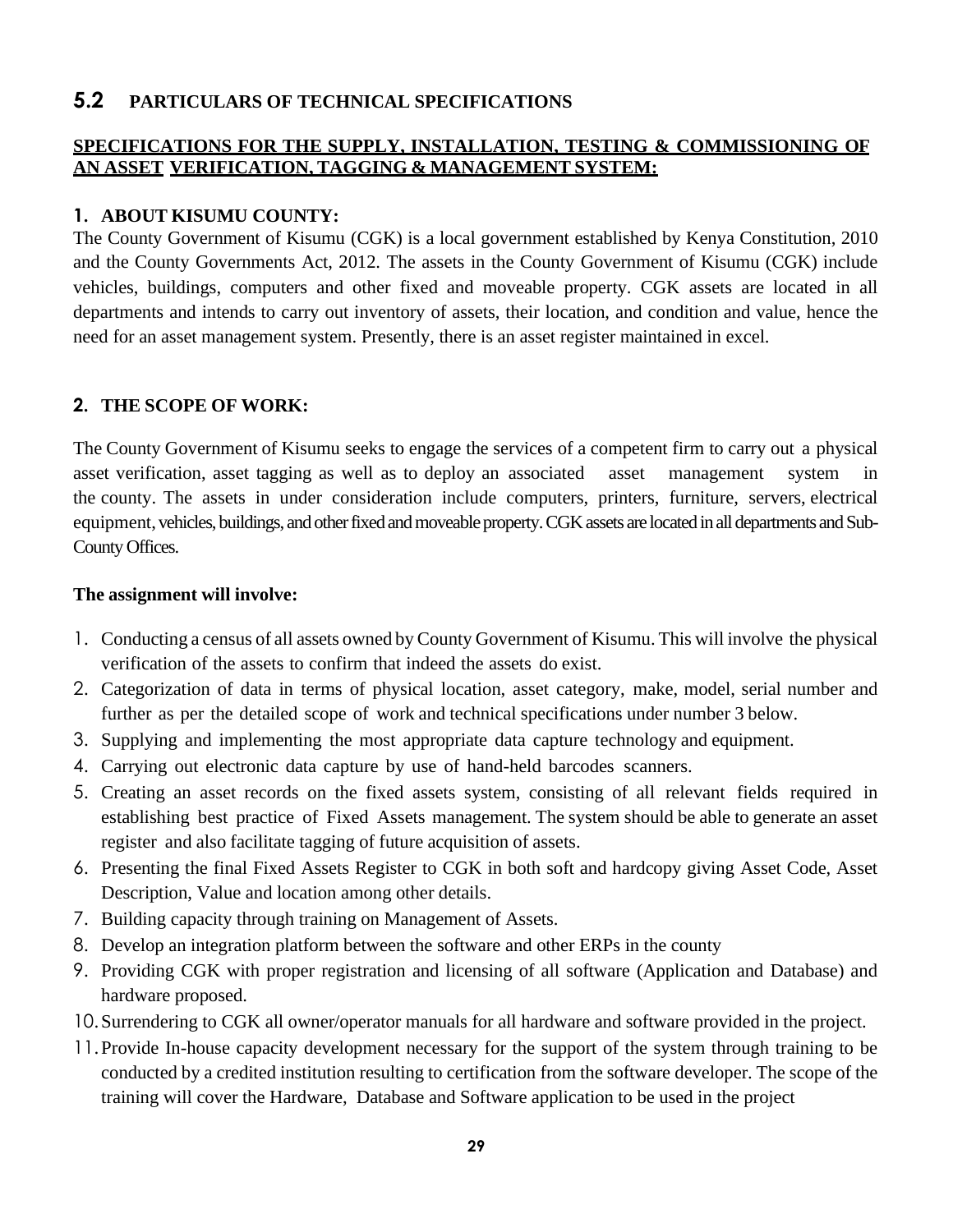### <span id="page-28-0"></span>**5.2 PARTICULARS OF TECHNICAL SPECIFICATIONS**

#### **SPECIFICATIONS FOR THE SUPPLY, INSTALLATION, TESTING & COMMISSIONING OF AN ASSET VERIFICATION, TAGGING & MANAGEMENT SYSTEM:**

#### **1. ABOUT KISUMU COUNTY:**

The County Government of Kisumu (CGK) is a local government established by Kenya Constitution, 2010 and the County Governments Act, 2012. The assets in the County Government of Kisumu (CGK) include vehicles, buildings, computers and other fixed and moveable property. CGK assets are located in all departments and intends to carry out inventory of assets, their location, and condition and value, hence the need for an asset management system. Presently, there is an asset register maintained in excel.

#### **2. THE SCOPE OF WORK:**

The County Government of Kisumu seeks to engage the services of a competent firm to carry out a physical asset verification, asset tagging as well as to deploy an associated asset management system in the county. The assets in under consideration include computers, printers, furniture, servers, electrical equipment, vehicles, buildings, and other fixed and moveable property. CGK assets are located in all departments and Sub-County Offices.

#### **The assignment will involve:**

- 1. Conducting a census of all assets owned by County Government of Kisumu. This will involve the physical verification of the assets to confirm that indeed the assets do exist.
- 2. Categorization of data in terms of physical location, asset category, make, model, serial number and further as per the detailed scope of work and technical specifications under number 3 below.
- 3. Supplying and implementing the most appropriate data capture technology and equipment.
- 4. Carrying out electronic data capture by use of hand-held barcodes scanners.
- 5. Creating an asset records on the fixed assets system, consisting of all relevant fields required in establishing best practice of Fixed Assets management. The system should be able to generate an asset register and also facilitate tagging of future acquisition of assets.
- 6. Presenting the final Fixed Assets Register to CGK in both soft and hardcopy giving Asset Code, Asset Description, Value and location among other details.
- 7. Building capacity through training on Management of Assets.
- 8. Develop an integration platform between the software and other ERPs in the county
- 9. Providing CGK with proper registration and licensing of all software (Application and Database) and hardware proposed.
- 10.Surrendering to CGK all owner/operator manuals for all hardware and software provided in the project.
- 11.Provide In-house capacity development necessary for the support of the system through training to be conducted by a credited institution resulting to certification from the software developer. The scope of the training will cover the Hardware, Database and Software application to be used in the project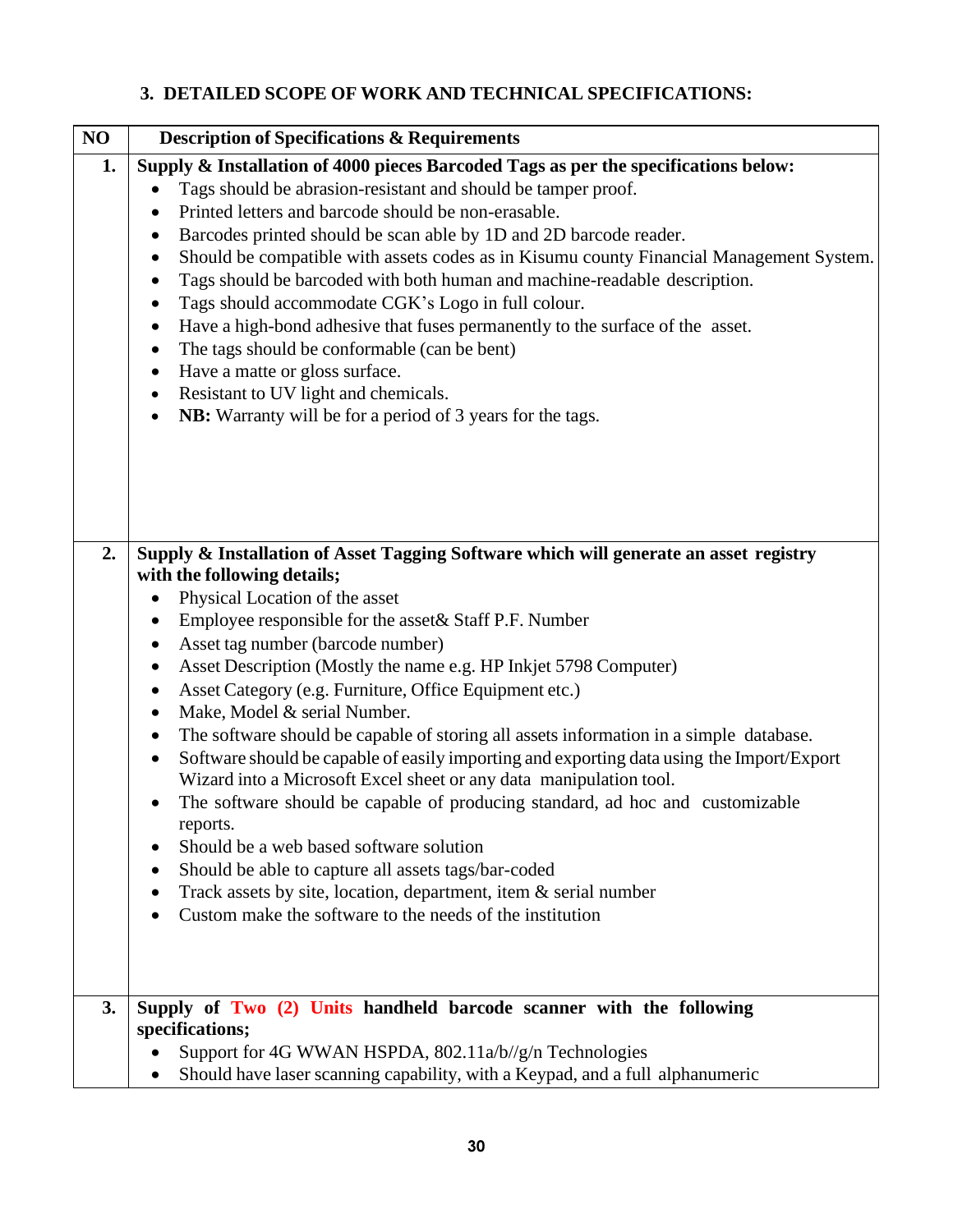### **3. DETAILED SCOPE OF WORK AND TECHNICAL SPECIFICATIONS:**

| NO | <b>Description of Specifications &amp; Requirements</b>                                                                                                                                                                                                                                                                                                                                                                                                                                                                                                                                                                                                                                                                                                                                                                                                                                                                                                                                                                                                                                  |
|----|------------------------------------------------------------------------------------------------------------------------------------------------------------------------------------------------------------------------------------------------------------------------------------------------------------------------------------------------------------------------------------------------------------------------------------------------------------------------------------------------------------------------------------------------------------------------------------------------------------------------------------------------------------------------------------------------------------------------------------------------------------------------------------------------------------------------------------------------------------------------------------------------------------------------------------------------------------------------------------------------------------------------------------------------------------------------------------------|
| 1. | Supply & Installation of 4000 pieces Barcoded Tags as per the specifications below:<br>Tags should be abrasion-resistant and should be tamper proof.<br>Printed letters and barcode should be non-erasable.<br>٠<br>Barcodes printed should be scan able by 1D and 2D barcode reader.<br>٠<br>Should be compatible with assets codes as in Kisumu county Financial Management System.<br>Tags should be barcoded with both human and machine-readable description.<br>Tags should accommodate CGK's Logo in full colour.<br>$\bullet$<br>Have a high-bond adhesive that fuses permanently to the surface of the asset.<br>٠<br>The tags should be conformable (can be bent)<br>$\bullet$<br>Have a matte or gloss surface.<br>٠<br>Resistant to UV light and chemicals.<br>٠<br>NB: Warranty will be for a period of 3 years for the tags.                                                                                                                                                                                                                                               |
| 2. | Supply & Installation of Asset Tagging Software which will generate an asset registry<br>with the following details;<br>Physical Location of the asset<br>Employee responsible for the asset & Staff P.F. Number<br>$\bullet$<br>Asset tag number (barcode number)<br>٠<br>Asset Description (Mostly the name e.g. HP Inkjet 5798 Computer)<br>$\bullet$<br>Asset Category (e.g. Furniture, Office Equipment etc.)<br>Make, Model & serial Number.<br>$\bullet$<br>The software should be capable of storing all assets information in a simple database.<br>$\bullet$<br>Software should be capable of easily importing and exporting data using the Import/Export<br>$\bullet$<br>Wizard into a Microsoft Excel sheet or any data manipulation tool.<br>The software should be capable of producing standard, ad hoc and customizable<br>reports.<br>Should be a web based software solution<br>Should be able to capture all assets tags/bar-coded<br>Track assets by site, location, department, item $\&$ serial number<br>Custom make the software to the needs of the institution |
| 3. | Supply of Two (2) Units handheld barcode scanner with the following<br>specifications;<br>Support for 4G WWAN HSPDA, 802.11a/b//g/n Technologies<br>Should have laser scanning capability, with a Keypad, and a full alphanumeric                                                                                                                                                                                                                                                                                                                                                                                                                                                                                                                                                                                                                                                                                                                                                                                                                                                        |

keyboard.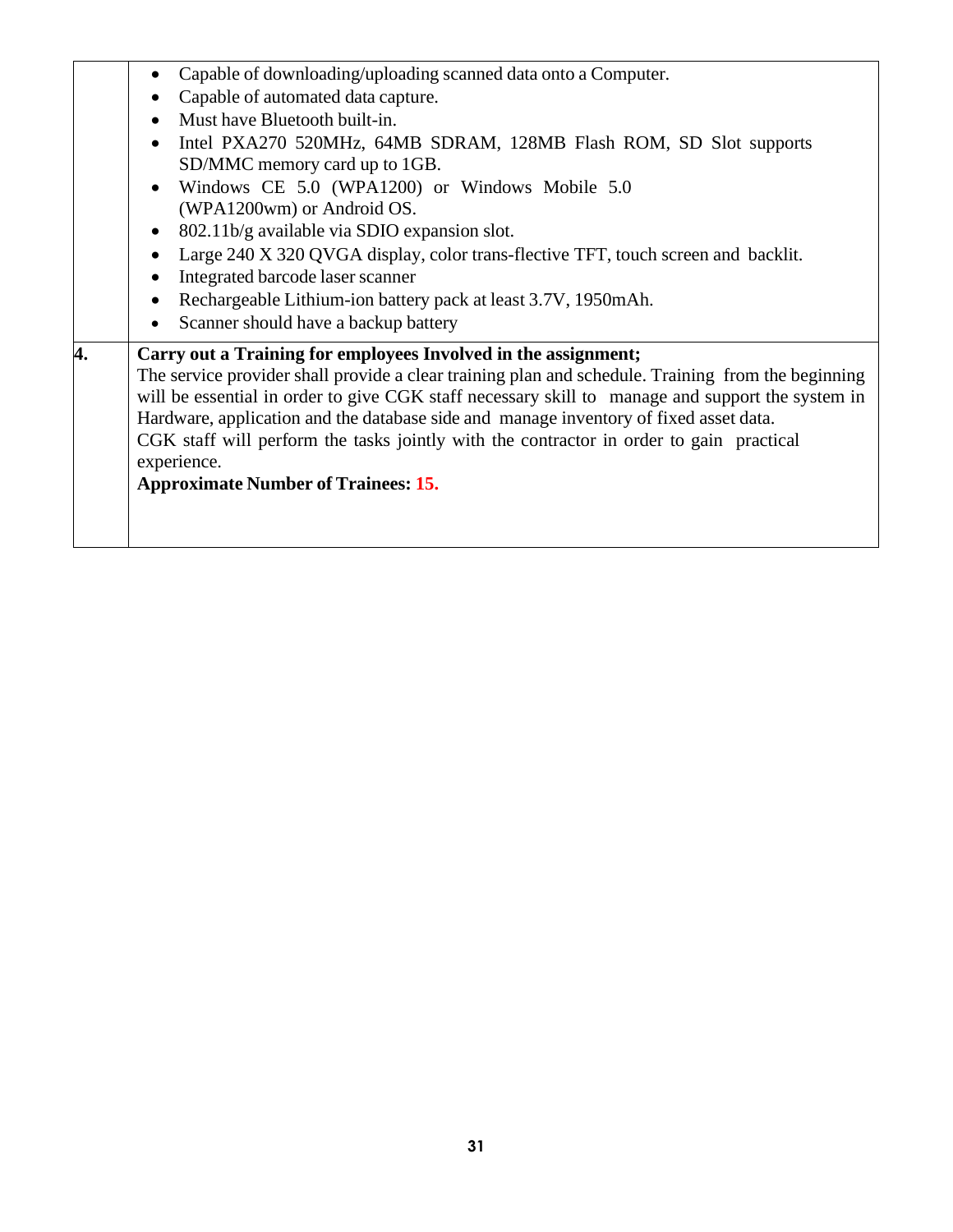| Windows CE 5.0 (WPA1200) or Windows Mobile 5.0<br>(WPA1200wm) or Android OS.<br>802.11b/g available via SDIO expansion slot.<br>Large 240 X 320 QVGA display, color trans-flective TFT, touch screen and backlit.<br>Integrated barcode laser scanner                                                                                                                                                                                                                                                                                                                                                                                    | Intel PXA270 520MHz, 64MB SDRAM, 128MB Flash ROM, SD Slot supports |
|------------------------------------------------------------------------------------------------------------------------------------------------------------------------------------------------------------------------------------------------------------------------------------------------------------------------------------------------------------------------------------------------------------------------------------------------------------------------------------------------------------------------------------------------------------------------------------------------------------------------------------------|--------------------------------------------------------------------|
| Rechargeable Lithium-ion battery pack at least 3.7V, 1950mAh.<br>Scanner should have a backup battery<br>4.<br>Carry out a Training for employees Involved in the assignment;<br>The service provider shall provide a clear training plan and schedule. Training from the beginning<br>will be essential in order to give CGK staff necessary skill to manage and support the system in<br>Hardware, application and the database side and manage inventory of fixed asset data.<br>CGK staff will perform the tasks jointly with the contractor in order to gain practical<br>experience.<br><b>Approximate Number of Trainees: 15.</b> |                                                                    |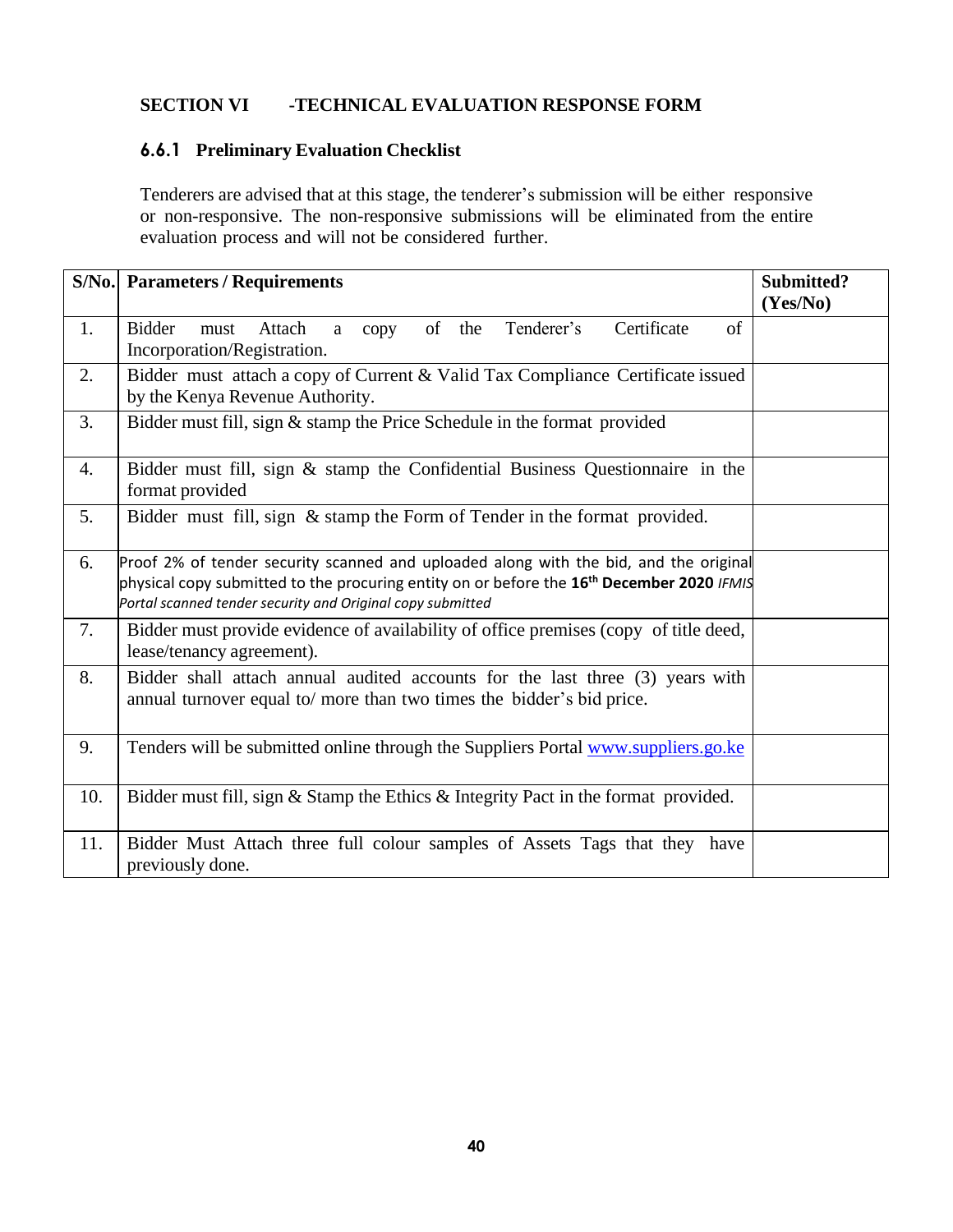#### <span id="page-31-0"></span>**SECTION VI -TECHNICAL EVALUATION RESPONSE FORM**

### **6.6.1 Preliminary Evaluation Checklist**

Tenderers are advised that at this stage, the tenderer's submission will be either responsive or non-responsive. The non-responsive submissions will be eliminated from the entire evaluation process and will not be considered further.

|     | <b>S/No.</b> Parameters / Requirements                                                                                                                                                                                                                       | Submitted?<br>(Yes/No) |
|-----|--------------------------------------------------------------------------------------------------------------------------------------------------------------------------------------------------------------------------------------------------------------|------------------------|
| 1.  | of the<br>Certificate<br><b>Bidder</b><br>Tenderer's<br>of<br>Attach<br>must<br>copy<br>a<br>Incorporation/Registration.                                                                                                                                     |                        |
| 2.  | Bidder must attach a copy of Current & Valid Tax Compliance Certificate issued<br>by the Kenya Revenue Authority.                                                                                                                                            |                        |
| 3.  | Bidder must fill, sign & stamp the Price Schedule in the format provided                                                                                                                                                                                     |                        |
| 4.  | Bidder must fill, sign & stamp the Confidential Business Questionnaire in the<br>format provided                                                                                                                                                             |                        |
| 5.  | Bidder must fill, sign & stamp the Form of Tender in the format provided.                                                                                                                                                                                    |                        |
| 6.  | Proof 2% of tender security scanned and uploaded along with the bid, and the original<br>physical copy submitted to the procuring entity on or before the 16 <sup>th</sup> December 2020 IFMIS<br>Portal scanned tender security and Original copy submitted |                        |
| 7.  | Bidder must provide evidence of availability of office premises (copy of title deed,<br>lease/tenancy agreement).                                                                                                                                            |                        |
| 8.  | Bidder shall attach annual audited accounts for the last three (3) years with<br>annual turnover equal to/ more than two times the bidder's bid price.                                                                                                       |                        |
| 9.  | Tenders will be submitted online through the Suppliers Portal www.suppliers.go.ke                                                                                                                                                                            |                        |
| 10. | Bidder must fill, sign & Stamp the Ethics & Integrity Pact in the format provided.                                                                                                                                                                           |                        |
| 11. | Bidder Must Attach three full colour samples of Assets Tags that they have<br>previously done.                                                                                                                                                               |                        |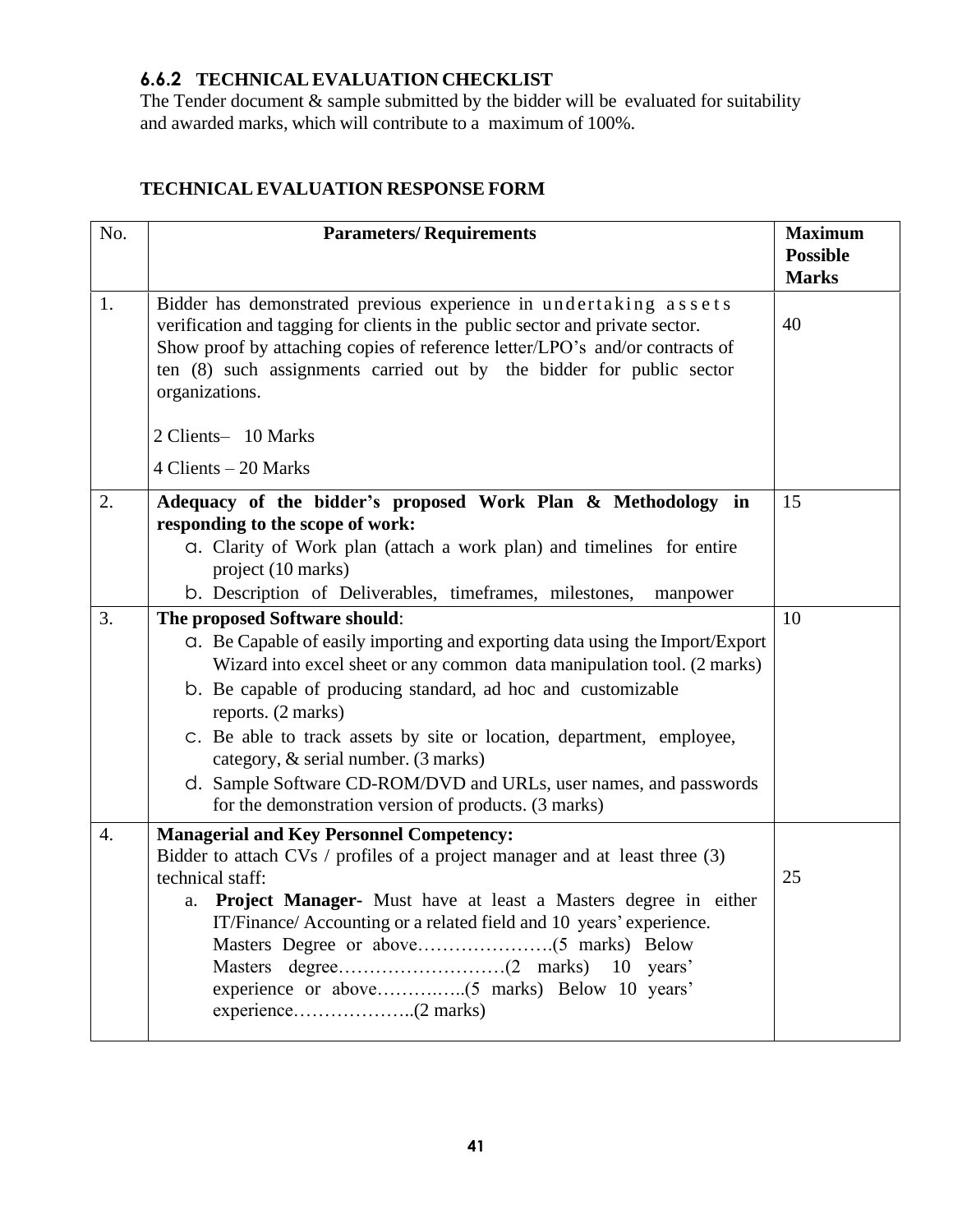### **6.6.2 TECHNICALEVALUATION CHECKLIST**

The Tender document  $\&$  sample submitted by the bidder will be evaluated for suitability and awarded marks, which will contribute to a maximum of 100%.

### **TECHNICAL EVALUATION RESPONSE FORM**

| No.              | <b>Parameters/Requirements</b>                                                                                                                                                                                                                                                                                               | <b>Maximum</b><br><b>Possible</b><br><b>Marks</b> |
|------------------|------------------------------------------------------------------------------------------------------------------------------------------------------------------------------------------------------------------------------------------------------------------------------------------------------------------------------|---------------------------------------------------|
| 1.               | Bidder has demonstrated previous experience in undertaking assets<br>verification and tagging for clients in the public sector and private sector.<br>Show proof by attaching copies of reference letter/LPO's and/or contracts of<br>ten (8) such assignments carried out by the bidder for public sector<br>organizations. | 40                                                |
|                  | 2 Clients- 10 Marks                                                                                                                                                                                                                                                                                                          |                                                   |
|                  | $4 \text{ Clients} - 20 \text{ Marks}$                                                                                                                                                                                                                                                                                       |                                                   |
| 2.               | Adequacy of the bidder's proposed Work Plan & Methodology in<br>responding to the scope of work:<br>a. Clarity of Work plan (attach a work plan) and timelines for entire<br>project (10 marks)<br>b. Description of Deliverables, timeframes, milestones,<br>manpower                                                       | 15                                                |
| 3.               | The proposed Software should:                                                                                                                                                                                                                                                                                                | 10                                                |
|                  | a. Be Capable of easily importing and exporting data using the Import/Export<br>Wizard into excel sheet or any common data manipulation tool. (2 marks)<br>b. Be capable of producing standard, ad hoc and customizable<br>reports. (2 marks)<br>C. Be able to track assets by site or location, department, employee,       |                                                   |
|                  | category, & serial number. (3 marks)<br>d. Sample Software CD-ROM/DVD and URLs, user names, and passwords<br>for the demonstration version of products. (3 marks)                                                                                                                                                            |                                                   |
| $\overline{4}$ . | <b>Managerial and Key Personnel Competency:</b><br>Bidder to attach CVs / profiles of a project manager and at least three (3)<br>technical staff:<br>a. Project Manager- Must have at least a Masters degree in either<br>IT/Finance/ Accounting or a related field and 10 years' experience.<br>10 years'                  | 25                                                |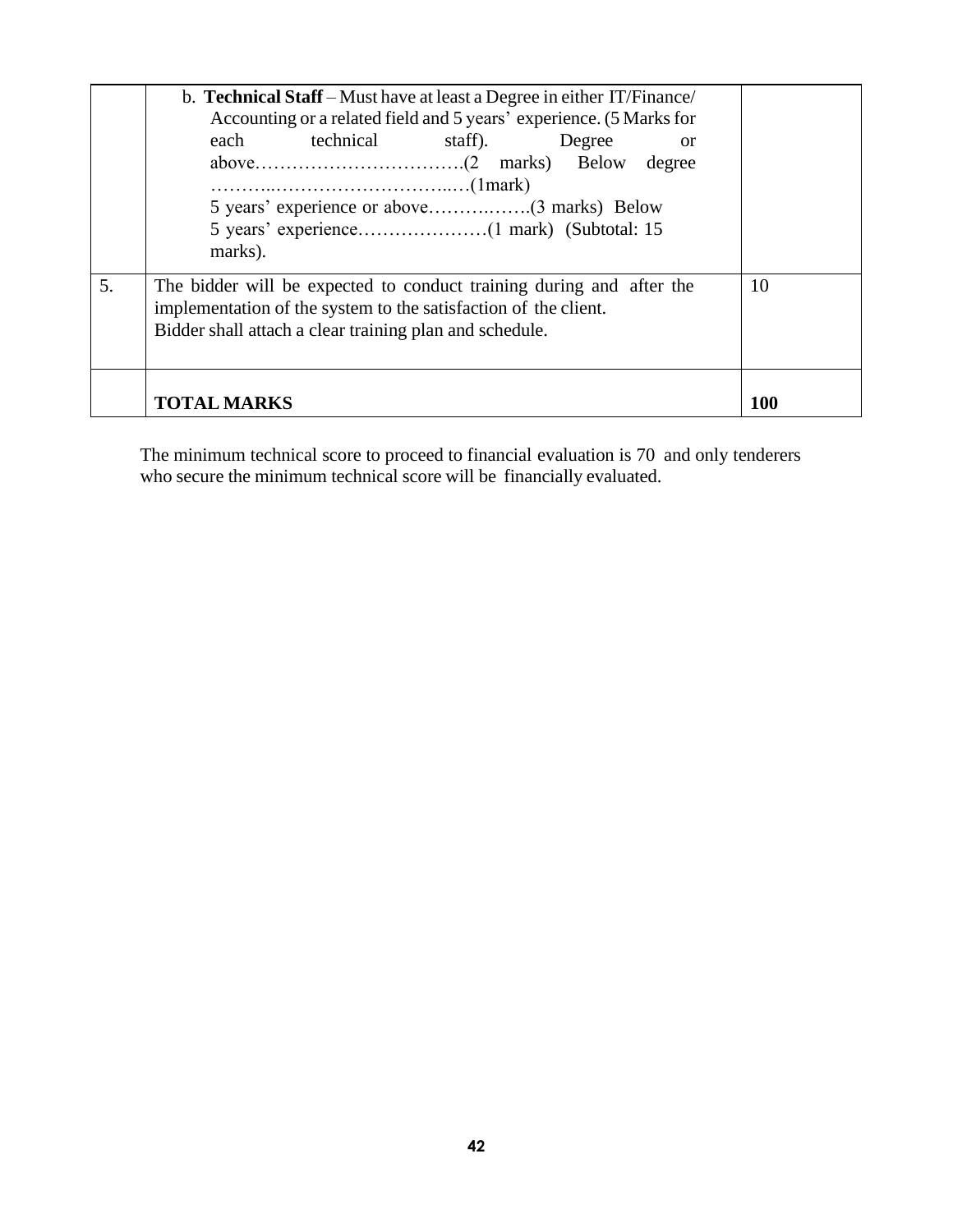|    | b. Technical Staff – Must have at least a Degree in either IT/Finance/<br>Accounting or a related field and 5 years' experience. (5 Marks for<br>technical<br>each<br>staff).<br>Degree<br>or<br>degree<br>$\ldots \ldots \ldots \ldots \ldots \ldots \ldots \ldots \ldots \ldots \ldots \ldots (1$ mark)<br>marks). |            |
|----|----------------------------------------------------------------------------------------------------------------------------------------------------------------------------------------------------------------------------------------------------------------------------------------------------------------------|------------|
| 5. | The bidder will be expected to conduct training during and after the<br>implementation of the system to the satisfaction of the client.<br>Bidder shall attach a clear training plan and schedule.                                                                                                                   |            |
|    | <b>TOTAL MARKS</b>                                                                                                                                                                                                                                                                                                   | <b>100</b> |

The minimum technical score to proceed to financial evaluation is 70 and only tenderers who secure the minimum technical score will be financially evaluated.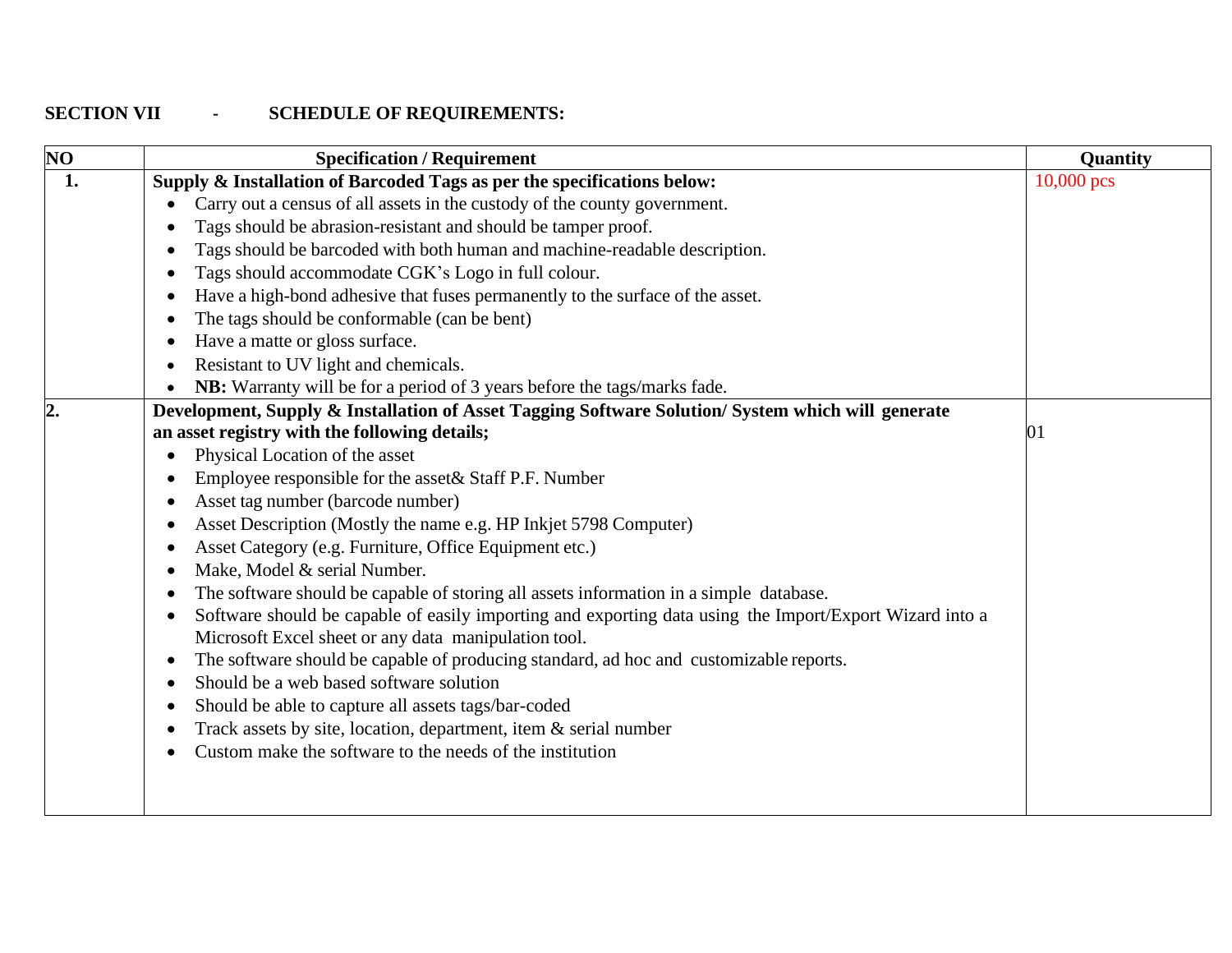# **SECTION VII - SCHEDULE OF REQUIREMENTS:**

<span id="page-34-0"></span>

| $\overline{\bf NO}$ | <b>Specification / Requirement</b>                                                                      | Quantity   |
|---------------------|---------------------------------------------------------------------------------------------------------|------------|
| 1.                  | Supply & Installation of Barcoded Tags as per the specifications below:                                 | 10,000 pcs |
|                     | Carry out a census of all assets in the custody of the county government.                               |            |
|                     | Tags should be abrasion-resistant and should be tamper proof.                                           |            |
|                     | Tags should be barcoded with both human and machine-readable description.                               |            |
|                     | Tags should accommodate CGK's Logo in full colour.<br>$\bullet$                                         |            |
|                     | Have a high-bond adhesive that fuses permanently to the surface of the asset.                           |            |
|                     | The tags should be conformable (can be bent)                                                            |            |
|                     | Have a matte or gloss surface.                                                                          |            |
|                     | Resistant to UV light and chemicals.<br>$\bullet$                                                       |            |
|                     | NB: Warranty will be for a period of 3 years before the tags/marks fade.                                |            |
| $\overline{2}$      | Development, Supply & Installation of Asset Tagging Software Solution/ System which will generate       |            |
|                     | an asset registry with the following details;                                                           | 01         |
|                     | Physical Location of the asset<br>٠                                                                     |            |
|                     | Employee responsible for the asset & Staff P.F. Number                                                  |            |
|                     | Asset tag number (barcode number)                                                                       |            |
|                     | Asset Description (Mostly the name e.g. HP Inkjet 5798 Computer)<br>$\bullet$                           |            |
|                     | Asset Category (e.g. Furniture, Office Equipment etc.)<br>$\bullet$                                     |            |
|                     | Make, Model & serial Number.                                                                            |            |
|                     | The software should be capable of storing all assets information in a simple database.<br>$\bullet$     |            |
|                     | Software should be capable of easily importing and exporting data using the Import/Export Wizard into a |            |
|                     | Microsoft Excel sheet or any data manipulation tool.                                                    |            |
|                     | The software should be capable of producing standard, ad hoc and customizable reports.<br>$\bullet$     |            |
|                     | Should be a web based software solution<br>$\bullet$                                                    |            |
|                     | Should be able to capture all assets tags/bar-coded<br>$\bullet$                                        |            |
|                     | Track assets by site, location, department, item $\&$ serial number<br>$\bullet$                        |            |
|                     | Custom make the software to the needs of the institution                                                |            |
|                     |                                                                                                         |            |
|                     |                                                                                                         |            |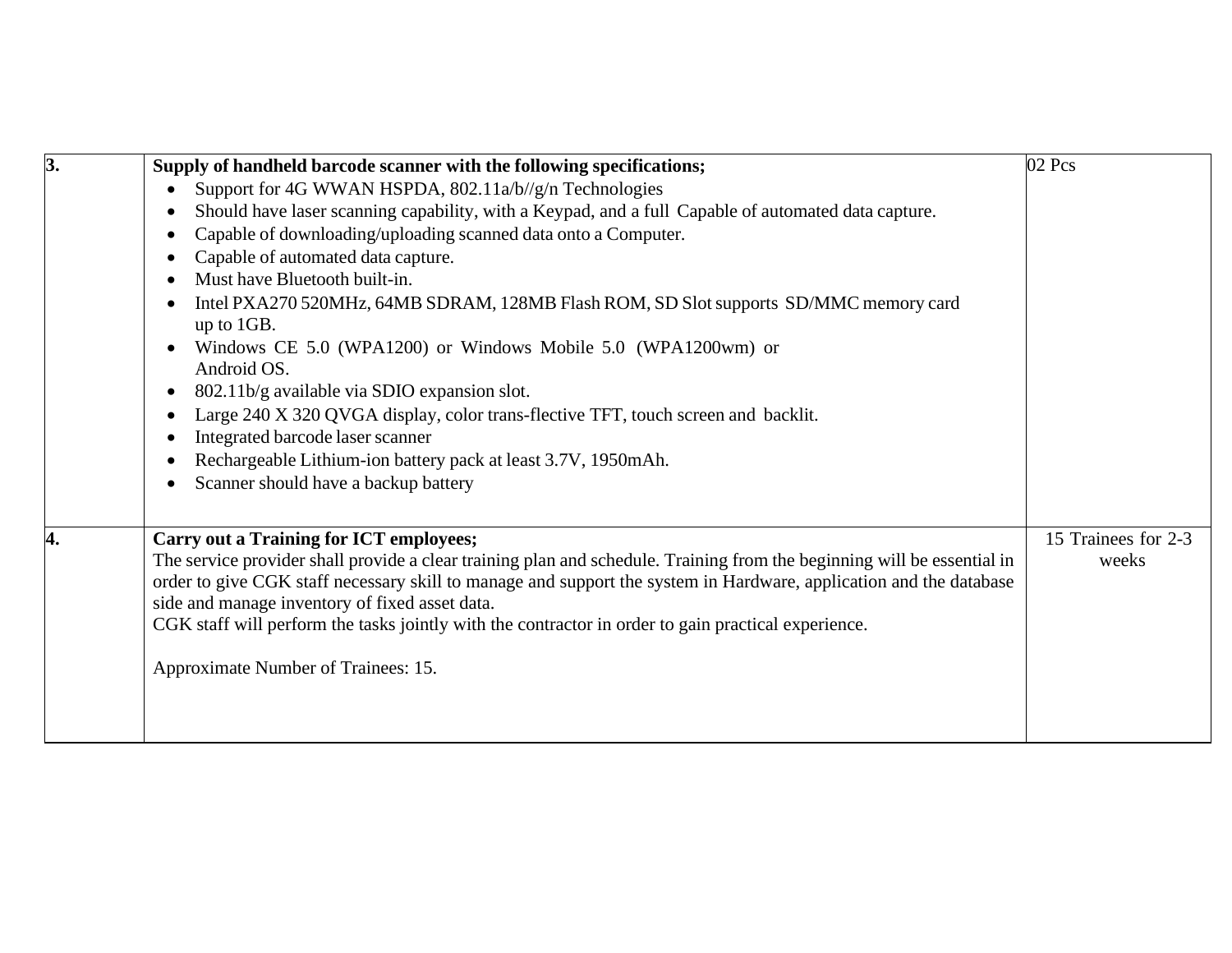| 3. | Supply of handheld barcode scanner with the following specifications;                                                                                                                                                                                                                                                                                                                                                                                    | 02 Pcs                       |
|----|----------------------------------------------------------------------------------------------------------------------------------------------------------------------------------------------------------------------------------------------------------------------------------------------------------------------------------------------------------------------------------------------------------------------------------------------------------|------------------------------|
|    | Support for 4G WWAN HSPDA, 802.11a/b//g/n Technologies<br>$\bullet$                                                                                                                                                                                                                                                                                                                                                                                      |                              |
|    | Should have laser scanning capability, with a Keypad, and a full Capable of automated data capture.                                                                                                                                                                                                                                                                                                                                                      |                              |
|    | Capable of downloading/uploading scanned data onto a Computer.                                                                                                                                                                                                                                                                                                                                                                                           |                              |
|    | Capable of automated data capture.                                                                                                                                                                                                                                                                                                                                                                                                                       |                              |
|    | Must have Bluetooth built-in.                                                                                                                                                                                                                                                                                                                                                                                                                            |                              |
|    | Intel PXA270 520MHz, 64MB SDRAM, 128MB Flash ROM, SD Slot supports SD/MMC memory card<br>up to 1GB.                                                                                                                                                                                                                                                                                                                                                      |                              |
|    | Windows CE 5.0 (WPA1200) or Windows Mobile 5.0 (WPA1200wm) or<br>Android OS.                                                                                                                                                                                                                                                                                                                                                                             |                              |
|    | 802.11b/g available via SDIO expansion slot.                                                                                                                                                                                                                                                                                                                                                                                                             |                              |
|    | Large 240 X 320 QVGA display, color trans-flective TFT, touch screen and backlit.                                                                                                                                                                                                                                                                                                                                                                        |                              |
|    | Integrated barcode laser scanner                                                                                                                                                                                                                                                                                                                                                                                                                         |                              |
|    | Rechargeable Lithium-ion battery pack at least 3.7V, 1950mAh.                                                                                                                                                                                                                                                                                                                                                                                            |                              |
|    | Scanner should have a backup battery                                                                                                                                                                                                                                                                                                                                                                                                                     |                              |
|    |                                                                                                                                                                                                                                                                                                                                                                                                                                                          |                              |
| 4. | <b>Carry out a Training for ICT employees;</b><br>The service provider shall provide a clear training plan and schedule. Training from the beginning will be essential in<br>order to give CGK staff necessary skill to manage and support the system in Hardware, application and the database<br>side and manage inventory of fixed asset data.<br>CGK staff will perform the tasks jointly with the contractor in order to gain practical experience. | 15 Trainees for 2-3<br>weeks |
|    | Approximate Number of Trainees: 15.                                                                                                                                                                                                                                                                                                                                                                                                                      |                              |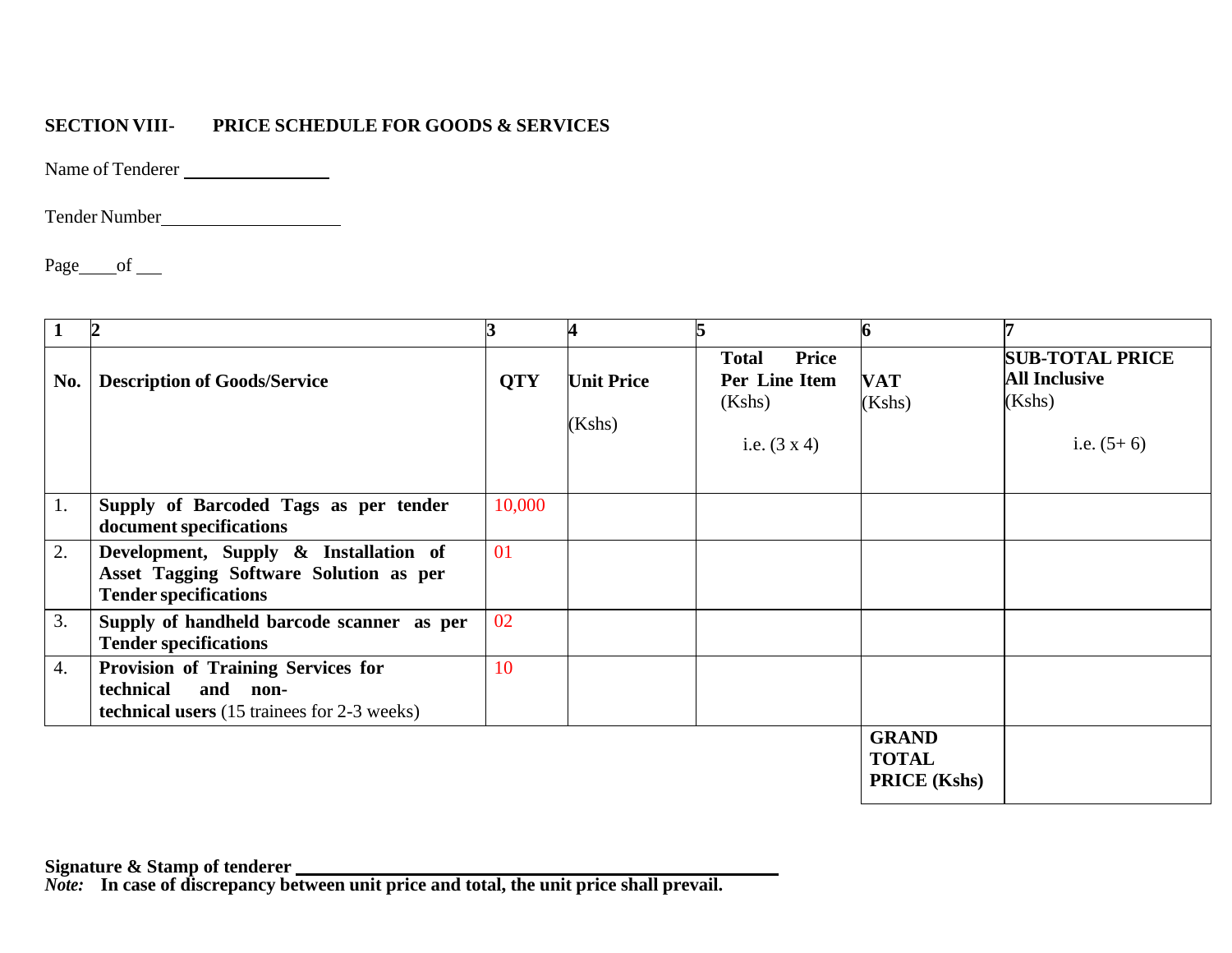### **SECTION VIII- PRICE SCHEDULE FOR GOODS & SERVICES**

Name of Tenderer

Tender Number

Page of

<span id="page-36-0"></span>

|                  |                                                                                                                   |            | 4                           | 5                                                                       |                                                     |                                                                          |
|------------------|-------------------------------------------------------------------------------------------------------------------|------------|-----------------------------|-------------------------------------------------------------------------|-----------------------------------------------------|--------------------------------------------------------------------------|
| No.              | <b>Description of Goods/Service</b>                                                                               | <b>QTY</b> | <b>Unit Price</b><br>(Kshs) | Price<br><b>Total</b><br>Per Line Item<br>(Kshs)<br>i.e. $(3 \times 4)$ | <b>VAT</b><br>(Kshs)                                | <b>SUB-TOTAL PRICE</b><br><b>All Inclusive</b><br>(Kshs)<br>i.e. $(5+6)$ |
| 1.               | Supply of Barcoded Tags as per tender<br>document specifications                                                  | 10,000     |                             |                                                                         |                                                     |                                                                          |
| 2.               | Development, Supply & Installation of<br>Asset Tagging Software Solution as per<br><b>Tender specifications</b>   | 01         |                             |                                                                         |                                                     |                                                                          |
| 3.               | Supply of handheld barcode scanner as per<br><b>Tender specifications</b>                                         | 02         |                             |                                                                         |                                                     |                                                                          |
| $\overline{4}$ . | Provision of Training Services for<br>and non-<br>technical<br><b>technical users</b> (15 trainees for 2-3 weeks) | 10         |                             |                                                                         |                                                     |                                                                          |
|                  |                                                                                                                   |            |                             |                                                                         | <b>GRAND</b><br><b>TOTAL</b><br><b>PRICE</b> (Kshs) |                                                                          |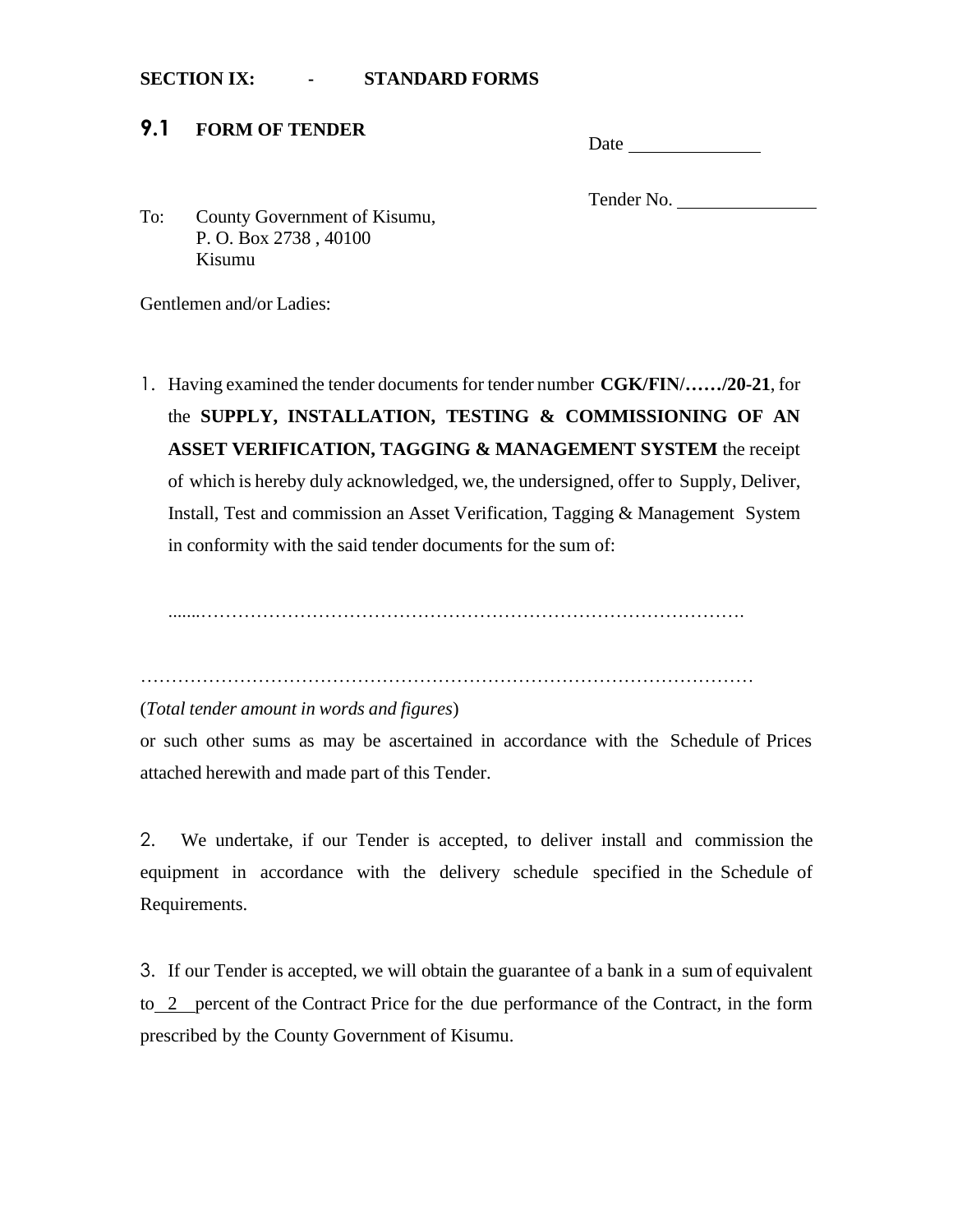#### <span id="page-37-0"></span>**SECTION IX: - STANDARD FORMS**

### <span id="page-37-1"></span>**9.1 FORM OF TENDER**

Tender No.

To: County Government of Kisumu, P. O. Box 2738 , 40100 Kisumu

Gentlemen and/or Ladies:

1. Having examined the tender documents for tender number **CGK/FIN/……/20-21**, for the **SUPPLY, INSTALLATION, TESTING & COMMISSIONING OF AN ASSET VERIFICATION, TAGGING & MANAGEMENT SYSTEM** the receipt of which is hereby duly acknowledged, we, the undersigned, offer to Supply, Deliver, Install, Test and commission an Asset Verification, Tagging & Management System in conformity with the said tender documents for the sum of:

.......…………………………………………………………………………….

………………………………………………………………………………………

#### (*Total tender amount in words and figures*)

or such other sums as may be ascertained in accordance with the Schedule of Prices attached herewith and made part of this Tender.

2. We undertake, if our Tender is accepted, to deliver install and commission the equipment in accordance with the delivery schedule specified in the Schedule of Requirements.

3. If our Tender is accepted, we will obtain the guarantee of a bank in a sum of equivalent to 2 percent of the Contract Price for the due performance of the Contract, in the form prescribed by the County Government of Kisumu.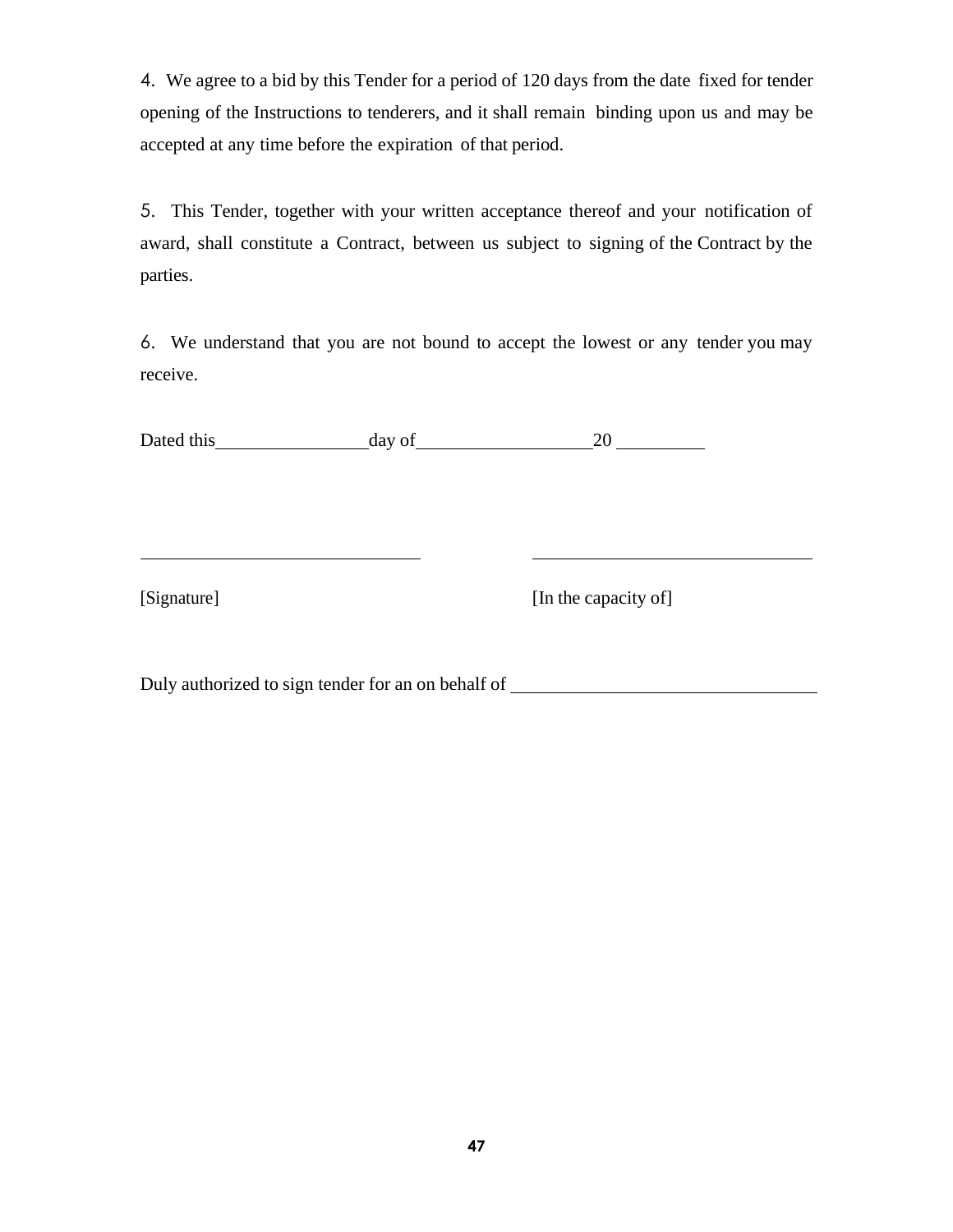4. We agree to a bid by this Tender for a period of 120 days from the date fixed for tender opening of the Instructions to tenderers, and it shall remain binding upon us and may be accepted at any time before the expiration of that period.

5. This Tender, together with your written acceptance thereof and your notification of award, shall constitute a Contract, between us subject to signing of the Contract by the parties.

6. We understand that you are not bound to accept the lowest or any tender you may receive.

Dated this day of 20

[Signature] [In the capacity of]

Duly authorized to sign tender for an on behalf of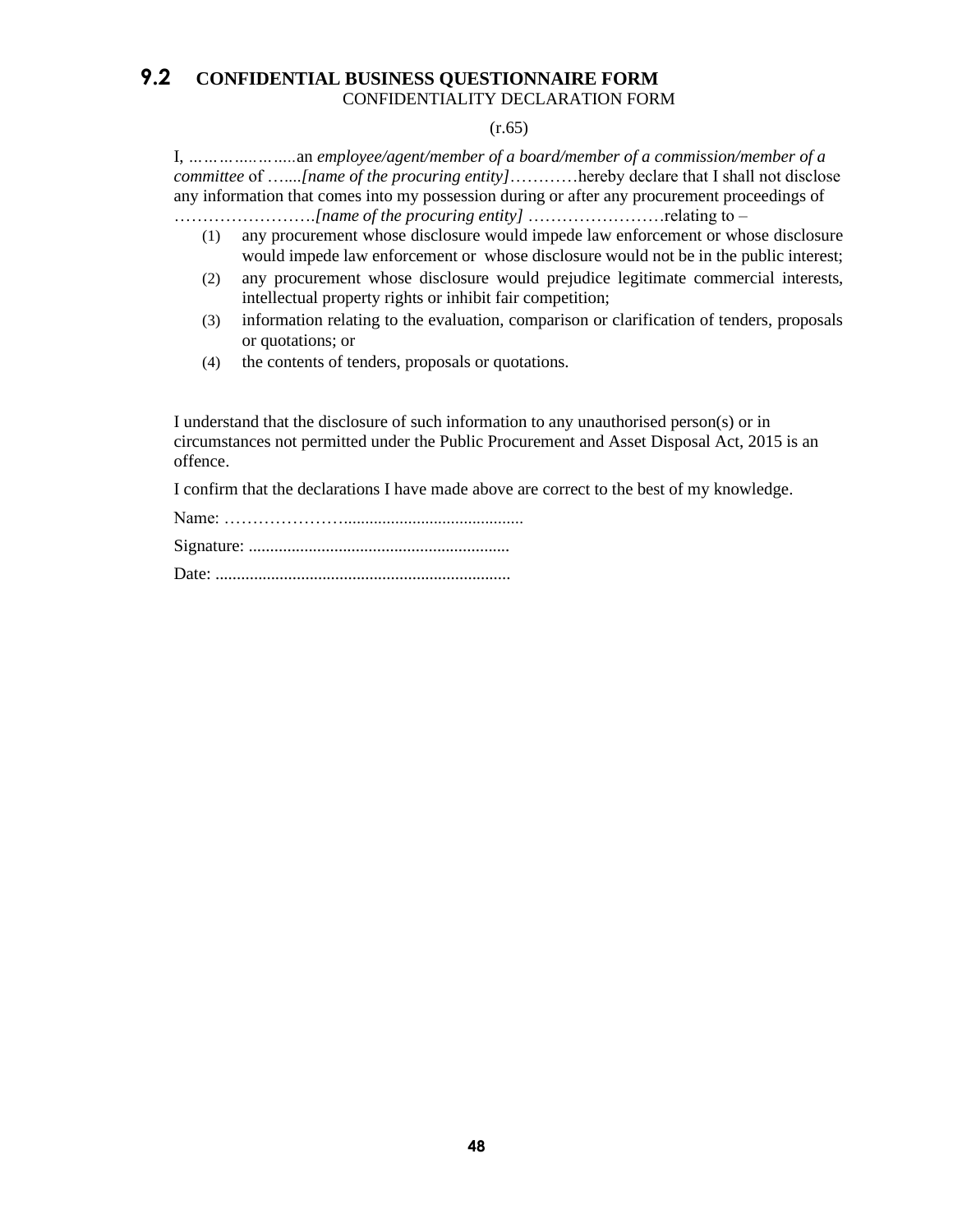#### <span id="page-39-0"></span>**9.2 CONFIDENTIAL BUSINESS QUESTIONNAIRE FORM** CONFIDENTIALITY DECLARATION FORM

#### (r.65)

I, *…………..……..*an *employee/agent/member of a board/member of a commission/member of a committee* of …....*[name of the procuring entity]*…………hereby declare that I shall not disclose any information that comes into my possession during or after any procurement proceedings of …………………….*[name of the procuring entity]* ……………………relating to –

- (1) any procurement whose disclosure would impede law enforcement or whose disclosure would impede law enforcement or whose disclosure would not be in the public interest;
- (2) any procurement whose disclosure would prejudice legitimate commercial interests, intellectual property rights or inhibit fair competition;
- (3) information relating to the evaluation, comparison or clarification of tenders, proposals or quotations; or
- (4) the contents of tenders, proposals or quotations.

I understand that the disclosure of such information to any unauthorised person(s) or in circumstances not permitted under the Public Procurement and Asset Disposal Act, 2015 is an offence.

I confirm that the declarations I have made above are correct to the best of my knowledge.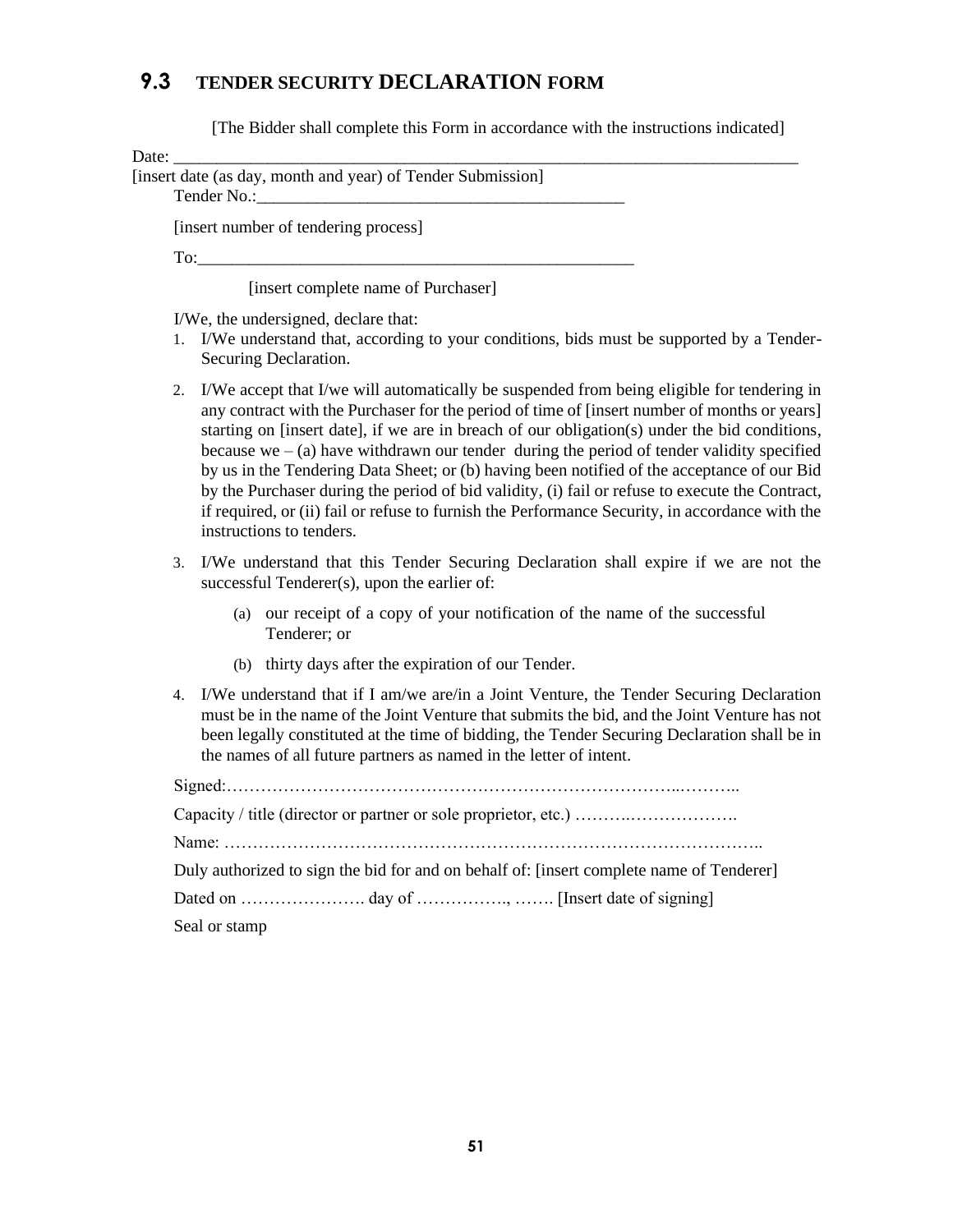### <span id="page-40-0"></span>**9.3 TENDER SECURITY DECLARATION FORM**

[The Bidder shall complete this Form in accordance with the instructions indicated]

| ., |  |
|----|--|
|    |  |

| Date:                                                       |  |
|-------------------------------------------------------------|--|
| [insert date (as day, month and year) of Tender Submission] |  |
|                                                             |  |
| [insert number of tendering process]                        |  |
| To:                                                         |  |

[insert complete name of Purchaser]

I/We, the undersigned, declare that:

- 1. I/We understand that, according to your conditions, bids must be supported by a Tender-Securing Declaration.
- 2. I/We accept that I/we will automatically be suspended from being eligible for tendering in any contract with the Purchaser for the period of time of [insert number of months or years] starting on [insert date], if we are in breach of our obligation(s) under the bid conditions, because we  $-$  (a) have withdrawn our tender during the period of tender validity specified by us in the Tendering Data Sheet; or (b) having been notified of the acceptance of our Bid by the Purchaser during the period of bid validity, (i) fail or refuse to execute the Contract, if required, or (ii) fail or refuse to furnish the Performance Security, in accordance with the instructions to tenders.
- 3. I/We understand that this Tender Securing Declaration shall expire if we are not the successful Tenderer(s), upon the earlier of:
	- (a) our receipt of a copy of your notification of the name of the successful Tenderer; or
	- (b) thirty days after the expiration of our Tender.
- 4. I/We understand that if I am/we are/in a Joint Venture, the Tender Securing Declaration must be in the name of the Joint Venture that submits the bid, and the Joint Venture has not been legally constituted at the time of bidding, the Tender Securing Declaration shall be in the names of all future partners as named in the letter of intent.

Signed:……………………………………………………………………..……….. Capacity / title (director or partner or sole proprietor, etc.) ……….………………. Name: ………………………………………………………………………………….. Duly authorized to sign the bid for and on behalf of: [insert complete name of Tenderer] Dated on …………………. day of ……………., ……. [Insert date of signing] Seal or stamp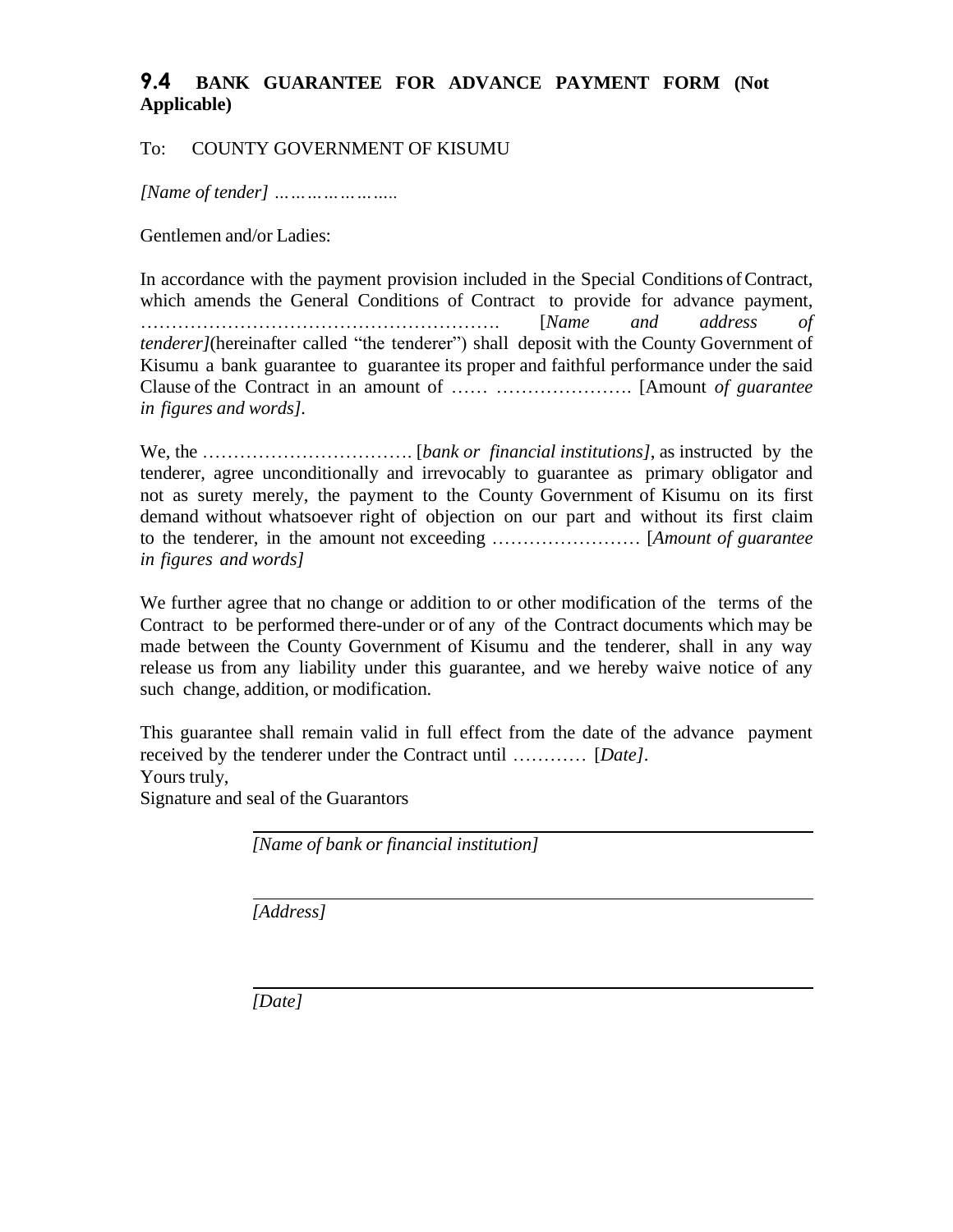### <span id="page-41-0"></span>**9.4 BANK GUARANTEE FOR ADVANCE PAYMENT FORM (Not Applicable)**

#### To: COUNTY GOVERNMENT OF KISUMU

*[Name of tender] …………………..*

Gentlemen and/or Ladies:

In accordance with the payment provision included in the Special Conditions of Contract, which amends the General Conditions of Contract to provide for advance payment, …………………………………………………. [*Name and address of tenderer]*(hereinafter called "the tenderer") shall deposit with the County Government of Kisumu a bank guarantee to guarantee its proper and faithful performance under the said Clause of the Contract in an amount of …… …………………. [Amount *of guarantee in figures and words].*

We, the ……………………………. [*bank or financial institutions]*, as instructed by the tenderer, agree unconditionally and irrevocably to guarantee as primary obligator and not as surety merely, the payment to the County Government of Kisumu on its first demand without whatsoever right of objection on our part and without its first claim to the tenderer, in the amount not exceeding …………………… [*Amount of guarantee in figures and words]*

We further agree that no change or addition to or other modification of the terms of the Contract to be performed there-under or of any of the Contract documents which may be made between the County Government of Kisumu and the tenderer, shall in any way release us from any liability under this guarantee, and we hereby waive notice of any such change, addition, or modification.

This guarantee shall remain valid in full effect from the date of the advance payment received by the tenderer under the Contract until ………… [*Date]*. Yours truly,

Signature and seal of the Guarantors

*[Name of bank or financial institution]*

*[Address]*

*[Date]*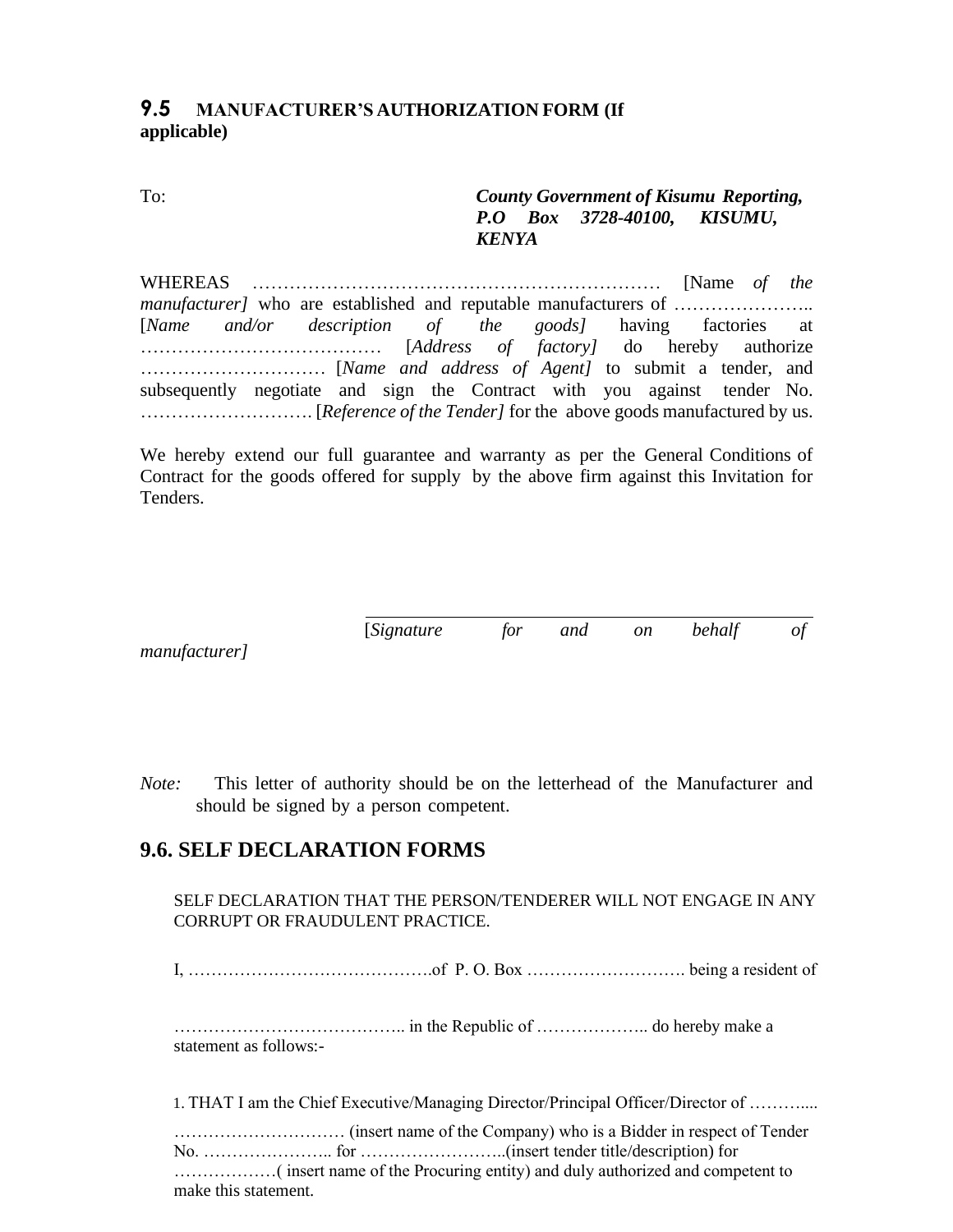#### <span id="page-42-0"></span>**9.5 MANUFACTURER'S AUTHORIZATION FORM (If applicable)**

<span id="page-42-1"></span>To: *County Government of Kisumu Reporting, P.O Box 3728-40100, KISUMU, KENYA*

WHEREAS ………………………………………………………… [Name *of the manufacturer]* who are established and reputable manufacturers of ………………….. [*Name and/or description of the goods]* having factories at ………………………………… [*Address of factory]* do hereby authorize ………………………… [*Name and address of Agent]* to submit a tender, and subsequently negotiate and sign the Contract with you against tender No. ………………………. [*Reference of the Tender]* for the above goods manufactured by us.

We hereby extend our full guarantee and warranty as per the General Conditions of Contract for the goods offered for supply by the above firm against this Invitation for Tenders.

[*Signature for and on behalf of*

*manufacturer]*

*Note:* This letter of authority should be on the letterhead of the Manufacturer and should be signed by a person competent.

### <span id="page-42-2"></span>**9.6. SELF DECLARATION FORMS**

SELF DECLARATION THAT THE PERSON/TENDERER WILL NOT ENGAGE IN ANY CORRUPT OR FRAUDULENT PRACTICE.

I, …………………………………….of P. O. Box ………………………. being a resident of

………………………………….. in the Republic of ……………….. do hereby make a statement as follows:-

1. THAT I am the Chief Executive/Managing Director/Principal Officer/Director of ………....

………………………… (insert name of the Company) who is a Bidder in respect of Tender No. ………………….. for ……………………..(insert tender title/description) for ………………( insert name of the Procuring entity) and duly authorized and competent to make this statement.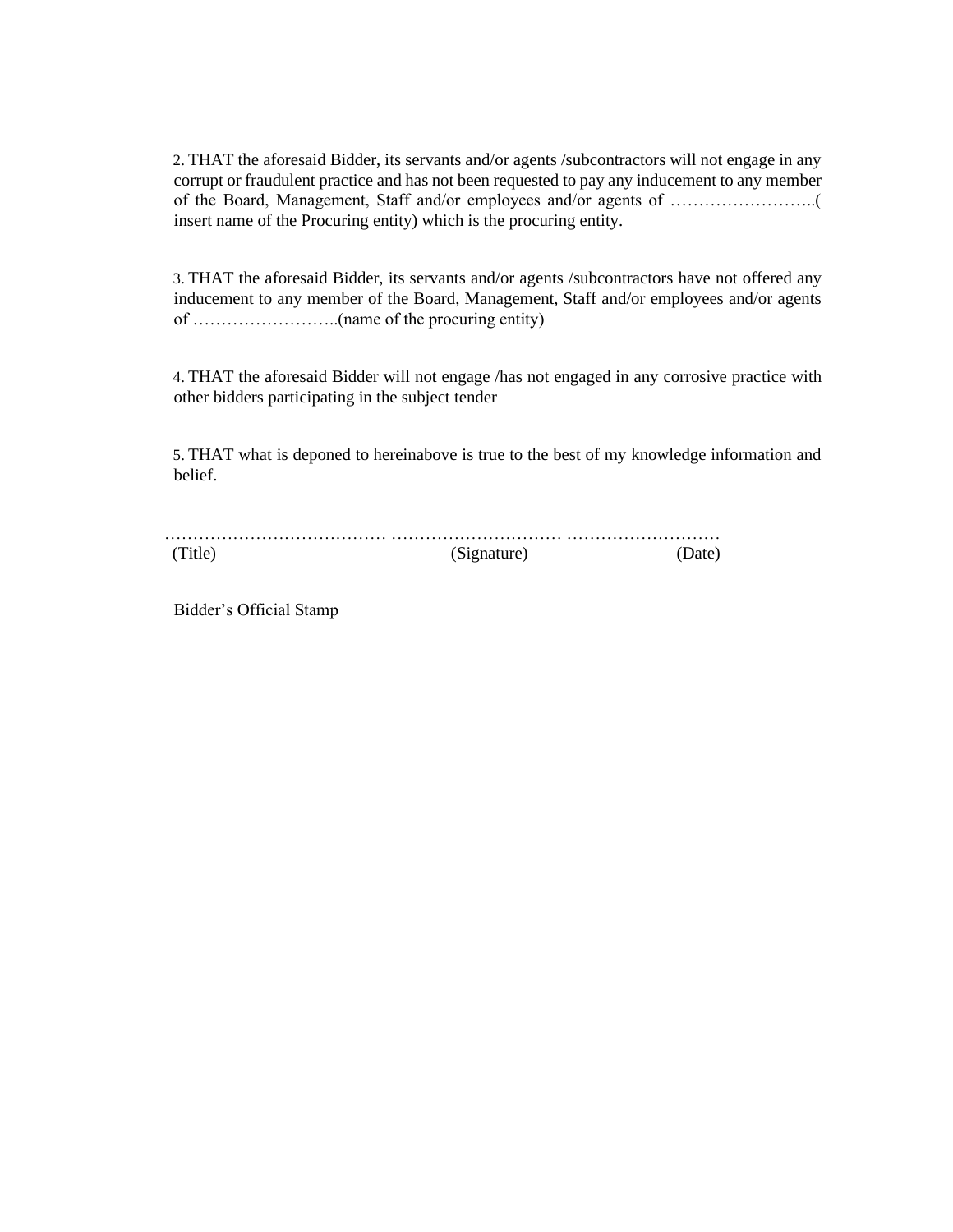2. THAT the aforesaid Bidder, its servants and/or agents /subcontractors will not engage in any corrupt or fraudulent practice and has not been requested to pay any inducement to any member of the Board, Management, Staff and/or employees and/or agents of ……………………..( insert name of the Procuring entity) which is the procuring entity.

3. THAT the aforesaid Bidder, its servants and/or agents /subcontractors have not offered any inducement to any member of the Board, Management, Staff and/or employees and/or agents of ……………………..(name of the procuring entity)

4. THAT the aforesaid Bidder will not engage /has not engaged in any corrosive practice with other bidders participating in the subject tender

5. THAT what is deponed to hereinabove is true to the best of my knowledge information and belief.

| (Title) | (Signature) |  |
|---------|-------------|--|

Bidder's Official Stamp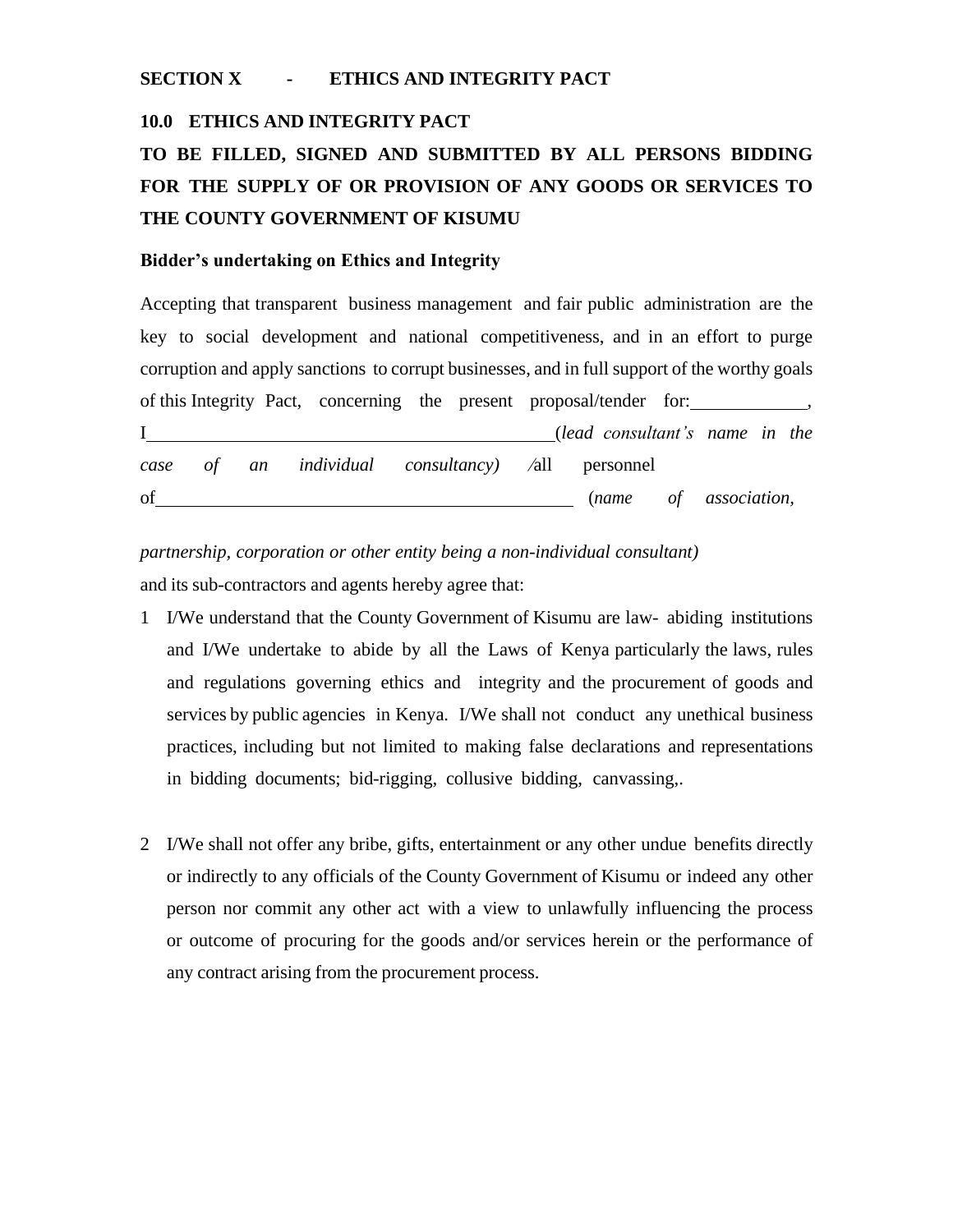#### <span id="page-44-0"></span>**SECTION X - ETHICS AND INTEGRITY PACT**

#### **10.0 ETHICS AND INTEGRITY PACT**

# **TO BE FILLED, SIGNED AND SUBMITTED BY ALL PERSONS BIDDING FOR THE SUPPLY OF OR PROVISION OF ANY GOODS OR SERVICES TO THE COUNTY GOVERNMENT OF KISUMU**

#### **Bidder's undertaking on Ethics and Integrity**

Accepting that transparent business management and fair public administration are the key to social development and national competitiveness, and in an effort to purge corruption and apply sanctions to corrupt businesses, and in full support of the worthy goals of this Integrity Pact, concerning the present proposal/tender for: I (*lead consultant's name in the case of an individual consultancy)* ⁄all personnel of (*name of association,*

*partnership, corporation or other entity being a non-individual consultant)* and its sub-contractors and agents hereby agree that:

- 1 I/We understand that the County Government of Kisumu are law- abiding institutions and I/We undertake to abide by all the Laws of Kenya particularly the laws, rules and regulations governing ethics and integrity and the procurement of goods and services by public agencies in Kenya. I/We shall not conduct any unethical business practices, including but not limited to making false declarations and representations in bidding documents; bid-rigging, collusive bidding, canvassing,.
- 2 I/We shall not offer any bribe, gifts, entertainment or any other undue benefits directly or indirectly to any officials of the County Government of Kisumu or indeed any other person nor commit any other act with a view to unlawfully influencing the process or outcome of procuring for the goods and/or services herein or the performance of any contract arising from the procurement process.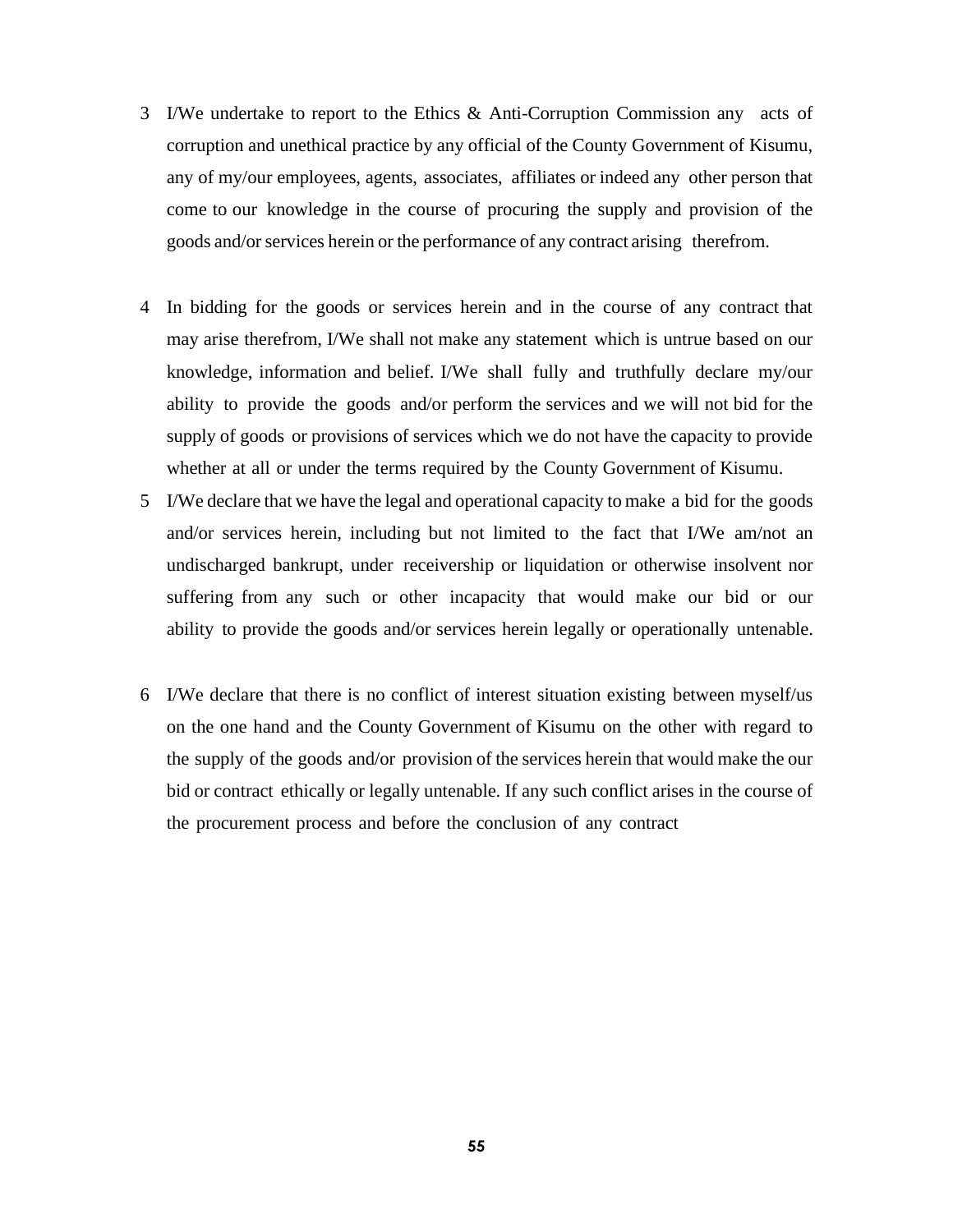- 3 I/We undertake to report to the Ethics & Anti-Corruption Commission any acts of corruption and unethical practice by any official of the County Government of Kisumu, any of my/our employees, agents, associates, affiliates or indeed any other person that come to our knowledge in the course of procuring the supply and provision of the goods and/orservices herein or the performance of any contract arising therefrom.
- 4 In bidding for the goods or services herein and in the course of any contract that may arise therefrom, I/We shall not make any statement which is untrue based on our knowledge, information and belief. I/We shall fully and truthfully declare my/our ability to provide the goods and/or perform the services and we will not bid for the supply of goods or provisions of services which we do not have the capacity to provide whether at all or under the terms required by the County Government of Kisumu.
- 5 I/We declare that we have the legal and operational capacity to make a bid for the goods and/or services herein, including but not limited to the fact that I/We am/not an undischarged bankrupt, under receivership or liquidation or otherwise insolvent nor suffering from any such or other incapacity that would make our bid or our ability to provide the goods and/or services herein legally or operationally untenable.
- 6 I/We declare that there is no conflict of interest situation existing between myself/us on the one hand and the County Government of Kisumu on the other with regard to the supply of the goods and/or provision of the services herein that would make the our bid or contract ethically or legally untenable. If any such conflict arises in the course of the procurement process and before the conclusion of any contract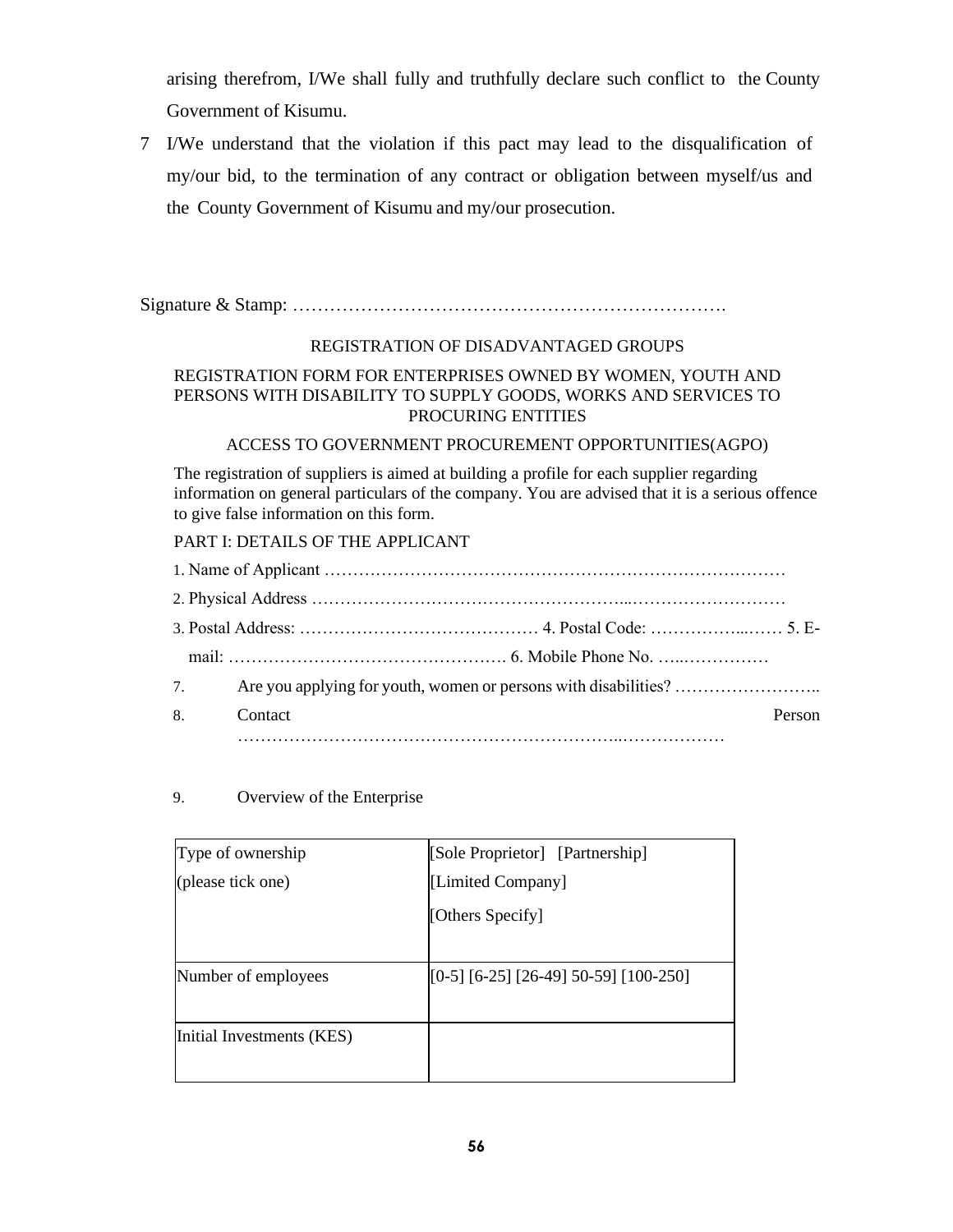arising therefrom, I/We shall fully and truthfully declare such conflict to the County Government of Kisumu.

7 I/We understand that the violation if this pact may lead to the disqualification of my/our bid, to the termination of any contract or obligation between myself/us and the County Government of Kisumu and my/our prosecution.

Signature & Stamp: …………………………………………………………….

#### REGISTRATION OF DISADVANTAGED GROUPS

#### REGISTRATION FORM FOR ENTERPRISES OWNED BY WOMEN, YOUTH AND PERSONS WITH DISABILITY TO SUPPLY GOODS, WORKS AND SERVICES TO PROCURING ENTITIES

#### ACCESS TO GOVERNMENT PROCUREMENT OPPORTUNITIES(AGPO)

The registration of suppliers is aimed at building a profile for each supplier regarding information on general particulars of the company. You are advised that it is a serious offence to give false information on this form.

#### PART I: DETAILS OF THE APPLICANT

| 7.             |                   |
|----------------|-------------------|
| 8 <sub>1</sub> | Contact<br>Person |
|                |                   |

#### 9. Overview of the Enterprise

| Type of ownership         | [Sole Proprietor] [Partnership]         |
|---------------------------|-----------------------------------------|
| (please tick one)         | [Limited Company]                       |
|                           | [Others Specify]                        |
| Number of employees       | $[0-5]$ [6-25] [26-49] 50-59] [100-250] |
| Initial Investments (KES) |                                         |